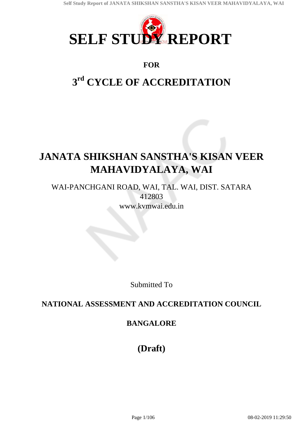

### **FOR**

# **3 rd CYCLE OF ACCREDITATION**

# **JANATA SHIKSHAN SANSTHA'S KISAN VEER MAHAVIDYALAYA, WAI**

WAI-PANCHGANI ROAD, WAI, TAL. WAI, DIST. SATARA 412803 www.kvmwai.edu.in

Submitted To

## **NATIONAL ASSESSMENT AND ACCREDITATION COUNCIL**

### **BANGALORE**

**(Draft)**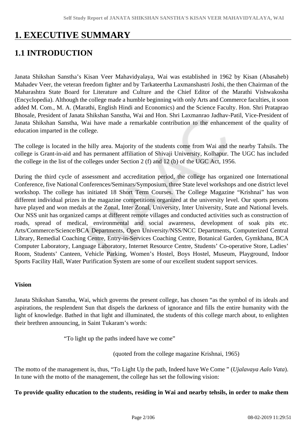## **1. EXECUTIVE SUMMARY**

## **1.1 INTRODUCTION**

Janata Shikshan Sanstha's Kisan Veer Mahavidyalaya, Wai was established in 1962 by Kisan (Abasaheb) Mahadev Veer, the veteran freedom fighter and by Tarkateertha Laxmanshastri Joshi, the then Chairman of the Maharashtra State Board for Literature and Culture and the Chief Editor of the Marathi Vishwakosha (Encyclopedia). Although the college made a humble beginning with only Arts and Commerce faculties, it soon added M. Com., M. A. (Marathi, English Hindi and Economics) and the Science Faculty. Hon. Shri Prataprao Bhosale, President of Janata Shikshan Sanstha, Wai and Hon. Shri Laxmanrao Jadhav-Patil, Vice-President of Janata Shikshan Sanstha, Wai have made a remarkable contribution to the enhancement of the quality of education imparted in the college.

The college is located in the hilly area. Majority of the students come from Wai and the nearby Tahsils. The college is Grant-in-aid and has permanent affiliation of Shivaji University, Kolhapur. The UGC has included the college in the list of the colleges under Section 2 (f) and 12 (b) of the UGC Act, 1956.

During the third cycle of assessment and accreditation period, the college has organized one International Conference, five National Conferences/Seminars/Symposium, three State level workshops and one district level workshop. The college has initiated 18 Short Term Courses. The College Magazine "Krishnai" has won different individual prizes in the magazine competitions organized at the university level. Our sports persons have played and won medals at the Zonal, Inter Zonal, University, Inter University, State and National levels. Our NSS unit has organized camps at different remote villages and conducted activities such as construction of roads, spread of medical, environmental and social awareness, development of soak pits etc. Arts/Commerce/Science/BCA Departments, Open University/NSS/NCC Departments, Computerized Central Library, Remedial Coaching Centre, Entry-in-Services Coaching Centre, Botanical Garden, Gymkhana, BCA Computer Laboratory, Language Laboratory, Internet Resource Centre, Students' Co-operative Store, Ladies' Room, Students' Canteen, Vehicle Parking, Women's Hostel, Boys Hostel, Museum, Playground, Indoor Sports Facility Hall, Water Purification System are some of our excellent student support services.

#### **Vision**

Janata Shikshan Sanstha, Wai, which governs the present college, has chosen "as the symbol of its ideals and aspirations, the resplendent Sun that dispels the darkness of ignorance and fills the entire humanity with the light of knowledge. Bathed in that light and illuminated, the students of this college march about, to enlighten their brethren announcing, in Saint Tukaram's words:

"To light up the paths indeed have we come"

(quoted from the college magazine Krishnai, 1965)

The motto of the management is, thus, "To Light Up the path, Indeed have We Come " (*Ujalavaya Aalo Vata*). In tune with the motto of the management, the college has set the following vision:

#### **To provide quality education to the students, residing in Wai and nearby tehsils, in order to make them**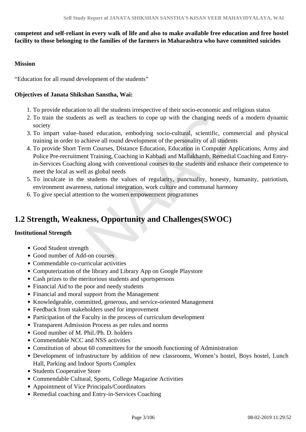#### **competent and self-reliant in every walk of life and also to make available free education and free hostel facility to those belonging to the families of the farmers in Maharashtra who have committed suicides**

#### **Mission**

"Education for all round development of the students"

#### **Objectives of Janata Shikshan Sanstha, Wai:**

- 1. To provide education to all the students irrespective of their socio-economic and religious status
- 2. To train the students as well as teachers to cope up with the changing needs of a modern dynamic society
- 3. To impart value–based education, embodying socio-cultural, scientific, commercial and physical training in order to achieve all round development of the personality of all students
- 4. To provide Short Term Courses, Distance Education, Education in Computer Applications, Army and Police Pre-recruitment Training, Coaching in Kabbadi and Mallakhamb, Remedial Coaching and Entryin-Services Coaching along with conventional courses to the students and enhance their competence to meet the local as well as global needs
- 5. To inculcate in the students the values of regularity, punctuality, honesty, humanity, patriotism, environment awareness, national integration, work culture and communal harmony
- 6. To give special attention to the women empowerment programmes

## **1.2 Strength, Weakness, Opportunity and Challenges(SWOC)**

#### **Institutional Strength**

- Good Student strength
- Good number of Add-on courses
- Commendable co-curricular activities
- Computerization of the library and Library App on Google Playstore
- Cash prizes to the meritorious students and sportspersons
- Financial Aid to the poor and needy students
- Financial and moral support from the Management
- Knowledgeable, committed, generous, and service-oriented Management
- Feedback from stakeholders used for improvement
- Participation of the Faculty in the process of curriculum development
- Transparent Admission Process as per rules and norms
- Good number of M. Phil./Ph. D. holders
- Commendable NCC and NSS activities
- Constitution of about 60 committees for the smooth functioning of Administration
- Development of infrastructure by addition of new classrooms, Women's hostel, Boys hostel, Lunch Hall, Parking and Indoor Sports Complex
- Students Cooperative Store
- Commendable Cultural, Sports, College Magazine Activities
- Appointment of Vice Principals/Coordinators
- Remedial coaching and Entry-in-Services Coaching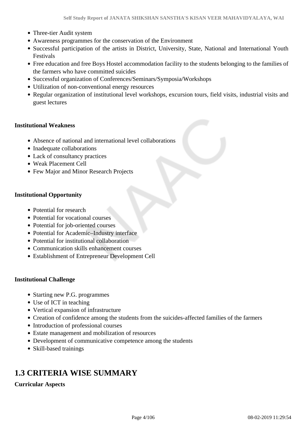- Three-tier Audit system
- Awareness programmes for the conservation of the Environment
- Successful participation of the artists in District, University, State, National and International Youth Festivals
- Free education and free Boys Hostel accommodation facility to the students belonging to the families of the farmers who have committed suicides
- Successful organization of Conferences/Seminars/Symposia/Workshops
- Utilization of non-conventional energy resources
- Regular organization of institutional level workshops, excursion tours, field visits, industrial visits and guest lectures

#### **Institutional Weakness**

- Absence of national and international level collaborations
- Inadequate collaborations
- Lack of consultancy practices
- Weak Placement Cell
- Few Major and Minor Research Projects

#### **Institutional Opportunity**

- Potential for research
- Potential for vocational courses
- Potential for job-oriented courses
- Potential for Academic–Industry interface
- Potential for institutional collaboration
- Communication skills enhancement courses
- Establishment of Entrepreneur Development Cell

#### **Institutional Challenge**

- Starting new P.G. programmes
- Use of ICT in teaching
- Vertical expansion of infrastructure
- Creation of confidence among the students from the suicides-affected families of the farmers
- Introduction of professional courses
- Estate management and mobilization of resources
- Development of communicative competence among the students
- Skill-based trainings

## **1.3 CRITERIA WISE SUMMARY**

#### **Curricular Aspects**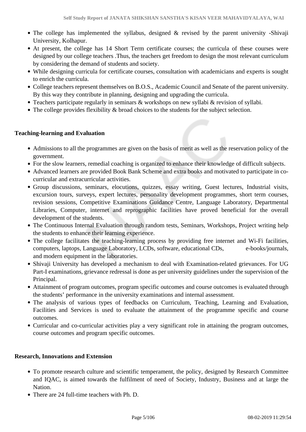- The college has implemented the syllabus, designed & revised by the parent university -Shivaji University, Kolhapur.
- At present, the college has 14 Short Term certificate courses; the curricula of these courses were designed by our college teachers .Thus, the teachers get freedom to design the most relevant curriculum by considering the demand of students and society.
- While designing curricula for certificate courses, consultation with academicians and experts is sought to enrich the curricula.
- College teachers represent themselves on B.O.S., Academic Council and Senate of the parent university. By this way they contribute in planning, designing and upgrading the curricula.
- Teachers participate regularly in seminars & workshops on new syllabi & revision of syllabi.
- The college provides flexibility & broad choices to the students for the subject selection.

#### **Teaching-learning and Evaluation**

- Admissions to all the programmes are given on the basis of merit as well as the reservation policy of the government.
- For the slow learners, remedial coaching is organized to enhance their knowledge of difficult subjects.
- Advanced learners are provided Book Bank Scheme and extra books and motivated to participate in cocurricular and extracurricular activities.
- Group discussions, seminars, elocutions, quizzes, essay writing, Guest lectures, Industrial visits, excursion tours, surveys, expert lectures, personality development programmes, short term courses, revision sessions, Competitive Examinations Guidance Centre, Language Laboratory, Departmental Libraries, Computer, internet and reprographic facilities have proved beneficial for the overall development of the students.
- The Continuous Internal Evaluation through random tests, Seminars, Workshops, Project writing help the students to enhance their learning experience.
- The college facilitates the teaching-learning process by providing free internet and Wi-Fi facilities, computers, laptops, Language Laboratory, LCDs, software, educational CDs, e-books/journals, and modern equipment in the laboratories.
- Shivaji University has developed a mechanism to deal with Examination-related grievances. For UG Part-I examinations, grievance redressal is done as per university guidelines under the supervision of the Principal.
- Attainment of program outcomes, program specific outcomes and course outcomes is evaluated through the students' performance in the university examinations and internal assessment.
- The analysis of various types of feedbacks on Curriculum, Teaching, Learning and Evaluation, Facilities and Services is used to evaluate the attainment of the programme specific and course outcomes.
- Curricular and co-curricular activities play a very significant role in attaining the program outcomes, course outcomes and program specific outcomes.

#### **Research, Innovations and Extension**

- To promote research culture and scientific temperament, the policy, designed by Research Committee and IQAC, is aimed towards the fulfilment of need of Society, Industry, Business and at large the **Nation**
- There are 24 full-time teachers with Ph. D.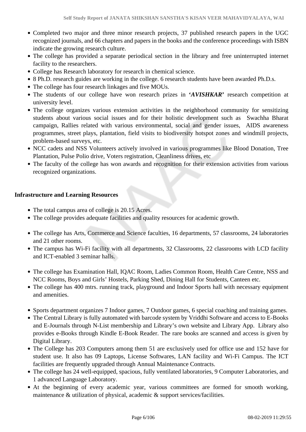- Completed two major and three minor research projects, 37 published research papers in the UGC recognized journals, and 66 chapters and papers in the books and the conference proceedings with ISBN indicate the growing research culture.
- The college has provided a separate periodical section in the library and free uninterrupted internet facility to the researchers.
- College has Research laboratory for research in chemical science.
- 8 Ph.D. research guides are working in the college. 6 research students have been awarded Ph.D.s.
- The college has four research linkages and five MOUs.
- The students of our college have won research prizes in **'***AVISHKAR***'** research competition at university level.
- The college organizes various extension activities in the neighborhood community for sensitizing students about various social issues and for their holistic development such as Swachha Bharat campaign, Rallies related with various environmental, social and gender issues, AIDS awareness programmes, street plays, plantation, field visits to biodiversity hotspot zones and windmill projects, problem-based surveys, etc.
- NCC cadets and NSS Volunteers actively involved in various programmes like Blood Donation, Tree Plantation, Pulse Polio drive, Voters registration, Cleanliness drives, etc
- The faculty of the college has won awards and recognition for their extension activities from various recognized organizations.

#### **Infrastructure and Learning Resources**

- The total campus area of college is 20.15 Acres.
- The college provides adequate facilities and quality resources for academic growth.
- The college has Arts, Commerce and Science faculties, 16 departments, 57 classrooms, 24 laboratories and 21 other rooms.
- The campus has Wi-Fi facility with all departments, 32 Classrooms, 22 classrooms with LCD facility and ICT-enabled 3 seminar halls.
- The college has Examination Hall, IQAC Room, Ladies Common Room, Health Care Centre, NSS and NCC Rooms, Boys and Girls' Hostels, Parking Shed, Dining Hall for Students, Canteen etc.
- The college has 400 mtrs. running track, playground and Indoor Sports hall with necessary equipment and amenities.
- Sports department organizes 7 Indoor games, 7 Outdoor games, 6 special coaching and training games.
- The Central Library is fully automated with barcode system by Vriddhi Software and access to E-Books and E-Journals through N-List membership and Library's own website and Library App. Library also provides e-Books through Kindle E-Book Reader. The rare books are scanned and access is given by Digital Library.
- The College has 203 Computers among them 51 are exclusively used for office use and 152 have for student use. It also has 09 Laptops, License Softwares, LAN facility and Wi-Fi Campus. The ICT facilities are frequently upgraded through Annual Maintenance Contracts.
- The college has 24 well-equipped, spacious, fully ventilated laboratories, 9 Computer Laboratories, and 1 advanced Language Laboratory.
- At the beginning of every academic year, various committees are formed for smooth working, maintenance & utilization of physical, academic & support services/facilities.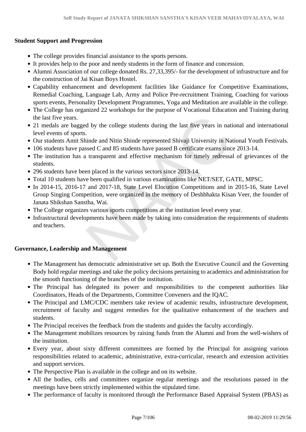#### **Student Support and Progression**

- The college provides financial assistance to the sports persons.
- It provides help to the poor and needy students in the form of finance and concession.
- Alumni Association of our college donated Rs. 27,33,395/- for the development of infrastructure and for the construction of Jai Kisan Boys Hostel.
- Capability enhancement and development facilities like Guidance for Competitive Examinations, Remedial Coaching, Language Lab, Army and Police Pre-recruitment Training, Coaching for various sports events, Personality Development Programmes, Yoga and Meditation are available in the college.
- The College has organized 22 workshops for the purpose of Vocational Education and Training during the last five years.
- 21 medals are bagged by the college students during the last five years in national and international level events of sports.
- Our students Amit Shinde and Nitin Shinde represented Shivaji University in National Youth Festivals.
- 106 students have passed C and 85 students have passed B certificate exams since 2013-14.
- The institution has a transparent and effective mechanism for timely redressal of grievances of the students.
- 296 students have been placed in the various sectors since 2013-14.
- Total 10 students have been qualified in various examinations like NET/SET, GATE, MPSC.
- In 2014-15, 2016-17 and 2017-18, State Level Elocution Competitions and in 2015-16, State Level Group Singing Competition, were organized in the memory of Deshbhakta Kisan Veer, the founder of Janata Shikshan Sanstha, Wai.
- The College organizes various sports competitions at the institution level every year.
- Infrastructural developments have been made by taking into consideration the requirements of students and teachers.

#### **Governance, Leadership and Management**

- The Management has democratic administrative set up. Both the Executive Council and the Governing Body hold regular meetings and take the policy decisions pertaining to academics and administration for the smooth functioning of the branches of the institution.
- The Principal has delegated its power and responsibilities to the competent authorities like Coordinators, Heads of the Departments, Committee Conveners and the IQAC.
- The Principal and LMC/CDC members take review of academic results, infrastructure development, recruitment of faculty and suggest remedies for the qualitative enhancement of the teachers and students.
- The Principal receives the feedback from the students and guides the faculty accordingly.
- The Management mobilizes resources by raising funds from the Alumni and from the well-wishers of the institution.
- Every year, about sixty different committees are formed by the Principal for assigning various responsibilities related to academic, administrative, extra-curricular, research and extension activities and support services.
- The Perspective Plan is available in the college and on its website.
- All the bodies, cells and committees organize regular meetings and the resolutions passed in the meetings have been strictly implemented within the stipulated time.
- The performance of faculty is monitored through the Performance Based Appraisal System (PBAS) as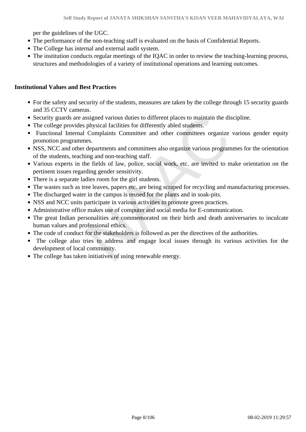per the guidelines of the UGC.

- The performance of the non-teaching staff is evaluated on the basis of Confidential Reports.
- The College has internal and external audit system.
- The institution conducts regular meetings of the IQAC in order to review the teaching-learning process, structures and methodologies of a variety of institutional operations and learning outcomes.

#### **Institutional Values and Best Practices**

- For the safety and security of the students, measures are taken by the college through 15 security guards and 35 CCTV cameras.
- Security guards are assigned various duties to different places to maintain the discipline.
- The college provides physical facilities for differently abled students.
- Functional Internal Complaints Committee and other committees organize various gender equity promotion programmes.
- NSS, NCC and other departments and committees also organize various programmes for the orientation of the students, teaching and non-teaching staff.
- Various experts in the fields of law, police, social work, etc. are invited to make orientation on the pertinent issues regarding gender sensitivity.
- There is a separate ladies room for the girl students.
- The wastes such as tree leaves, papers etc. are being scraped for recycling and manufacturing processes.
- The discharged water in the campus is reused for the plants and in soak-pits.
- NSS and NCC units participate in various activities to promote green practices.
- Administrative office makes use of computer and social media for E-communication.
- The great Indian personalities are commemorated on their birth and death anniversaries to inculcate human values and professional ethics.
- The code of conduct for the stakeholders is followed as per the directives of the authorities.
- The college also tries to address and engage local issues through its various activities for the development of local community.
- The college has taken initiatives of using renewable energy.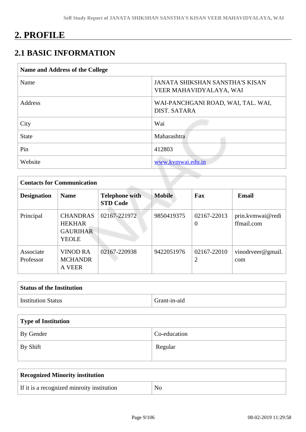## **2. PROFILE**

## **2.1 BASIC INFORMATION**

| <b>JANATA SHIKSHAN SANSTHA'S KISAN</b><br>VEER MAHAVIDYALAYA, WAI<br>WAI-PANCHGANI ROAD, WAI, TAL. WAI,<br><b>DIST. SATARA</b> |
|--------------------------------------------------------------------------------------------------------------------------------|
|                                                                                                                                |
|                                                                                                                                |
| Wai                                                                                                                            |
| Maharashtra                                                                                                                    |
| 412803                                                                                                                         |
| www.kvmwai.edu.in                                                                                                              |
|                                                                                                                                |

| <b>Contacts for Communication</b> |                                                                     |                                          |               |                         |                                |  |  |  |  |
|-----------------------------------|---------------------------------------------------------------------|------------------------------------------|---------------|-------------------------|--------------------------------|--|--|--|--|
| <b>Designation</b>                | <b>Name</b>                                                         | <b>Telephone with</b><br><b>STD Code</b> | <b>Mobile</b> | Fax                     | <b>Email</b>                   |  |  |  |  |
| Principal                         | <b>CHANDRAS</b><br><b>HEKHAR</b><br><b>GAURIHAR</b><br><b>YEOLE</b> | 02167-221972                             | 9850419375    | 02167-22013<br>$\Omega$ | prin.kvmwai@redi<br>ffmail.com |  |  |  |  |
| Associate<br>Professor            | <b>VINOD RA</b><br><b>MCHANDR</b><br><b>A VEER</b>                  | 02167-220938                             | 9422051976    | 02167-22010<br>2        | vinodrveer@gmail.<br>com       |  |  |  |  |

| <b>Status of the Institution</b> |              |
|----------------------------------|--------------|
| <b>Institution Status</b>        | Grant-in-aid |

| Type of Institution |              |  |  |  |
|---------------------|--------------|--|--|--|
| <b>By Gender</b>    | Co-education |  |  |  |
| $\perp$ By Shift    | Regular      |  |  |  |

| Recognized Minority institution            |                |  |  |  |
|--------------------------------------------|----------------|--|--|--|
| If it is a recognized minroity institution | $\overline{N}$ |  |  |  |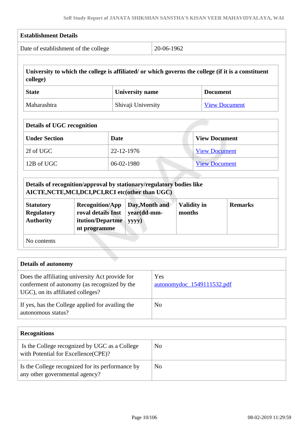|                                                           | <b>Establishment Details</b>                                                                                                |                        |                               |                              |                                                                                                     |  |  |
|-----------------------------------------------------------|-----------------------------------------------------------------------------------------------------------------------------|------------------------|-------------------------------|------------------------------|-----------------------------------------------------------------------------------------------------|--|--|
|                                                           | Date of establishment of the college                                                                                        |                        | 20-06-1962                    |                              |                                                                                                     |  |  |
| college)                                                  |                                                                                                                             |                        |                               |                              | University to which the college is affiliated/ or which governs the college (if it is a constituent |  |  |
| <b>State</b>                                              |                                                                                                                             | <b>University name</b> |                               |                              | <b>Document</b>                                                                                     |  |  |
| Maharashtra                                               |                                                                                                                             |                        | Shivaji University            |                              | <b>View Document</b>                                                                                |  |  |
| <b>Details of UGC recognition</b>                         |                                                                                                                             |                        |                               |                              |                                                                                                     |  |  |
| <b>Under Section</b>                                      |                                                                                                                             | <b>Date</b>            |                               |                              | <b>View Document</b>                                                                                |  |  |
| 2f of UGC                                                 |                                                                                                                             | 22-12-1976             |                               |                              | <b>View Document</b>                                                                                |  |  |
| 12B of UGC                                                |                                                                                                                             | 06-02-1980             |                               |                              | <b>View Document</b>                                                                                |  |  |
|                                                           |                                                                                                                             |                        |                               |                              |                                                                                                     |  |  |
|                                                           |                                                                                                                             |                        |                               |                              |                                                                                                     |  |  |
|                                                           | Details of recognition/approval by stationary/regulatory bodies like<br>AICTE, NCTE, MCI, DCI, PCI, RCI etc(other than UGC) |                        |                               |                              |                                                                                                     |  |  |
| <b>Statutory</b><br><b>Regulatory</b><br><b>Authority</b> | <b>Recognition/App</b><br>roval details Inst<br>itution/Departme<br>nt programme                                            | yyyy)                  | Day, Month and<br>year(dd-mm- | <b>Validity in</b><br>months | <b>Remarks</b>                                                                                      |  |  |
| No contents                                               |                                                                                                                             |                        |                               |                              |                                                                                                     |  |  |
|                                                           |                                                                                                                             |                        |                               |                              |                                                                                                     |  |  |
| <b>Details of autonomy</b>                                |                                                                                                                             |                        |                               |                              |                                                                                                     |  |  |
| UGC), on its affiliated colleges?                         | Does the affiliating university Act provide for<br>conferment of autonomy (as recognized by the                             |                        | Yes                           | autonomydoc 1549111532.pdf   |                                                                                                     |  |  |

| <b>Recognitions</b>                                                                  |    |
|--------------------------------------------------------------------------------------|----|
| Is the College recognized by UGC as a College<br>with Potential for Excellence(CPE)? | No |
| Is the College recognized for its performance by<br>any other governmental agency?   | No |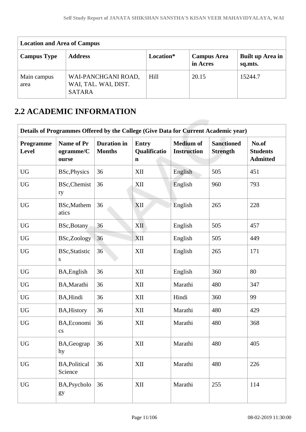| <b>Location and Area of Campus</b> |                                                              |           |                                |                             |  |  |  |
|------------------------------------|--------------------------------------------------------------|-----------|--------------------------------|-----------------------------|--|--|--|
| <b>Campus Type</b>                 | <b>Address</b>                                               | Location* | <b>Campus Area</b><br>in Acres | Built up Area in<br>sq.mts. |  |  |  |
| Main campus<br>area                | WAI-PANCHGANI ROAD,<br>WAI, TAL. WAI, DIST.<br><b>SATARA</b> | Hill      | 20.15                          | 15244.7                     |  |  |  |

## **2.2 ACADEMIC INFORMATION**

| Details of Programmes Offered by the College (Give Data for Current Academic year) |                                                                                               |    |                              |                                        |                                      |                                             |  |  |
|------------------------------------------------------------------------------------|-----------------------------------------------------------------------------------------------|----|------------------------------|----------------------------------------|--------------------------------------|---------------------------------------------|--|--|
| Programme<br>Level                                                                 | <b>Duration</b> in<br><b>Name of Pr</b><br><b>Months</b><br>ogramme/C<br>ourse<br>$\mathbf n$ |    | <b>Entry</b><br>Qualificatio | <b>Medium of</b><br><b>Instruction</b> | <b>Sanctioned</b><br><b>Strength</b> | No.of<br><b>Students</b><br><b>Admitted</b> |  |  |
| <b>UG</b>                                                                          | <b>BSc, Physics</b>                                                                           | 36 | XII                          | English                                | 505                                  | 451                                         |  |  |
| <b>UG</b>                                                                          | <b>BSc, Chemist</b><br>ry                                                                     | 36 | XII                          | English                                | 960                                  | 793                                         |  |  |
| <b>UG</b>                                                                          | BSc, Mathem<br>atics                                                                          | 36 | <b>XII</b>                   | English                                | 265                                  | 228                                         |  |  |
| <b>UG</b>                                                                          | BSc, Botany                                                                                   | 36 | XII                          | English                                | 505                                  | 457                                         |  |  |
| <b>UG</b>                                                                          | BSc,Zoology                                                                                   | 36 | <b>XII</b>                   | English                                | 505                                  | 449                                         |  |  |
| <b>UG</b>                                                                          | <b>BSc, Statistic</b><br>${\bf S}$                                                            | 36 | XII                          | English                                | 265                                  | 171                                         |  |  |
| <b>UG</b>                                                                          | BA, English                                                                                   | 36 | XII                          | English                                | 360                                  | 80                                          |  |  |
| <b>UG</b>                                                                          | BA, Marathi                                                                                   | 36 | XII                          | Marathi                                | 480                                  | 347                                         |  |  |
| <b>UG</b>                                                                          | BA, Hindi                                                                                     | 36 | XII                          | Hindi                                  | 360                                  | 99                                          |  |  |
| <b>UG</b>                                                                          | <b>BA, History</b>                                                                            | 36 | XII                          | Marathi                                | 480                                  | 429                                         |  |  |
| <b>UG</b>                                                                          | BA, Economi<br>$\mathbf{c}\mathbf{s}$                                                         | 36 | XII                          | Marathi                                | 480                                  | 368                                         |  |  |
| <b>UG</b>                                                                          | BA, Geograp<br>hy                                                                             | 36 | XII                          | Marathi                                | 480                                  | 405                                         |  |  |
| <b>UG</b>                                                                          | <b>BA, Political</b><br>Science                                                               | 36 | XII                          | Marathi                                | 480                                  | 226                                         |  |  |
| <b>UG</b>                                                                          | BA, Psycholo<br>gy                                                                            | 36 | XII                          | Marathi                                | 255                                  | 114                                         |  |  |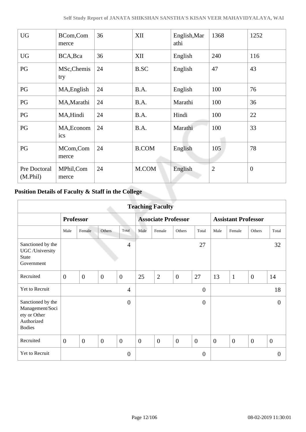| <b>UG</b>                | BCom,Com<br>merce  | 36 | XII          | English, Mar<br>athi | 1368           | 1252           |
|--------------------------|--------------------|----|--------------|----------------------|----------------|----------------|
| <b>UG</b>                | BCA, Bca           | 36 | XII          | English              | 240            | 116            |
| PG                       | MSc, Chemis<br>try | 24 | <b>B.SC</b>  | English              | 47             | 43             |
| PG                       | MA, English        | 24 | B.A.         | English              | 100            | 76             |
| PG                       | MA, Marathi        | 24 | B.A.         | Marathi              | 100            | 36             |
| PG                       | MA, Hindi          | 24 | B.A.         | Hindi                | 100            | 22             |
| PG                       | MA, Econom<br>ics  | 24 | B.A.         | Marathi              | 100            | 33             |
| PG                       | MCom, Com<br>merce | 24 | <b>B.COM</b> | English              | 105            | 78             |
| Pre Doctoral<br>(M.Phil) | MPhil,Com<br>merce | 24 | M.COM        | English              | $\overline{2}$ | $\overline{0}$ |

## **Position Details of Faculty & Staff in the College**

| <b>Teaching Faculty</b>                                                             |                  |                |                |                            |                |                |                            |                  |                  |                |                  |                |
|-------------------------------------------------------------------------------------|------------------|----------------|----------------|----------------------------|----------------|----------------|----------------------------|------------------|------------------|----------------|------------------|----------------|
|                                                                                     | <b>Professor</b> |                |                | <b>Associate Professor</b> |                |                | <b>Assistant Professor</b> |                  |                  |                |                  |                |
|                                                                                     | Male             | Female         | Others         | Total                      | Male           | Female         | Others                     | Total            | Male             | Female         | Others           | Total          |
| Sanctioned by the<br>UGC /University<br><b>State</b><br>Government                  |                  |                |                | $\overline{4}$             |                |                |                            | 27               |                  |                |                  | 32             |
| Recruited                                                                           | $\overline{0}$   | $\overline{0}$ | $\overline{0}$ | $\mathbf{0}$               | 25             | $\overline{2}$ | $\mathbf{0}$               | 27               | 13               | $\mathbf{1}$   | $\boldsymbol{0}$ | 14             |
| Yet to Recruit                                                                      |                  |                |                | $\overline{4}$             |                |                |                            | $\overline{0}$   |                  |                |                  | 18             |
| Sanctioned by the<br>Management/Soci<br>ety or Other<br>Authorized<br><b>Bodies</b> |                  |                |                | $\overline{0}$             |                |                |                            | $\overline{0}$   |                  |                |                  | $\overline{0}$ |
| Recruited                                                                           | $\overline{0}$   | $\overline{0}$ | $\overline{0}$ | $\overline{0}$             | $\overline{0}$ | $\overline{0}$ | $\overline{0}$             | $\overline{0}$   | $\boldsymbol{0}$ | $\overline{0}$ | $\overline{0}$   | $\overline{0}$ |
| Yet to Recruit                                                                      |                  |                |                | $\overline{0}$             |                |                |                            | $\boldsymbol{0}$ |                  |                |                  | $\overline{0}$ |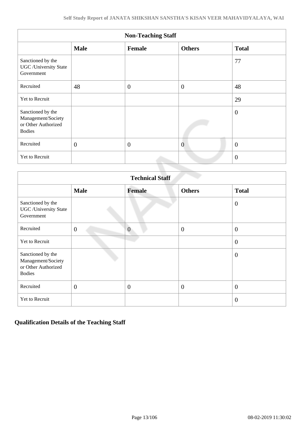| <b>Non-Teaching Staff</b>                                                       |                |                |                |                  |  |  |  |
|---------------------------------------------------------------------------------|----------------|----------------|----------------|------------------|--|--|--|
|                                                                                 | <b>Male</b>    | <b>Female</b>  | <b>Others</b>  | <b>Total</b>     |  |  |  |
| Sanctioned by the<br><b>UGC</b> / University State<br>Government                |                |                |                | 77               |  |  |  |
| Recruited                                                                       | 48             | $\overline{0}$ | $\theta$       | 48               |  |  |  |
| Yet to Recruit                                                                  |                |                |                | 29               |  |  |  |
| Sanctioned by the<br>Management/Society<br>or Other Authorized<br><b>Bodies</b> |                |                |                | $\boldsymbol{0}$ |  |  |  |
| Recruited                                                                       | $\overline{0}$ | $\overline{0}$ | $\overline{0}$ | $\overline{0}$   |  |  |  |
| Yet to Recruit                                                                  |                |                |                | $\theta$         |  |  |  |

| <b>Technical Staff</b>                                                          |                |                |                  |                  |  |  |  |
|---------------------------------------------------------------------------------|----------------|----------------|------------------|------------------|--|--|--|
|                                                                                 | <b>Male</b>    | Female         | <b>Others</b>    | <b>Total</b>     |  |  |  |
| Sanctioned by the<br><b>UGC</b> / University State<br>Government                |                |                |                  | $\overline{0}$   |  |  |  |
| Recruited                                                                       | $\overline{0}$ | $\overline{0}$ | $\overline{0}$   | $\boldsymbol{0}$ |  |  |  |
| Yet to Recruit                                                                  |                |                |                  | $\overline{0}$   |  |  |  |
| Sanctioned by the<br>Management/Society<br>or Other Authorized<br><b>Bodies</b> |                |                |                  | $\theta$         |  |  |  |
| Recruited                                                                       | $\overline{0}$ | $\overline{0}$ | $\boldsymbol{0}$ | $\overline{0}$   |  |  |  |
| Yet to Recruit                                                                  |                |                |                  | $\overline{0}$   |  |  |  |

#### **Qualification Details of the Teaching Staff**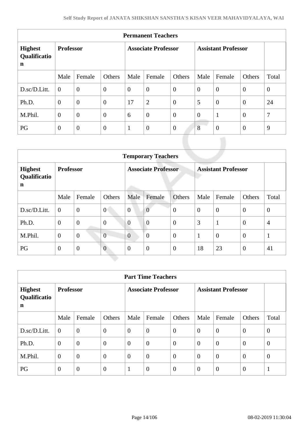| <b>Permanent Teachers</b>                     |                  |                |                            |                |                  |                            |                |                |                |                |
|-----------------------------------------------|------------------|----------------|----------------------------|----------------|------------------|----------------------------|----------------|----------------|----------------|----------------|
| <b>Highest</b><br>Qualificatio<br>$\mathbf n$ | <b>Professor</b> |                | <b>Associate Professor</b> |                |                  | <b>Assistant Professor</b> |                |                |                |                |
|                                               | Male             | Female         | Others                     | Male           | Female           | Others                     | Male           | Female         | Others         | Total          |
| D.sc/D.Litt.                                  | $\theta$         | $\overline{0}$ | $\boldsymbol{0}$           | $\overline{0}$ | $\overline{0}$   | $\overline{0}$             | $\overline{0}$ | $\overline{0}$ | $\overline{0}$ | $\overline{0}$ |
| Ph.D.                                         | $\overline{0}$   | $\overline{0}$ | $\overline{0}$             | 17             | $\overline{2}$   | $\theta$                   | 5              | $\theta$       | $\overline{0}$ | 24             |
| M.Phil.                                       | $\overline{0}$   | $\overline{0}$ | $\overline{0}$             | 6              | $\overline{0}$   | $\overline{0}$             | $\overline{0}$ | 1              | $\mathbf{0}$   | 7              |
| PG                                            | $\theta$         | $\theta$       | $\boldsymbol{0}$           | $\mathbf{1}$   | $\boldsymbol{0}$ | $\overline{0}$             | 8              | $\overline{0}$ | $\overline{0}$ | 9              |

| <b>Temporary Teachers</b>           |                  |                |                |                            |                  |                |                            |                |                |                |
|-------------------------------------|------------------|----------------|----------------|----------------------------|------------------|----------------|----------------------------|----------------|----------------|----------------|
| <b>Highest</b><br>Qualificatio<br>n | <b>Professor</b> |                |                | <b>Associate Professor</b> |                  |                | <b>Assistant Professor</b> |                |                |                |
|                                     | Male             | Female         | Others         | Male                       | Female           | Others         | Male                       | Female         | Others         | Total          |
| D.sc/D.Litt.                        | $\overline{0}$   | $\overline{0}$ | $\theta$       | $\overline{0}$             | $\overline{0}$   | $\overline{0}$ | $\overline{0}$             | $\overline{0}$ | $\overline{0}$ | $\mathbf{0}$   |
| Ph.D.                               | $\mathbf{0}$     | $\overline{0}$ | $\overline{0}$ | $\overline{0}$             | $\overline{0}$   | $\theta$       | 3                          | $\mathbf{1}$   | $\overline{0}$ | $\overline{4}$ |
| M.Phil.                             | $\mathbf{0}$     | $\overline{0}$ | $\overline{0}$ | $\overline{0}$             | $\boldsymbol{0}$ | $\overline{0}$ | $\mathbf{1}$               | $\overline{0}$ | $\overline{0}$ | $\mathbf{1}$   |
| PG                                  | $\boldsymbol{0}$ | $\mathbf{0}$   | $\overline{0}$ | $\mathbf{0}$               | $\overline{0}$   | $\theta$       | 18                         | 23             | $\overline{0}$ | 41             |

| <b>Part Time Teachers</b>           |                  |                |                            |                |                  |                            |                |                |                |          |
|-------------------------------------|------------------|----------------|----------------------------|----------------|------------------|----------------------------|----------------|----------------|----------------|----------|
| <b>Highest</b><br>Qualificatio<br>n | <b>Professor</b> |                | <b>Associate Professor</b> |                |                  | <b>Assistant Professor</b> |                |                |                |          |
|                                     | Male             | Female         | Others                     | Male           | Female           | Others                     | Male           | Female         | Others         | Total    |
| D.sc/D.Litt.                        | $\overline{0}$   | $\overline{0}$ | $\overline{0}$             | $\overline{0}$ | $\overline{0}$   | $\overline{0}$             | $\overline{0}$ | $\overline{0}$ | $\overline{0}$ | $\theta$ |
| Ph.D.                               | $\overline{0}$   | $\overline{0}$ | $\overline{0}$             | $\Omega$       | $\overline{0}$   | $\overline{0}$             | $\Omega$       | $\overline{0}$ | $\overline{0}$ | $\theta$ |
| M.Phil.                             | $\mathbf{0}$     | $\overline{0}$ | $\overline{0}$             | $\overline{0}$ | $\overline{0}$   | $\boldsymbol{0}$           | $\overline{0}$ | $\overline{0}$ | $\overline{0}$ | $\theta$ |
| PG                                  | $\overline{0}$   | $\overline{0}$ | $\overline{0}$             |                | $\boldsymbol{0}$ | $\overline{0}$             | $\overline{0}$ | $\overline{0}$ | $\theta$       | -1       |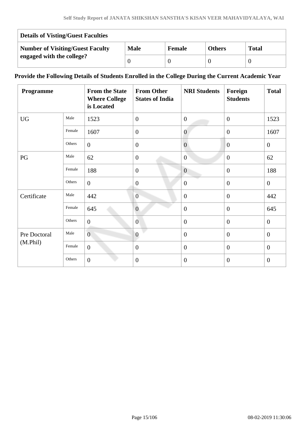| <b>Details of Visting/Guest Faculties</b> |             |               |               |              |  |  |
|-------------------------------------------|-------------|---------------|---------------|--------------|--|--|
| <b>Number of Visiting/Guest Faculty</b>   | <b>Male</b> | <b>Female</b> | <b>Others</b> | <b>Total</b> |  |  |
| engaged with the college?                 |             |               |               |              |  |  |

#### **Provide the Following Details of Students Enrolled in the College During the Current Academic Year**

| Programme    |        | <b>From the State</b><br><b>Where College</b><br>is Located | <b>From Other</b><br><b>States of India</b> | <b>NRI Students</b> | Foreign<br><b>Students</b> | <b>Total</b>   |
|--------------|--------|-------------------------------------------------------------|---------------------------------------------|---------------------|----------------------------|----------------|
| <b>UG</b>    | Male   | 1523                                                        | $\overline{0}$                              | $\overline{0}$      | $\overline{0}$             | 1523           |
|              | Female | 1607                                                        | $\overline{0}$                              | $\overline{0}$      | $\overline{0}$             | 1607           |
|              | Others | $\mathbf{0}$                                                | $\overline{0}$                              | $\overline{0}$      | $\overline{0}$             | $\mathbf{0}$   |
| PG           | Male   | 62                                                          | $\overline{0}$                              | $\overline{0}$      | $\overline{0}$             | 62             |
|              | Female | 188                                                         | $\overline{0}$                              | $\overline{0}$      | $\overline{0}$             | 188            |
|              | Others | $\overline{0}$                                              | $\boldsymbol{0}$                            | $\overline{0}$      | $\overline{0}$             | $\overline{0}$ |
| Certificate  | Male   | 442                                                         | $\overline{0}$                              | $\overline{0}$      | $\mathbf{0}$               | 442            |
|              | Female | 645                                                         | $\overline{0}$                              | $\overline{0}$      | $\overline{0}$             | 645            |
|              | Others | $\overline{0}$                                              | $\overline{0}$                              | $\boldsymbol{0}$    | $\overline{0}$             | $\overline{0}$ |
| Pre Doctoral | Male   | $\overline{0}$                                              | $\overline{0}$                              | $\overline{0}$      | $\overline{0}$             | $\theta$       |
| (M.Phil)     | Female | $\overline{0}$                                              | $\overline{0}$                              | $\overline{0}$      | $\overline{0}$             | $\theta$       |
|              | Others | $\boldsymbol{0}$                                            | $\boldsymbol{0}$                            | $\overline{0}$      | $\overline{0}$             | $\overline{0}$ |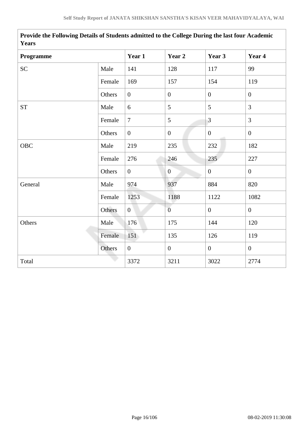| <b>Years</b>       |        |                  |                  |                |                |  |  |  |
|--------------------|--------|------------------|------------------|----------------|----------------|--|--|--|
| Programme          |        | Year 1           | Year 2           | Year 3         | Year 4         |  |  |  |
| SC                 | Male   | 141              | 128              | 117            | 99             |  |  |  |
|                    | Female | 169              | 157              | 154            | 119            |  |  |  |
|                    | Others | $\overline{0}$   | $\boldsymbol{0}$ | $\overline{0}$ | $\overline{0}$ |  |  |  |
| ${\cal S}{\cal T}$ | Male   | 6                | 5                | 5              | $\overline{3}$ |  |  |  |
|                    | Female | $\overline{7}$   | 5                | $\overline{3}$ | $\overline{3}$ |  |  |  |
|                    | Others | $\overline{0}$   | $\mathbf{0}$     | $\overline{0}$ | $\mathbf{0}$   |  |  |  |
| OBC                | Male   | 219              | 235              | 232            | 182            |  |  |  |
|                    | Female | 276              | 246              | 235            | 227            |  |  |  |
|                    | Others | $\boldsymbol{0}$ | $\boldsymbol{0}$ | $\overline{0}$ | $\overline{0}$ |  |  |  |
| General            | Male   | 974              | 937              | 884            | 820            |  |  |  |
|                    | Female | 1253             | 1188             | 1122           | 1082           |  |  |  |
|                    | Others | $\overline{0}$   | $\overline{0}$   | $\mathbf{0}$   | $\overline{0}$ |  |  |  |
| Others             | Male   | 176              | 175              | 144            | 120            |  |  |  |
|                    | Female | 151              | 135              | 126            | 119            |  |  |  |
|                    | Others | $\overline{0}$   | $\overline{0}$   | $\overline{0}$ | $\overline{0}$ |  |  |  |
| Total              |        | 3372             | 3211             | 3022           | 2774           |  |  |  |

**Provide the Following Details of Students admitted to the College During the last four Academic Years**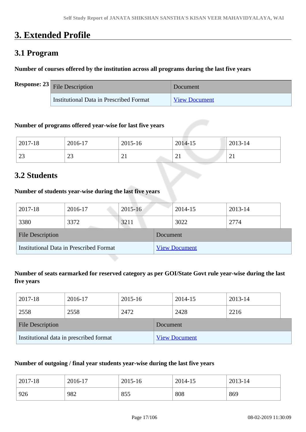## **3. Extended Profile**

## **3.1 Program**

#### **Number of courses offered by the institution across all programs during the last five years**

| <b>Response:</b> $23$ File Description  | Document             |
|-----------------------------------------|----------------------|
| Institutional Data in Prescribed Format | <b>View Document</b> |

#### **Number of programs offered year-wise for last five years**

| 2017-18                | 2016-17      | 2015-16               | 2014-15  | 2013-14 |
|------------------------|--------------|-----------------------|----------|---------|
| $\mathcal{D}^2$<br>ر ے | $\sim$<br>رے | $\bigcap$<br>$\sim$ 1 | $\sim$ 1 | ∠⊥      |

## **3.2 Students**

#### **Number of students year-wise during the last five years**

| 2017-18                                 | 2016-17 | $2015 - 16$ |                      | 2014-15 | 2013-14 |  |
|-----------------------------------------|---------|-------------|----------------------|---------|---------|--|
| 3380                                    | 3372    | 3211        |                      | 3022    | 2774    |  |
| <b>File Description</b>                 |         |             | Document             |         |         |  |
| Institutional Data in Prescribed Format |         |             | <b>View Document</b> |         |         |  |

#### **Number of seats earmarked for reserved category as per GOI/State Govt rule year-wise during the last five years**

| 2017-18                                 | 2016-17 | 2015-16 |                      | 2014-15 | 2013-14 |  |
|-----------------------------------------|---------|---------|----------------------|---------|---------|--|
| 2558                                    | 2558    | 2472    |                      | 2428    | 2216    |  |
| <b>File Description</b>                 |         |         | Document             |         |         |  |
| Institutional data in prescribed format |         |         | <b>View Document</b> |         |         |  |

#### **Number of outgoing / final year students year-wise during the last five years**

| 2017-18 | 2016-17 | 2015-16 | 2014-15 | 2013-14 |
|---------|---------|---------|---------|---------|
| 926     | 982     | 855     | 808     | 869     |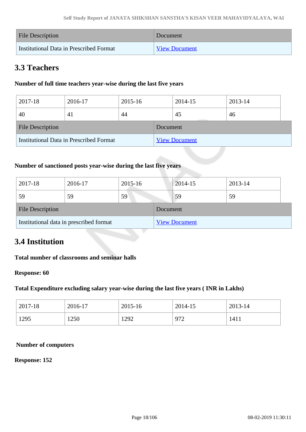| <b>File Description</b>                 | Document             |
|-----------------------------------------|----------------------|
| Institutional Data in Prescribed Format | <b>View Document</b> |

## **3.3 Teachers**

#### **Number of full time teachers year-wise during the last five years**

| 2017-18                 | 2016-17                                 | 2015-16 |          | 2014-15              | 2013-14 |  |
|-------------------------|-----------------------------------------|---------|----------|----------------------|---------|--|
| 40                      | 41                                      | 44      |          | 45                   | 46      |  |
| <b>File Description</b> |                                         |         | Document |                      |         |  |
|                         | Institutional Data in Prescribed Format |         |          | <b>View Document</b> |         |  |

#### **Number of sanctioned posts year-wise during the last five years**

| 2017-18                 | 2016-17                                 | 2015-16 |          | 2014-15              | 2013-14 |
|-------------------------|-----------------------------------------|---------|----------|----------------------|---------|
| 59                      | 59                                      | 59      |          | 59                   | 59      |
| <b>File Description</b> |                                         |         | Document |                      |         |
|                         | Institutional data in prescribed format |         |          | <b>View Document</b> |         |

## **3.4 Institution**

#### **Total number of classrooms and seminar halls**

#### **Response: 60**

#### **Total Expenditure excluding salary year-wise during the last five years ( INR in Lakhs)**

| 2017-18 | 2016-17 | 2015-16 | 2014-15 | 2013-14 |
|---------|---------|---------|---------|---------|
| 1295    | 1250    | 1292    | 972     | 1411    |

#### **Number of computers**

#### **Response: 152**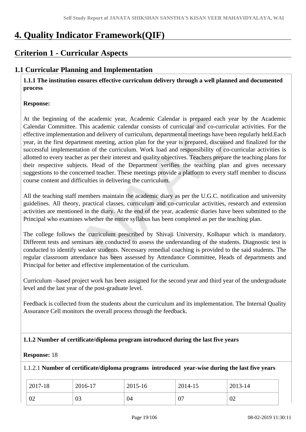## **4. Quality Indicator Framework(QIF)**

## **Criterion 1 - Curricular Aspects**

### **1.1 Curricular Planning and Implementation**

 **1.1.1 The institution ensures effective curriculum delivery through a well planned and documented process** 

#### **Response:**

At the beginning of the academic year, Academic Calendar is prepared each year by the Academic Calendar Committee. This academic calendar consists of curricular and co-curricular activities. For the effective implementation and delivery of curriculum, departmental meetings have been regularly held.Each year, in the first department meeting, action plan for the year is prepared, discussed and finalized for the successful implementation of the curriculum. Work load and responsibility of co-curricular activities is allotted to every teacher as per their interest and quality objectives. Teachers prepare the teaching plans for their respective subjects. Head of the Department verifies the teaching plan and gives necessary suggestions to the concerned teacher. These meetings provide a platform to every staff member to discuss course content and difficulties in delivering the curriculum.

All the teaching staff members maintain the academic diary as per the U.G.C. notification and university guidelines. All theory, practical classes, curriculum and co-curricular activities, research and extension activities are mentioned in the diary. At the end of the year, academic diaries have been submitted to the Principal who examines whether the entire syllabus has been completed as per the teaching plan.

The college follows the curriculum prescribed by Shivaji University, Kolhapur which is mandatory. Different tests and seminars are conducted to assess the understanding of the students. Diagnostic test is conducted to identify weaker students. Necessary remedial coaching is provided to the said students. The regular classroom attendance has been assessed by Attendance Committee, Heads of departments and Principal for better and effective implementation of the curriculum.

Curriculum –based project work has been assigned for the second year and third year of the undergraduate level and the last year of the post-graduate level.

Feedback is collected from the students about the curriculum and its implementation. The Internal Quality Assurance Cell monitors the overall process through the feedback.

#### **1.1.2 Number of certificate/diploma program introduced during the last five years**

#### **Response:** 18

#### 1.1.2.1 **Number of certificate/diploma programs introduced year-wise during the last five years**

| 2017-18 | 2016-17 | 2015-16 | 2014-15 | 2013-14 |
|---------|---------|---------|---------|---------|
| 02      | 03      | 04      | 07      | 02      |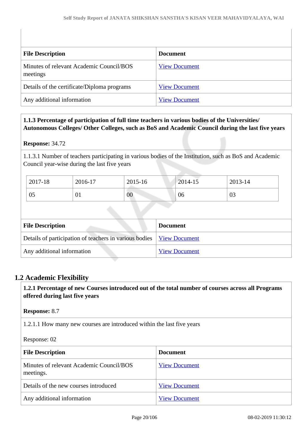| <b>File Description</b>                              | <b>Document</b>      |
|------------------------------------------------------|----------------------|
| Minutes of relevant Academic Council/BOS<br>meetings | <b>View Document</b> |
| Details of the certificate/Diploma programs          | <b>View Document</b> |
| Any additional information                           | <b>View Document</b> |

#### **1.1.3 Percentage of participation of full time teachers in various bodies of the Universities/ Autonomous Colleges/ Other Colleges, such as BoS and Academic Council during the last five years**

#### **Response:** 34.72

1.1.3.1 Number of teachers participating in various bodies of the Institution, such as BoS and Academic Council year-wise during the last five years

| 2017-18 | 2016-17 | 2015-16 | 2014-15 | 2013-14 |
|---------|---------|---------|---------|---------|
| 05      | 01      | $00\,$  | 06      | 03      |

| <b>File Description</b>                                                       | <b>Document</b>      |
|-------------------------------------------------------------------------------|----------------------|
| Details of participation of teachers in various bodies   <u>View Document</u> |                      |
| Any additional information                                                    | <b>View Document</b> |

#### **1.2 Academic Flexibility**

 **1.2.1 Percentage of new Courses introduced out of the total number of courses across all Programs offered during last five years**

**Response:** 8.7

1.2.1.1 How many new courses are introduced within the last five years

Response: 02

| <b>File Description</b>                               | <b>Document</b>      |
|-------------------------------------------------------|----------------------|
| Minutes of relevant Academic Council/BOS<br>meetings. | <b>View Document</b> |
| Details of the new courses introduced                 | <b>View Document</b> |
| Any additional information                            | <b>View Document</b> |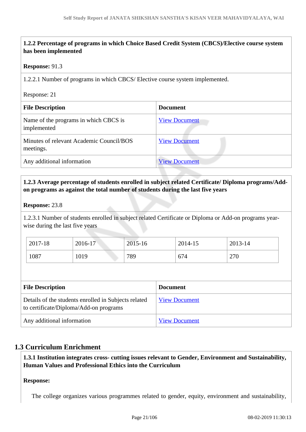#### **1.2.2 Percentage of programs in which Choice Based Credit System (CBCS)/Elective course system has been implemented**

#### **Response:** 91.3

1.2.2.1 Number of programs in which CBCS/ Elective course system implemented.

#### Response: 21

| <b>File Description</b>                               | <b>Document</b>      |
|-------------------------------------------------------|----------------------|
| Name of the programs in which CBCS is<br>implemented  | <b>View Document</b> |
| Minutes of relevant Academic Council/BOS<br>meetings. | <b>View Document</b> |
| Any additional information                            | <b>View Document</b> |

#### **1.2.3 Average percentage of students enrolled in subject related Certificate/ Diploma programs/Addon programs as against the total number of students during the last five years**

#### **Response:** 23.8

1.2.3.1 Number of students enrolled in subject related Certificate or Diploma or Add-on programs yearwise during the last five years

| 2017-18 | 2016-17 | 2015-16 | 2014-15 | 2013-14 |
|---------|---------|---------|---------|---------|
| 1087    | 1019    | 789     | 674     | 270     |

| <b>File Description</b>                                                                        | <b>Document</b>      |
|------------------------------------------------------------------------------------------------|----------------------|
| Details of the students enrolled in Subjects related<br>to certificate/Diploma/Add-on programs | <b>View Document</b> |
| Any additional information                                                                     | <b>View Document</b> |

#### **1.3 Curriculum Enrichment**

 **1.3.1 Institution integrates cross- cutting issues relevant to Gender, Environment and Sustainability, Human Values and Professional Ethics into the Curriculum**

#### **Response:**

The college organizes various programmes related to gender, equity, environment and sustainability,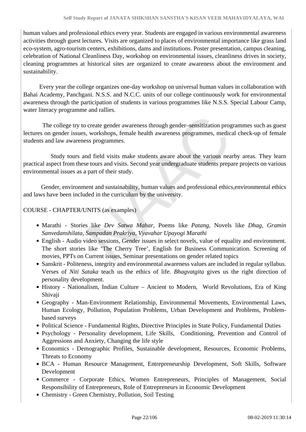human values and professional ethics every year. Students are engaged in various environmental awareness activities through guest lectures. Visits are organized to places of environmental importance like grass land eco-system, agro-tourism centers, exhibitions, dams and institutions. Poster presentation, campus cleaning, celebration of National Cleanliness Day, workshop on environmental issues, cleanliness drives in society, cleaning programmes at historical sites are organized to create awareness about the environment and sustainability.

 Every year the college organizes one-day workshop on universal human values in collaboration with Bahai Academy, Panchgani. N.S.S. and N.C.C. units of our college continuously work for environmental awareness through the participation of students in various programmes like N.S.S. Special Labour Camp, water literacy programme and rallies.

 The college try to create gender awareness through gender–sensitization programmes such as guest lectures on gender issues, workshops, female health awareness programmes, medical check-up of female students and law awareness programmes.

 Study tours and field visits make students aware about the various nearby areas. They learn practical aspect from these tours and visits. Second year undergraduate students prepare projects on various environmental issues as a part of their study.

 Gender, environment and sustainability, human values and professional ethics,environmental ethics and laws have been included in the curriculum by the university.

#### COURSE - CHAPTER/UNITS (as examples)

- Marathi Stories like *Dev Satwa Mahar,* Poems like *Patang,* Novels like *Dhag, Gramin Sanvedanshilata, Sampadan Prakriya, Vyavahar Upayogi Marathi*
- English Audio video sessions, Gender issues in select novels, value of equality and environment. The short stories like 'The Cherry Tree', English for Business Communication. Screening of movies, PPTs on Current issues, Seminar presentations on gender related topics
- Sanskrit Politeness, integrity and environmental awareness values are included in regular syllabus. Verses of *Niti Sataka* teach us the ethics of life. *Bhagvatgita* gives us the right direction of personality development.
- History Nationalism, Indian Culture Ancient to Modern, World Revolutions, Era of King Shivaji
- Geography Man-Environment Relationship, Environmental Movements, Environmental Laws, Human Ecology, Pollution, Population Problems, Urban Development and Problems, Problembased surveys
- Political Science Fundamental Rights, Directive Principles in State Policy, Fundamental Duties
- Psychology Personality development, Life Skills, Conditioning, Prevention and Control of Aggressions and Anxiety, Changing the life style
- Economics Demographic Profiles, Sustainable development, Resources, Economic Problems, Threats to Economy
- BCA Human Resource Management, Entrepreneurship Development, Soft Skills, Software Development
- Commerce Corporate Ethics, Women Entrepreneurs, Principles of Management, Social Responsibility of Entrepreneurs, Role of Entrepreneurs in Economic Development
- Chemistry Green Chemistry, Pollution, Soil Testing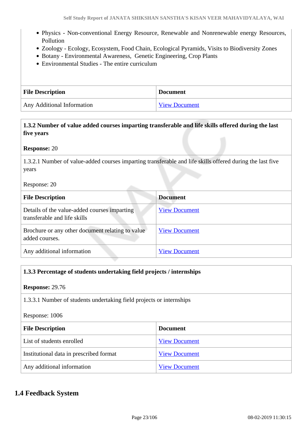- Physics Non-conventional Energy Resource, Renewable and Nonrenewable energy Resources, Pollution
- Zoology Ecology, Ecosystem, Food Chain, Ecological Pyramids, Visits to Biodiversity Zones
- Botany Environmental Awareness, Genetic Engineering, Crop Plants
- Environmental Studies The entire curriculum

| <b>File Description</b>    | <b>Document</b> |
|----------------------------|-----------------|
| Any Additional Information | View Document   |

| 1.3.2 Number of value added courses imparting transferable and life skills offered during the last |
|----------------------------------------------------------------------------------------------------|
| five years                                                                                         |

#### **Response:** 20

1.3.2.1 Number of value-added courses imparting transferable and life skills offered during the last five years

#### Response: 20

| <b>File Description</b>                                                      | <b>Document</b>      |
|------------------------------------------------------------------------------|----------------------|
| Details of the value-added courses imparting<br>transferable and life skills | <b>View Document</b> |
| Brochure or any other document relating to value<br>added courses.           | <b>View Document</b> |
| Any additional information                                                   | <b>View Document</b> |

#### **1.3.3 Percentage of students undertaking field projects / internships**

#### **Response:** 29.76

1.3.3.1 Number of students undertaking field projects or internships

#### Response: 1006

| <b>File Description</b>                 | <b>Document</b>      |
|-----------------------------------------|----------------------|
| List of students enrolled               | <b>View Document</b> |
| Institutional data in prescribed format | <b>View Document</b> |
| Any additional information              | <b>View Document</b> |

#### **1.4 Feedback System**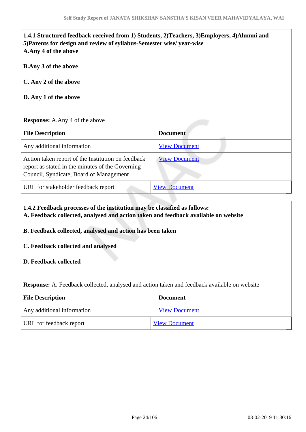| 1.4.1 Structured feedback received from 1) Students, 2) Teachers, 3) Employers, 4) Alumni and<br>5) Parents for design and review of syllabus-Semester wise/ year-wise<br>A.Any 4 of the above |                      |
|------------------------------------------------------------------------------------------------------------------------------------------------------------------------------------------------|----------------------|
| <b>B.Any 3 of the above</b>                                                                                                                                                                    |                      |
| C. Any 2 of the above                                                                                                                                                                          |                      |
| D. Any 1 of the above                                                                                                                                                                          |                      |
|                                                                                                                                                                                                |                      |
| <b>Response:</b> A.Any 4 of the above                                                                                                                                                          |                      |
| <b>File Description</b>                                                                                                                                                                        | <b>Document</b>      |
| Any additional information                                                                                                                                                                     | <b>View Document</b> |
| Action taken report of the Institution on feedback<br>report as stated in the minutes of the Governing<br>Council, Syndicate, Board of Management                                              | <b>View Document</b> |

#### **1.4.2 Feedback processes of the institution may be classified as follows: A. Feedback collected, analysed and action taken and feedback available on website**

**B. Feedback collected, analysed and action has been taken**

#### **C. Feedback collected and analysed**

#### **D. Feedback collected**

**Response:** A. Feedback collected, analysed and action taken and feedback available on website

| <b>File Description</b>    | <b>Document</b>      |  |
|----------------------------|----------------------|--|
| Any additional information | <b>View Document</b> |  |
| URL for feedback report    | <b>View Document</b> |  |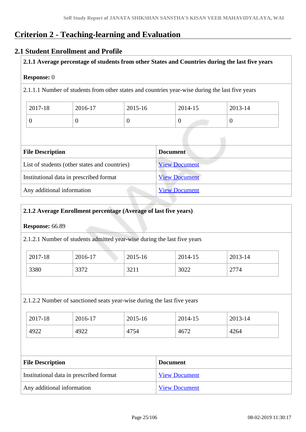## **Criterion 2 - Teaching-learning and Evaluation**

#### **2.1 Student Enrollment and Profile**

**2.1.1 Average percentage of students from other States and Countries during the last five years**

#### **Response:** 0

2.1.1.1 Number of students from other states and countries year-wise during the last five years

| 2017-18 | 2016-17 | 2015-16 | 2014-15 | 2013-14 |
|---------|---------|---------|---------|---------|
|         |         | ິ       |         |         |

| <b>File Description</b>                       | <b>Document</b>      |  |  |  |
|-----------------------------------------------|----------------------|--|--|--|
| List of students (other states and countries) | <b>View Document</b> |  |  |  |
| Institutional data in prescribed format       | <b>View Document</b> |  |  |  |
| Any additional information                    | <b>View Document</b> |  |  |  |

#### **2.1.2 Average Enrollment percentage (Average of last five years)**

#### **Response:** 66.89

2.1.2.1 Number of students admitted year-wise during the last five years

| 2017-18 | 2016-17 | 2015-16        | 2014-15 | 2013-14 |
|---------|---------|----------------|---------|---------|
| 3380    | 3372    | 2211<br>44 م ک | 3022    | 2774    |

#### 2.1.2.2 Number of sanctioned seats year-wise during the last five years

| 2017-18 | 2016-17 | 2015-16 | 2014-15 | 2013-14 |
|---------|---------|---------|---------|---------|
| 4922    | 4922    | 4754    | 4672    | 4264    |

| <b>File Description</b>                 | <b>Document</b>      |
|-----------------------------------------|----------------------|
| Institutional data in prescribed format | <b>View Document</b> |
| Any additional information              | <b>View Document</b> |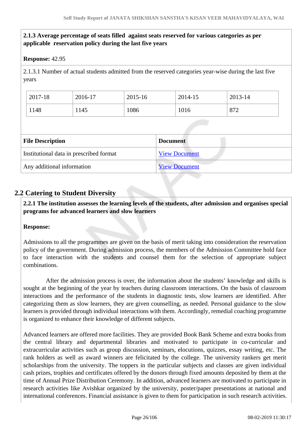#### **2.1.3 Average percentage of seats filled against seats reserved for various categories as per applicable reservation policy during the last five years**

#### **Response:** 42.95

2.1.3.1 Number of actual students admitted from the reserved categories year-wise during the last five years

| 2017-18 | 2016-17 | 2015-16 | 2014-15 | 2013-14 |
|---------|---------|---------|---------|---------|
| 1148    | 145     | 1086    | 1016    | 872     |

| <b>File Description</b>                 | <b>Document</b>      |
|-----------------------------------------|----------------------|
| Institutional data in prescribed format | <b>View Document</b> |
| Any additional information              | <b>View Document</b> |

#### **2.2 Catering to Student Diversity**

 **2.2.1 The institution assesses the learning levels of the students, after admission and organises special programs for advanced learners and slow learners**

#### **Response:**

Admissions to all the programmes are given on the basis of merit taking into consideration the reservation policy of the government. During admission process, the members of the Admission Committee hold face to face interaction with the students and counsel them for the selection of appropriate subject combinations.

 After the admission process is over, the information about the students' knowledge and skills is sought at the beginning of the year by teachers during classroom interactions. On the basis of classroom interactions and the performance of the students in diagnostic tests, slow learners are identified. After categorizing them as slow learners, they are given counselling, as needed. Personal guidance to the slow learners is provided through individual interactions with them. Accordingly, remedial coaching programme is organized to enhance their knowledge of different subjects.

Advanced learners are offered more facilities. They are provided Book Bank Scheme and extra books from the central library and departmental libraries and motivated to participate in co-curricular and extracurricular activities such as group discussion, seminars, elocutions, quizzes, essay writing, etc. The rank holders as well as award winners are felicitated by the college. The university rankers get merit scholarships from the university. The toppers in the particular subjects and classes are given individual cash prizes, trophies and certificates offered by the donors through fixed amounts deposited by them at the time of Annual Prize Distribution Ceremony. In addition, advanced learners are motivated to participate in research activities like Avishkar organized by the university, poster/paper presentations at national and international conferences. Financial assistance is given to them for participation in such research activities.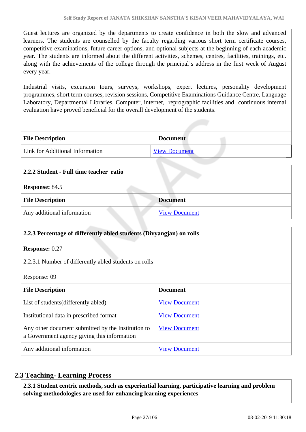Guest lectures are organized by the departments to create confidence in both the slow and advanced learners. The students are counselled by the faculty regarding various short term certificate courses, competitive examinations, future career options, and optional subjects at the beginning of each academic year. The students are informed about the different activities, schemes, centres, facilities, trainings, etc. along with the achievements of the college through the principal's address in the first week of August every year.

Industrial visits, excursion tours, surveys, workshops, expert lectures, personality development programmes, short term courses, revision sessions, Competitive Examinations Guidance Centre, Language Laboratory, Departmental Libraries, Computer, internet, reprographic facilities and continuous internal evaluation have proved beneficial for the overall development of the students.

| <b>File Description</b>         | <b>Document</b>      |
|---------------------------------|----------------------|
| Link for Additional Information | <b>View Document</b> |

| 2.2.2 Student - Full time teacher ratio |                      |
|-----------------------------------------|----------------------|
| <b>Response: 84.5</b>                   |                      |
| <b>File Description</b>                 | <b>Document</b>      |
| Any additional information              | <b>View Document</b> |

| 2.2.3 Percentage of differently abled students (Divyangian) on rolls                              |                      |  |
|---------------------------------------------------------------------------------------------------|----------------------|--|
| <b>Response: 0.27</b>                                                                             |                      |  |
| 2.2.3.1 Number of differently abled students on rolls                                             |                      |  |
| Response: 09                                                                                      |                      |  |
| <b>File Description</b>                                                                           | <b>Document</b>      |  |
| List of students (differently abled)                                                              | <b>View Document</b> |  |
| Institutional data in prescribed format                                                           | <b>View Document</b> |  |
| Any other document submitted by the Institution to<br>a Government agency giving this information | <b>View Document</b> |  |
| Any additional information                                                                        | <b>View Document</b> |  |

#### **2.3 Teaching- Learning Process**

 **2.3.1 Student centric methods, such as experiential learning, participative learning and problem solving methodologies are used for enhancing learning experiences**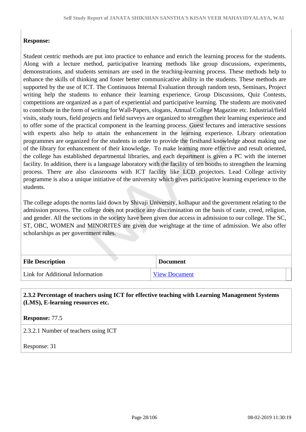#### **Response:**

Student centric methods are put into practice to enhance and enrich the learning process for the students. Along with a lecture method, participative learning methods like group discussions, experiments, demonstrations, and students seminars are used in the teaching-learning process. These methods help to enhance the skills of thinking and foster better communicative ability in the students. These methods are supported by the use of ICT. The Continuous Internal Evaluation through random tests, Seminars, Project writing help the students to enhance their learning experience. Group Discussions, Quiz Contests, competitions are organized as a part of experiential and participative learning. The students are motivated to contribute in the form of writing for Wall-Papers, slogans, Annual College Magazine etc. Industrial/field visits, study tours, field projects and field surveys are organized to strengthen their learning experience and to offer some of the practical component in the learning process. Guest lectures and interactive sessions with experts also help to attain the enhancement in the learning experience. Library orientation programmes are organized for the students in order to provide the firsthand knowledge about making use of the library for enhancement of their knowledge. To make learning more effective and result oriented, the college has established departmental libraries, and each department is given a PC with the internet facility. In addition, there is a language laboratory with the facility of ten booths to strengthen the learning process. There are also classrooms with ICT facility like LCD projectors. Lead College activity programme is also a unique initiative of the university which gives participative learning experience to the students.

The college adopts the norms laid down by Shivaji University, kolhapur and the government relating to the admission process. The college does not practice any discrimination on the basis of caste, creed, religion, and gender. All the sections in the society have been given due access in admission to our college. The SC, ST, OBC, WOMEN and MINORITES are given due weightage at the time of admission. We also offer scholarships as per government rules.

| <b>File Description</b>         | <b>Document</b>      |
|---------------------------------|----------------------|
| Link for Additional Information | <b>View Document</b> |

#### **2.3.2 Percentage of teachers using ICT for effective teaching with Learning Management Systems (LMS), E-learning resources etc.**

**Response:** 77.5

2.3.2.1 Number of teachers using ICT

Response: 31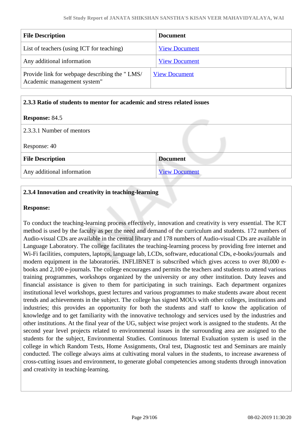| <b>File Description</b>                                                      | <b>Document</b>      |
|------------------------------------------------------------------------------|----------------------|
| List of teachers (using ICT for teaching)                                    | <b>View Document</b> |
| Any additional information                                                   | <b>View Document</b> |
| Provide link for webpage describing the "LMS/<br>Academic management system" | <b>View Document</b> |

#### **2.3.3 Ratio of students to mentor for academic and stress related issues**

#### **Response:** 84.5

| 2.3.3.1 Number of mentors  |                      |  |
|----------------------------|----------------------|--|
| Response: 40               |                      |  |
| <b>File Description</b>    | <b>Document</b>      |  |
| Any additional information | <b>View Document</b> |  |

#### **2.3.4 Innovation and creativity in teaching-learning**

#### **Response:**

To conduct the teaching-learning process effectively, innovation and creativity is very essential. The ICT method is used by the faculty as per the need and demand of the curriculum and students. 172 numbers of Audio-visual CDs are available in the central library and 178 numbers of Audio-visual CDs are available in Language Laboratory. The college facilitates the teaching-learning process by providing free internet and Wi-Fi facilities, computers, laptops, language lab, LCDs, software, educational CDs, e-books/journals and modern equipment in the laboratories. INFLIBNET is subscribed which gives access to over 80,000 ebooks and 2,100 e-journals. The college encourages and permits the teachers and students to attend various training programmes, workshops organized by the university or any other institution. Duty leaves and financial assistance is given to them for participating in such trainings. Each department organizes institutional level workshops, guest lectures and various programmes to make students aware about recent trends and achievements in the subject. The college has signed MOUs with other colleges, institutions and industries; this provides an opportunity for both the students and staff to know the application of knowledge and to get familiarity with the innovative technology and services used by the industries and other institutions. At the final year of the UG, subject wise project work is assigned to the students. At the second year level projects related to environmental issues in the surrounding area are assigned to the students for the subject, Environmental Studies. Continuous Internal Evaluation system is used in the college in which Random Tests, Home Assignments, Oral test, Diagnostic test and Seminars are mainly conducted. The college always aims at cultivating moral values in the students, to increase awareness of cross-cutting issues and environment, to generate global competencies among students through innovation and creativity in teaching-learning.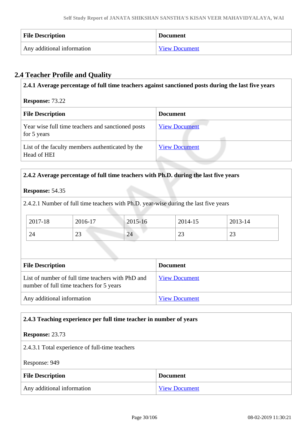| <b>File Description</b>    | <b>Document</b>      |
|----------------------------|----------------------|
| Any additional information | <b>View Document</b> |

### **2.4 Teacher Profile and Quality**

| 2.4.1 Average percentage of full time teachers against sanctioned posts during the last five years |                      |  |
|----------------------------------------------------------------------------------------------------|----------------------|--|
| <b>Response: 73.22</b><br><b>File Description</b><br>Document                                      |                      |  |
| Year wise full time teachers and sanctioned posts<br>for 5 years                                   | <b>View Document</b> |  |
| List of the faculty members authenticated by the<br>Head of HEI                                    | <b>View Document</b> |  |

#### **2.4.2 Average percentage of full time teachers with Ph.D. during the last five years**

#### **Response:** 54.35

2.4.2.1 Number of full time teachers with Ph.D. year-wise during the last five years

| 2017-18 | 2016-17  | $2015 - 16$ | 2014-15      | 2013-14      |
|---------|----------|-------------|--------------|--------------|
| 24      | ററ<br>رے | 24          | $\cap$<br>رے | $\sim$<br>رے |

| <b>File Description</b>                                                                       | <b>Document</b>      |
|-----------------------------------------------------------------------------------------------|----------------------|
| List of number of full time teachers with PhD and<br>number of full time teachers for 5 years | <b>View Document</b> |
| Any additional information                                                                    | <b>View Document</b> |

#### **2.4.3 Teaching experience per full time teacher in number of years**

#### **Response:** 23.73

2.4.3.1 Total experience of full-time teachers

Response: 949

| <b>File Description</b>    | <b>Document</b>      |
|----------------------------|----------------------|
| Any additional information | <b>View Document</b> |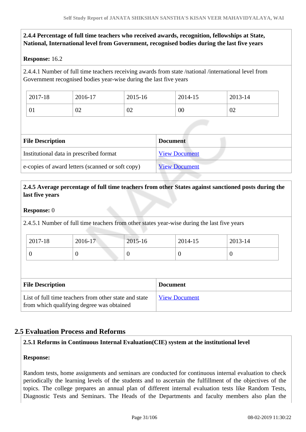#### **2.4.4 Percentage of full time teachers who received awards, recognition, fellowships at State, National, International level from Government, recognised bodies during the last five years**

#### **Response:** 16.2

2.4.4.1 Number of full time teachers receiving awards from state /national /international level from Government recognised bodies year-wise during the last five years

| 2017-18 | 2016-17 | 2015-16 | 2014-15 | 2013-14 |
|---------|---------|---------|---------|---------|
| VI.     | 02      | 02      | 00      | 02      |

| <b>File Description</b>                          | <b>Document</b>      |
|--------------------------------------------------|----------------------|
| Institutional data in prescribed format          | <b>View Document</b> |
| e-copies of award letters (scanned or soft copy) | <b>View Document</b> |

#### **2.4.5 Average percentage of full time teachers from other States against sanctioned posts during the last five years**

#### **Response:** 0

2.4.5.1 Number of full time teachers from other states year-wise during the last five years

| 2017-18 | $2016 - 17$ | 2015-16 | 2014-15 | 2013-14 |
|---------|-------------|---------|---------|---------|
| ◡       | U           |         | ◡       |         |

| <b>File Description</b>                                                                            | <b>Document</b>      |
|----------------------------------------------------------------------------------------------------|----------------------|
| List of full time teachers from other state and state<br>from which qualifying degree was obtained | <b>View Document</b> |

#### **2.5 Evaluation Process and Reforms**

#### **2.5.1 Reforms in Continuous Internal Evaluation(CIE) system at the institutional level**

#### **Response:**

Random tests, home assignments and seminars are conducted for continuous internal evaluation to check periodically the learning levels of the students and to ascertain the fulfillment of the objectives of the topics. The college prepares an annual plan of different internal evaluation tests like Random Tests, Diagnostic Tests and Seminars. The Heads of the Departments and faculty members also plan the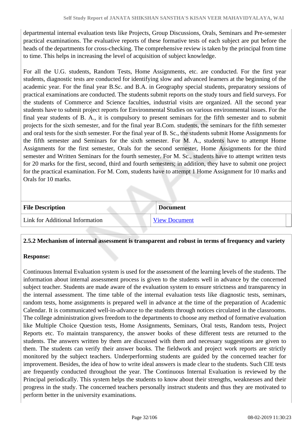departmental internal evaluation tests like Projects, Group Discussions, Orals, Seminars and Pre-semester practical examinations. The evaluative reports of these formative tests of each subject are put before the heads of the departments for cross-checking. The comprehensive review is taken by the principal from time to time. This helps in increasing the level of acquisition of subject knowledge.

For all the U.G. students, Random Tests, Home Assignments, etc. are conducted. For the first year students, diagnostic tests are conducted for identifying slow and advanced learners at the beginning of the academic year. For the final year B.Sc. and B.A. in Geography special students, preparatory sessions of practical examinations are conducted. The students submit reports on the study tours and field surveys. For the students of Commerce and Science faculties, industrial visits are organized. All the second year students have to submit project reports for Environmental Studies on various environmental issues. For the final year students of B. A., it is compulsory to present seminars for the fifth semester and to submit projects for the sixth semester, and for the final year B.Com. students, the seminars for the fifth semester and oral tests for the sixth semester. For the final year of B. Sc., the students submit Home Assignments for the fifth semester and Seminars for the sixth semester. For M. A., students have to attempt Home Assignments for the first semester, Orals for the second semester, Home Assignments for the third semester and Written Seminars for the fourth semester. For M. Sc., students have to attempt written tests for 20 marks for the first, second, third and fourth semesters; in addition, they have to submit one project for the practical examination. For M. Com, students have to attempt 1 Home Assignment for 10 marks and Orals for 10 marks.

| <b>File Description</b>         | <b>Document</b>      |
|---------------------------------|----------------------|
| Link for Additional Information | <b>View Document</b> |

#### **2.5.2 Mechanism of internal assessment is transparent and robust in terms of frequency and variety**

#### **Response:**

Continuous Internal Evaluation system is used for the assessment of the learning levels of the students. The information about internal assessment process is given to the students well in advance by the concerned subject teacher. Students are made aware of the evaluation system to ensure strictness and transparency in the internal assessment. The time table of the internal evaluation tests like diagnostic tests, seminars, random tests, home assignments is prepared well in advance at the time of the preparation of Academic Calendar. It is communicated well-in-advance to the students through notices circulated in the classrooms. The college administration gives freedom to the departments to choose any method of formative evaluation like Multiple Choice Question tests, Home Assignments, Seminars, Oral tests, Random tests, Project Reports etc. To maintain transparency, the answer books of these different tests are returned to the students. The answers written by them are discussed with them and necessary suggestions are given to them. The students can verify their answer books. The fieldwork and project work reports are strictly monitored by the subject teachers. Underperforming students are guided by the concerned teacher for improvement. Besides, the idea of how to write ideal answers is made clear to the students. Such CIE tests are frequently conducted throughout the year. The Continuous Internal Evaluation is reviewed by the Principal periodically. This system helps the students to know about their strengths, weaknesses and their progress in the study. The concerned teachers personally instruct students and thus they are motivated to perform better in the university examinations.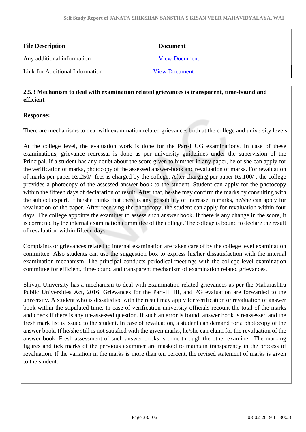| <b>File Description</b>         | <b>Document</b>      |
|---------------------------------|----------------------|
| Any additional information      | <b>View Document</b> |
| Link for Additional Information | <b>View Document</b> |

#### **2.5.3 Mechanism to deal with examination related grievances is transparent, time-bound and efficient**

#### **Response:**

There are mechanisms to deal with examination related grievances both at the college and university levels.

At the college level, the evaluation work is done for the Part-I UG examinations. In case of these examinations, grievance redressal is done as per university guidelines under the supervision of the Principal. If a student has any doubt about the score given to him/her in any paper, he or she can apply for the verification of marks, photocopy of the assessed answer-book and revaluation of marks. For revaluation of marks per paper Rs.250/- fees is charged by the college. After charging per paper Rs.100/-, the college provides a photocopy of the assessed answer-book to the student. Student can apply for the photocopy within the fifteen days of declaration of result. After that, he/she may confirm the marks by consulting with the subject expert. If he/she thinks that there is any possibility of increase in marks, he/she can apply for revaluation of the paper. After receiving the photocopy, the student can apply for revaluation within four days. The college appoints the examiner to assess such answer book. If there is any change in the score, it is corrected by the internal examination committee of the college. The college is bound to declare the result of revaluation within fifteen days.

Complaints or grievances related to internal examination are taken care of by the college level examination committee. Also students can use the suggestion box to express his/her dissatisfaction with the internal examination mechanism. The principal conducts periodical meetings with the college level examination committee for efficient, time-bound and transparent mechanism of examination related grievances.

Shivaji University has a mechanism to deal with Examination related grievances as per the Maharashtra Public Universities Act, 2016. Grievances for the Part-II, III, and PG evaluation are forwarded to the university. A student who is dissatisfied with the result may apply for verification or revaluation of answer book within the stipulated time. In case of verification university officials recount the total of the marks and check if there is any un-assessed question. If such an error is found, answer book is reassessed and the fresh mark list is issued to the student. In case of revaluation, a student can demand for a photocopy of the answer book. If he/she still is not satisfied with the given marks, he/she can claim for the revaluation of the answer book. Fresh assessment of such answer books is done through the other examiner. The marking figures and tick marks of the pervious examiner are masked to maintain transparency in the process of revaluation. If the variation in the marks is more than ten percent, the revised statement of marks is given to the student.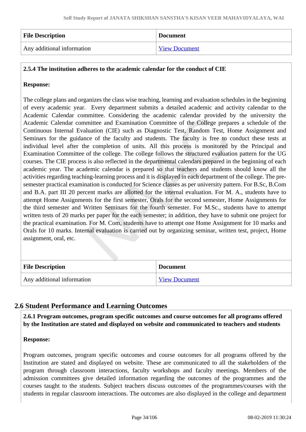| <b>File Description</b>    | <b>Document</b>      |
|----------------------------|----------------------|
| Any additional information | <b>View Document</b> |

#### **2.5.4 The institution adheres to the academic calendar for the conduct of CIE**

#### **Response:**

The college plans and organizes the class wise teaching, learning and evaluation schedules in the beginning of every academic year. Every department submits a detailed academic and activity calendar to the Academic Calendar committee. Considering the academic calendar provided by the university the Academic Calendar committee and Examination Committee of the College prepares a schedule of the Continuous Internal Evaluation (CIE) such as Diagnostic Test, Random Test, Home Assignment and Seminars for the guidance of the faculty and students. The faculty is free to conduct these tests at individual level after the completion of units. All this process is monitored by the Principal and Examination Committee of the college. The college follows the structured evaluation pattern for the UG courses. The CIE process is also reflected in the departmental calendars prepared in the beginning of each academic year. The academic calendar is prepared so that teachers and students should know all the activities regarding teaching-learning process and it is displayed in each department of the college. The presemester practical examination is conducted for Science classes as per university pattern. For B.Sc, B.Com and B.A. part III 20 percent marks are allotted for the internal evaluation. For M. A., students have to attempt Home Assignments for the first semester, Orals for the second semester, Home Assignments for the third semester and Written Seminars for the fourth semester. For M.Sc., students have to attempt written tests of 20 marks per paper for the each semester; in addition, they have to submit one project for the practical examination. For M. Com, students have to attempt one Home Assignment for 10 marks and Orals for 10 marks. Internal evaluation is carried out by organizing seminar, written test, project, Home assignment, oral, etc.

| <b>File Description</b>    | <b>Document</b>      |
|----------------------------|----------------------|
| Any additional information | <b>View Document</b> |

#### **2.6 Student Performance and Learning Outcomes**

 **2.6.1 Program outcomes, program specific outcomes and course outcomes for all programs offered by the Institution are stated and displayed on website and communicated to teachers and students**

#### **Response:**

Program outcomes, program specific outcomes and course outcomes for all programs offered by the Institution are stated and displayed on website. These are communicated to all the stakeholders of the program through classroom interactions, faculty workshops and faculty meetings. Members of the admission committees give detailed information regarding the outcomes of the programmes and the courses taught to the students. Subject teachers discuss outcomes of the programmes/courses with the students in regular classroom interactions. The outcomes are also displayed in the college and department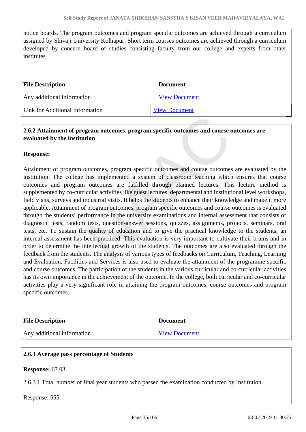notice boards. The program outcomes and program specific outcomes are achieved through a curriculum assigned by Shivaji University Kolhapur. Short term courses outcomes are achieved through a curriculum developed by concern board of studies consisting faculty from our college and experts from other institutes.

| <b>File Description</b>         | <b>Document</b>      |
|---------------------------------|----------------------|
| Any additional information      | <b>View Document</b> |
| Link for Additional Information | <b>View Document</b> |

#### **2.6.2 Attainment of program outcomes, program specific outcomes and course outcomes are evaluated by the institution**

#### **Response:**

Attainment of program outcomes, program specific outcomes and course outcomes are evaluated by the institution. The college has implemented a system of classroom teaching which ensures that course outcomes and program outcomes are fulfilled through planned lectures. This lecture method is supplemented by co-curricular activities like guest lectures, departmental and institutional level workshops, field visits, surveys and industrial visits. It helps the students to enhance their knowledge and make it more applicable. Attainment of program outcomes, program specific outcomes and course outcomes is evaluated through the students' performance in the university examinations and internal assessment that consists of diagnostic tests, random tests, question-answer sessions, quizzes, assignments, projects, seminars, oral tests, etc. To sustain the quality of education and to give the practical knowledge to the students, an internal assessment has been practiced. This evaluation is very important to cultivate their brains and in order to determine the intellectual growth of the students. The outcomes are also evaluated through the feedback from the students. The analysis of various types of feedbacks on Curriculum, Teaching, Learning and Evaluation, Facilities and Services is also used to evaluate the attainment of the programme specific and course outcomes. The participation of the students in the various curricular and co-curricular activities has its own importance in the achievement of the outcome. In the college, both curricular and co-curricular activities play a very significant role in attaining the program outcomes, course outcomes and program specific outcomes.

| <b>File Description</b>    | <b>Document</b>      |
|----------------------------|----------------------|
| Any additional information | <b>View Document</b> |

#### **2.6.3 Average pass percentage of Students**

#### **Response:** 67.03

2.6.3.1 Total number of final year students who passed the examination conducted by Institution.

Response: 555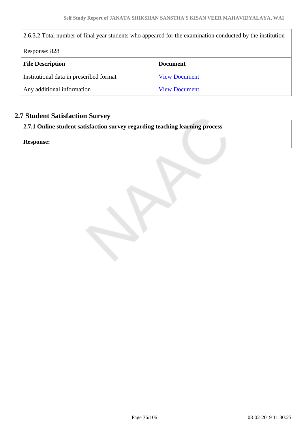| 2.6.3.2 Total number of final year students who appeared for the examination conducted by the institution |                      |  |
|-----------------------------------------------------------------------------------------------------------|----------------------|--|
| Response: 828                                                                                             |                      |  |
| <b>File Description</b>                                                                                   | <b>Document</b>      |  |
| Institutional data in prescribed format                                                                   | <b>View Document</b> |  |
| Any additional information                                                                                | <b>View Document</b> |  |

### **2.7 Student Satisfaction Survey**

**2.7.1 Online student satisfaction survey regarding teaching learning process**

**Response:**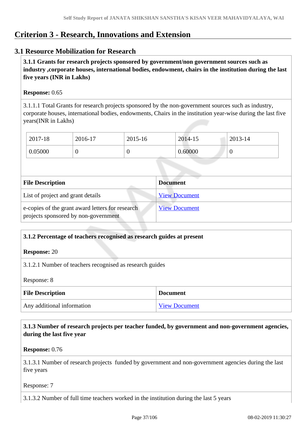## **Criterion 3 - Research, Innovations and Extension**

## **3.1 Resource Mobilization for Research**

 **3.1.1 Grants for research projects sponsored by government/non government sources such as industry ,corporate houses, international bodies, endowment, chairs in the institution during the last five years (INR in Lakhs)** 

#### **Response:** 0.65

3.1.1.1 Total Grants for research projects sponsored by the non-government sources such as industry, corporate houses, international bodies, endowments, Chairs in the institution year-wise during the last five years(INR in Lakhs)

| 2017-18 | 2016-17 | 2015-16 | 2014-15 | 2013-14 |
|---------|---------|---------|---------|---------|
| 0.05000 | ν       | U       | 0.60000 | v       |

| <b>File Description</b>                                                                  | <b>Document</b>      |
|------------------------------------------------------------------------------------------|----------------------|
| List of project and grant details                                                        | <b>View Document</b> |
| e-copies of the grant award letters for research<br>projects sponsored by non-government | <b>View Document</b> |

## **3.1.2 Percentage of teachers recognised as research guides at present**

#### **Response:** 20

3.1.2.1 Number of teachers recognised as research guides

Response: 8

| <b>File Description</b>    | <b>Document</b>      |
|----------------------------|----------------------|
| Any additional information | <b>View Document</b> |

## **3.1.3 Number of research projects per teacher funded, by government and non-government agencies, during the last five year**

**Response:** 0.76

3.1.3.1 Number of research projects funded by government and non-government agencies during the last five years

Response: 7

3.1.3.2 Number of full time teachers worked in the institution during the last 5 years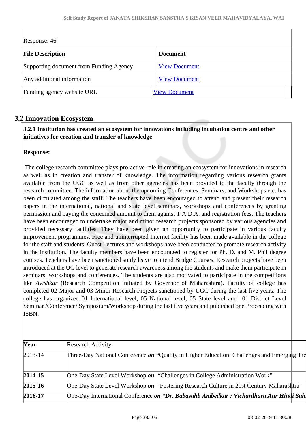| Response: 46                            |                      |  |
|-----------------------------------------|----------------------|--|
| <b>File Description</b>                 | <b>Document</b>      |  |
| Supporting document from Funding Agency | <b>View Document</b> |  |
| Any additional information              | <b>View Document</b> |  |
| Funding agency website URL              | <b>View Document</b> |  |

## **3.2 Innovation Ecosystem**

## **3.2.1 Institution has created an ecosystem for innovations including incubation centre and other initiatives for creation and transfer of knowledge**

## **Response:**

 The college research committee plays pro-active role in creating an ecosystem for innovations in research as well as in creation and transfer of knowledge. The information regarding various research grants available from the UGC as well as from other agencies has been provided to the faculty through the research committee. The information about the upcoming Conferences, Seminars, and Workshops etc. has been circulated among the staff. The teachers have been encouraged to attend and present their research papers in the international, national and state level seminars, workshops and conferences by granting permission and paying the concerned amount to them against T.A.D.A. and registration fees. The teachers have been encouraged to undertake major and minor research projects sponsored by various agencies and provided necessary facilities. They have been given an opportunity to participate in various faculty improvement programmes. Free and uninterrupted Internet facility has been made available in the college for the staff and students. Guest Lectures and workshops have been conducted to promote research activity in the institution. The faculty members have been encouraged to register for Ph. D. and M. Phil degree courses. Teachers have been sanctioned study leave to attend Bridge Courses. Research projects have been introduced at the UG level to generate research awareness among the students and make them participate in seminars, workshops and conferences. The students are also motivated to participate in the competitions like *Avishkar* (Research Competition initiated by Governor of Maharashtra). Faculty of college has completed 02 Major and 03 Minor Research Projects sanctioned by UGC during the last five years. The college has organized 01 International level, 05 National level, 05 State level and 01 District Level Seminar /Conference/ Symposium/Workshop during the last five years and published one Proceeding with ISBN.

| Year        | <b>Research Activity</b>                                                                   |  |
|-------------|--------------------------------------------------------------------------------------------|--|
| $2013 - 14$ | Three-Day National Conference on "Quality in Higher Education: Challenges and Emerging Tre |  |
| $2014 - 15$ | One-Day State Level Workshop on "Challenges in College Administration Work"                |  |
| $2015 - 16$ | One-Day State Level Workshop on "Fostering Research Culture in 21st Century Maharashtra"   |  |
| $2016 - 17$ | One-Day International Conference on "Dr. Babasahb Ambedkar: Vichardhara Aur Hindi Sah      |  |
|             |                                                                                            |  |

 $\overline{\phantom{a}}$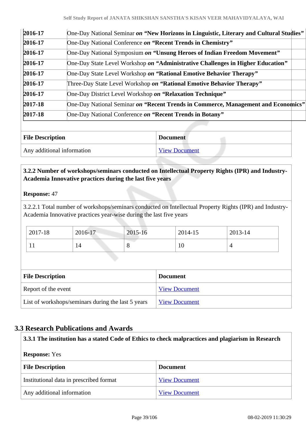| $2016 - 17$ | One-Day National Seminar on "New Horizons in Linguistic, Literary and Cultural Studies" |
|-------------|-----------------------------------------------------------------------------------------|
| $2016 - 17$ | One-Day National Conference on "Recent Trends in Chemistry"                             |
| 2016-17     | One-Day National Symposium on "Unsung Heroes of Indian Freedom Movement"                |
| 2016-17     | One-Day State Level Workshop on "Administrative Challenges in Higher Education"         |
| $2016 - 17$ | One-Day State Level Workshop on "Rational Emotive Behavior Therapy"                     |
| 2016-17     | Three-Day State Level Workshop on "Rational Emotive Behavior Therapy"                   |
| 2016-17     | One-Day District Level Workshop on "Relaxation Technique"                               |
| $2017 - 18$ | One-Day National Seminar on "Recent Trends in Commerce, Management and Economics"       |
| $2017 - 18$ | One-Day National Conference on "Recent Trends in Botany"                                |
|             |                                                                                         |

| <b>File Description</b>    | <b>Document</b>      |
|----------------------------|----------------------|
| Any additional information | <b>View Document</b> |

## **3.2.2 Number of workshops/seminars conducted on Intellectual Property Rights (IPR) and Industry-Academia Innovative practices during the last five years**

## **Response:** 47

3.2.2.1 Total number of workshops/seminars conducted on Intellectual Property Rights (IPR) and Industry-Academia Innovative practices year-wise during the last five years

| 2017-18 | 2016-17 | 2015-16 | 2014-15 | $2013 - 14$ |
|---------|---------|---------|---------|-------------|
|         | 14      | $\circ$ | ΙV      |             |

| <b>File Description</b>                            | <b>Document</b>      |
|----------------------------------------------------|----------------------|
| Report of the event                                | <b>View Document</b> |
| List of workshops/seminars during the last 5 years | <b>View Document</b> |

## **3.3 Research Publications and Awards**

| 3.3.1 The institution has a stated Code of Ethics to check malpractices and plagiarism in Research |                      |  |
|----------------------------------------------------------------------------------------------------|----------------------|--|
| <b>Response:</b> Yes                                                                               |                      |  |
| <b>File Description</b><br><b>Document</b>                                                         |                      |  |
| Institutional data in prescribed format                                                            | <b>View Document</b> |  |
| Any additional information                                                                         | <b>View Document</b> |  |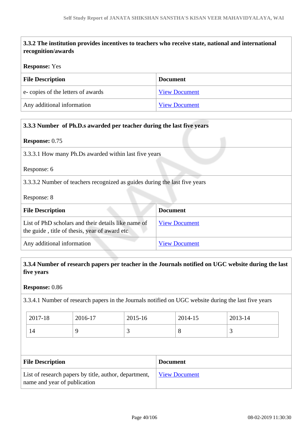# **3.3.2 The institution provides incentives to teachers who receive state, national and international recognition/awards**

#### **Response:** Yes

| <b>File Description</b>           | <b>Document</b>      |
|-----------------------------------|----------------------|
| e-copies of the letters of awards | <b>View Document</b> |
| Any additional information        | <b>View Document</b> |

| 3.3.3 Number of Ph.D.s awarded per teacher during the last five years                                 |                      |  |
|-------------------------------------------------------------------------------------------------------|----------------------|--|
| <b>Response: 0.75</b>                                                                                 |                      |  |
| 3.3.3.1 How many Ph.Ds awarded within last five years                                                 |                      |  |
| Response: 6                                                                                           |                      |  |
| 3.3.3.2 Number of teachers recognized as guides during the last five years                            |                      |  |
| Response: 8                                                                                           |                      |  |
| <b>Document</b><br><b>File Description</b>                                                            |                      |  |
| List of PhD scholars and their details like name of<br>the guide, title of thesis, year of award etc. | <b>View Document</b> |  |
| Any additional information                                                                            | <b>View Document</b> |  |

## **3.3.4 Number of research papers per teacher in the Journals notified on UGC website during the last five years**

**Response:** 0.86

3.3.4.1 Number of research papers in the Journals notified on UGC website during the last five years

| 2017-18 | 2016-17 | 2015-16 | 2014-15 | 2013-14 |
|---------|---------|---------|---------|---------|
| 14      |         | ັ       | ◡       | ້       |

| <b>File Description</b>                                                               | <b>Document</b>      |
|---------------------------------------------------------------------------------------|----------------------|
| List of research papers by title, author, department,<br>name and year of publication | <b>View Document</b> |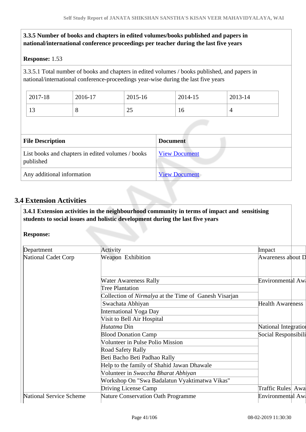## **3.3.5 Number of books and chapters in edited volumes/books published and papers in national/international conference proceedings per teacher during the last five years**

## **Response:** 1.53

3.3.5.1 Total number of books and chapters in edited volumes / books published, and papers in national/international conference-proceedings year-wise during the last five years

| 2017-18                                                        | 2016-17                    | 2015-16 |                 | 2014-15              | 2013-14 |  |
|----------------------------------------------------------------|----------------------------|---------|-----------------|----------------------|---------|--|
| 13                                                             | 8                          | 25      |                 | 16                   | 4       |  |
|                                                                |                            |         |                 |                      |         |  |
| <b>File Description</b>                                        |                            |         | <b>Document</b> |                      |         |  |
| List books and chapters in edited volumes / books<br>published |                            |         |                 | <b>View Document</b> |         |  |
|                                                                | Any additional information |         |                 | <b>View Document</b> |         |  |

## **3.4 Extension Activities**

 **3.4.1 Extension activities in the neighbourhood community in terms of impact and sensitising students to social issues and holistic development during the last five years**

#### **Response:**

| Department              | Activity                                                     | Impact               |  |
|-------------------------|--------------------------------------------------------------|----------------------|--|
| National Cadet Corp     | Weapon Exhibition                                            | Awareness about D    |  |
|                         | <b>Water Awareness Rally</b>                                 | Environmental Aw     |  |
|                         | Tree Plantation                                              |                      |  |
|                         | Collection of <i>Nirmalya</i> at the Time of Ganesh Visarjan |                      |  |
|                         | Swachata Abhiyan                                             | Health Awareness     |  |
|                         | <b>International Yoga Day</b>                                |                      |  |
|                         | Visit to Bell Air Hospital                                   |                      |  |
|                         | Hutatma Din                                                  | National Integration |  |
|                         | <b>Blood Donation Camp</b>                                   | Social Responsibili  |  |
|                         | Volunteer in Pulse Polio Mission                             |                      |  |
|                         | <b>Road Safety Rally</b>                                     |                      |  |
|                         | Beti Bacho Beti Padhao Rally                                 |                      |  |
|                         | Help to the family of Shahid Jawan Dhawale                   |                      |  |
|                         | Volunteer in Swaccha Bharat Abhiyan                          |                      |  |
|                         | Workshop On "Swa Badalatun Vyaktimatwa Vikas"                |                      |  |
|                         | Driving License Camp                                         | Traffic Rules Awa    |  |
| National Service Scheme | <b>Nature Conservation Oath Programme</b>                    | Environmental Aw     |  |
|                         |                                                              |                      |  |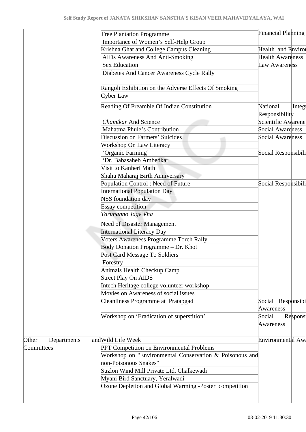|                      | <b>Tree Plantation Programme</b>                        | <b>Financial Planning</b>      |         |
|----------------------|---------------------------------------------------------|--------------------------------|---------|
|                      | Importance of Women's Self-Help Group                   |                                |         |
|                      | Krishna Ghat and College Campus Cleaning                | <b>Health</b> and Envirol      |         |
|                      | AIDs Awareness And Anti-Smoking                         | <b>Health Awareness</b>        |         |
|                      | <b>Sex Education</b>                                    | Law Awareness                  |         |
|                      | Diabetes And Cancer Awareness Cycle Rally               |                                |         |
|                      | Rangoli Exhibition on the Adverse Effects Of Smoking    |                                |         |
|                      | Cyber Law                                               |                                |         |
|                      | Reading Of Preamble Of Indian Constitution              | National<br>Responsibility     | Integ   |
|                      | <b>Chamtkar And Science</b>                             | Scientific Awarene             |         |
|                      | Mahatma Phule's Contribution                            | Social Awareness               |         |
|                      | <b>Discussion on Farmers' Suicides</b>                  | <b>Social Awareness</b>        |         |
|                      | Workshop On Law Literacy                                |                                |         |
|                      | 'Organic Farming'                                       | Social Responsibili            |         |
|                      | 'Dr. Babasaheb Ambedkar                                 |                                |         |
|                      | Visit to Kanherí Math                                   |                                |         |
|                      | Shahu Maharaj Birth Anniversary                         |                                |         |
|                      | <b>Population Control: Need of Future</b>               | Social Responsibili            |         |
|                      | <b>International Population Day</b>                     |                                |         |
|                      | <b>NSS</b> foundation day                               |                                |         |
|                      | <b>Essay competition</b>                                |                                |         |
|                      | Tarunanno Jage Vha                                      |                                |         |
|                      | <b>Need of Disaster Management</b>                      |                                |         |
|                      | <b>International Literacy Day</b>                       |                                |         |
|                      | <b>Voters Awareness Programme Torch Rally</b>           |                                |         |
|                      | Body Donation Programme - Dr. Khot                      |                                |         |
|                      | Post Card Message To Soldiers                           |                                |         |
|                      | Forestry                                                |                                |         |
|                      | Animals Health Checkup Camp                             |                                |         |
|                      | <b>Street Play On AIDS</b>                              |                                |         |
|                      | Intech Heritage college volunteer workshop              |                                |         |
|                      | Movies on Awareness of social issues                    |                                |         |
|                      | <b>Cleanliness Programme at Pratapgad</b>               | Social Responsibi<br>Awareness |         |
|                      | Workshop on 'Eradication of superstition'               | Social<br>Awareness            | Respons |
| Other<br>Departments | and Wild Life Week                                      | Environmental Aw               |         |
| Committees           | PPT Competition on Environmental Problems               |                                |         |
|                      | Workshop on "Environmental Conservation & Poisonous and |                                |         |
|                      | non-Poisonous Snakes"                                   |                                |         |
|                      | Suzlon Wind Mill Private Ltd. Chalkewadi                |                                |         |
|                      | Myani Bird Sanctuary, Yeralwadi                         |                                |         |
|                      | Ozone Depletion and Global Warming -Poster competition  |                                |         |
|                      |                                                         |                                |         |
|                      |                                                         |                                |         |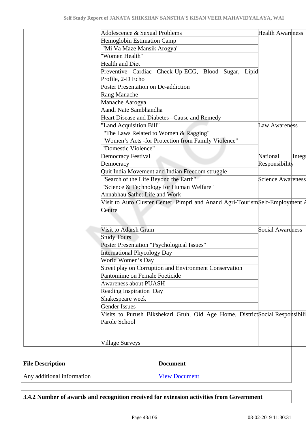| <b>International Phycology Day</b><br>World Women's Day<br>Street play on Corruption and Environment Conservation<br>Pantomime on Female Foeticide<br><b>Awareness about PUASH</b><br><b>Reading Inspiration Day</b><br>Shakespeare week<br><b>Gender Issues</b><br>Visits to Purush Bikshekari Gruh, Old Age Home, DistrictSocial Responsibili<br>Parole School<br>Village Surveys<br><b>File Description</b><br><b>Document</b> |                          |        |
|-----------------------------------------------------------------------------------------------------------------------------------------------------------------------------------------------------------------------------------------------------------------------------------------------------------------------------------------------------------------------------------------------------------------------------------|--------------------------|--------|
|                                                                                                                                                                                                                                                                                                                                                                                                                                   |                          |        |
|                                                                                                                                                                                                                                                                                                                                                                                                                                   |                          |        |
|                                                                                                                                                                                                                                                                                                                                                                                                                                   |                          |        |
|                                                                                                                                                                                                                                                                                                                                                                                                                                   |                          |        |
|                                                                                                                                                                                                                                                                                                                                                                                                                                   |                          |        |
|                                                                                                                                                                                                                                                                                                                                                                                                                                   |                          |        |
|                                                                                                                                                                                                                                                                                                                                                                                                                                   |                          |        |
|                                                                                                                                                                                                                                                                                                                                                                                                                                   |                          |        |
|                                                                                                                                                                                                                                                                                                                                                                                                                                   |                          |        |
|                                                                                                                                                                                                                                                                                                                                                                                                                                   |                          |        |
|                                                                                                                                                                                                                                                                                                                                                                                                                                   |                          |        |
|                                                                                                                                                                                                                                                                                                                                                                                                                                   |                          |        |
| Poster Presentation "Psychological Issues"                                                                                                                                                                                                                                                                                                                                                                                        |                          |        |
| <b>Study Tours</b>                                                                                                                                                                                                                                                                                                                                                                                                                |                          |        |
| Centre<br><b>Visit to Adarsh Gram</b>                                                                                                                                                                                                                                                                                                                                                                                             | <b>Social Awareness</b>  |        |
| Annabhau Sathe: Life and Work<br>Visit to Auto Cluster Center, Pimpri and Anand Agri-TourismSelf-Employment A                                                                                                                                                                                                                                                                                                                     |                          |        |
| "Science & Technology for Human Welfare"                                                                                                                                                                                                                                                                                                                                                                                          |                          |        |
| "Search of the Life Beyond the Earth"                                                                                                                                                                                                                                                                                                                                                                                             | <b>Science Awareness</b> |        |
| Quit India Movement and Indian Freedom struggle                                                                                                                                                                                                                                                                                                                                                                                   |                          |        |
| Democracy                                                                                                                                                                                                                                                                                                                                                                                                                         | Responsibility           |        |
| <b>Democracy Festival</b>                                                                                                                                                                                                                                                                                                                                                                                                         | National                 | Integ- |
| "Domestic Violence"                                                                                                                                                                                                                                                                                                                                                                                                               |                          |        |
| "Women's Acts -for Protection from Family Violence"                                                                                                                                                                                                                                                                                                                                                                               |                          |        |
| "The Laws Related to Women & Ragging"                                                                                                                                                                                                                                                                                                                                                                                             |                          |        |
| 'Land Acquisition Bill"                                                                                                                                                                                                                                                                                                                                                                                                           | Law Awareness            |        |
| Heart Disease and Diabetes - Cause and Remedy                                                                                                                                                                                                                                                                                                                                                                                     |                          |        |
| Aandi Nate Sambhandha                                                                                                                                                                                                                                                                                                                                                                                                             |                          |        |
| Manache Aarogya                                                                                                                                                                                                                                                                                                                                                                                                                   |                          |        |
| <b>Rang Manache</b>                                                                                                                                                                                                                                                                                                                                                                                                               |                          |        |
| Poster Presentation on De-addiction                                                                                                                                                                                                                                                                                                                                                                                               |                          |        |
| Preventive Cardiac Check-Up-ECG, Blood Sugar, Lipid<br>Profile, 2-D Echo                                                                                                                                                                                                                                                                                                                                                          |                          |        |
| <b>Health and Diet</b>                                                                                                                                                                                                                                                                                                                                                                                                            |                          |        |
| 'Women Health"                                                                                                                                                                                                                                                                                                                                                                                                                    |                          |        |
| "Mi Va Maze Mansik Arogya"                                                                                                                                                                                                                                                                                                                                                                                                        |                          |        |
| <b>Hemoglobin Estimation Camp</b>                                                                                                                                                                                                                                                                                                                                                                                                 |                          |        |
| Adolescence & Sexual Problems                                                                                                                                                                                                                                                                                                                                                                                                     | <b>Health Awareness</b>  |        |

**3.4.2 Number of awards and recognition received for extension activities from Government**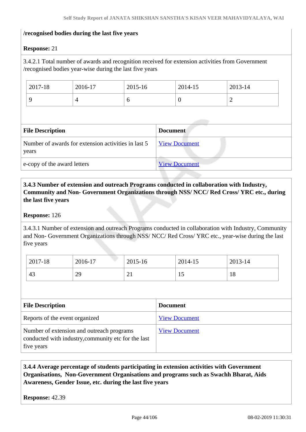#### **/recognised bodies during the last five years**

## **Response:** 21

3.4.2.1 Total number of awards and recognition received for extension activities from Government /recognised bodies year-wise during the last five years

| 2017-18 | 2016-17 | $2015 - 16$ | 2014-15 | 2013-14  |
|---------|---------|-------------|---------|----------|
|         |         | v           |         | <u>_</u> |

| <b>File Description</b>                                      | <b>Document</b>      |
|--------------------------------------------------------------|----------------------|
| Number of awards for extension activities in last 5<br>years | <b>View Document</b> |
| e-copy of the award letters                                  | <b>View Document</b> |

## **3.4.3 Number of extension and outreach Programs conducted in collaboration with Industry, Community and Non- Government Organizations through NSS/ NCC/ Red Cross/ YRC etc., during the last five years**

#### **Response:** 126

3.4.3.1 Number of extension and outreach Programs conducted in collaboration with Industry, Community and Non- Government Organizations through NSS/ NCC/ Red Cross/ YRC etc., year-wise during the last five years

| 2017-18 | 2016-17 | 2015-16              | 2014-15 | 2013-14 |
|---------|---------|----------------------|---------|---------|
| 43      | 29      | <b>A</b><br>$\sim$ 1 | ⊥ັ      | 18      |

| <b>File Description</b>                                                                                        | <b>Document</b>      |
|----------------------------------------------------------------------------------------------------------------|----------------------|
| Reports of the event organized                                                                                 | <b>View Document</b> |
| Number of extension and outreach programs<br>conducted with industry, community etc for the last<br>five years | <b>View Document</b> |

## **3.4.4 Average percentage of students participating in extension activities with Government Organisations, Non-Government Organisations and programs such as Swachh Bharat, Aids Awareness, Gender Issue, etc. during the last five years**

**Response:** 42.39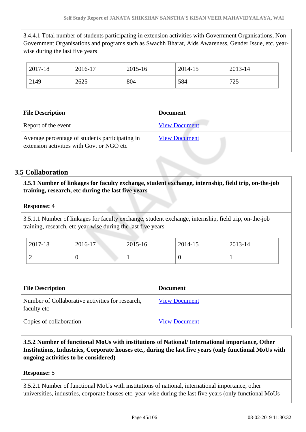3.4.4.1 Total number of students participating in extension activities with Government Organisations, Non-Government Organisations and programs such as Swachh Bharat, Aids Awareness, Gender Issue, etc. yearwise during the last five years

| 2017-18 |                         | 2016-17 | 2015-16 |                 | 2014-15              | 2013-14 |  |
|---------|-------------------------|---------|---------|-----------------|----------------------|---------|--|
| 2149    |                         | 2625    | 804     |                 | 584                  | 725     |  |
|         |                         |         |         |                 |                      |         |  |
|         |                         |         |         |                 |                      |         |  |
|         | <b>File Description</b> |         |         | <b>Document</b> |                      |         |  |
|         | Report of the event     |         |         |                 | <b>View Document</b> |         |  |

## **3.5 Collaboration**

 **3.5.1 Number of linkages for faculty exchange, student exchange, internship, field trip, on-the-job training, research, etc during the last five years**

## **Response:** 4

3.5.1.1 Number of linkages for faculty exchange, student exchange, internship, field trip, on-the-job training, research, etc year-wise during the last five years

| 2017-18 | 2016-17 | $2015 - 16$ | 2014-15 | 2013-14 |
|---------|---------|-------------|---------|---------|
| ⊷       |         |             |         |         |

| <b>File Description</b>                                         | <b>Document</b>      |
|-----------------------------------------------------------------|----------------------|
| Number of Collaborative activities for research,<br>faculty etc | <b>View Document</b> |
| Copies of collaboration                                         | <b>View Document</b> |

 **3.5.2 Number of functional MoUs with institutions of National/ International importance, Other Institutions, Industries, Corporate houses etc., during the last five years (only functional MoUs with ongoing activities to be considered)** 

## **Response:** 5

3.5.2.1 Number of functional MoUs with institutions of national, international importance, other universities, industries, corporate houses etc. year-wise during the last five years (only functional MoUs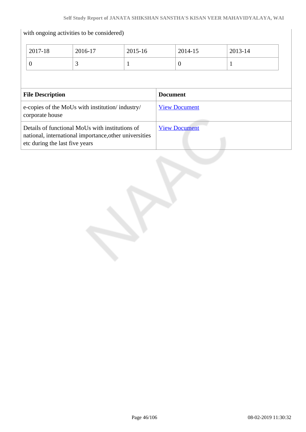|                         | with ongoing activities to be considered)                                                                 |         |                 |                      |         |  |
|-------------------------|-----------------------------------------------------------------------------------------------------------|---------|-----------------|----------------------|---------|--|
| 2017-18                 | 2016-17                                                                                                   | 2015-16 |                 | 2014-15              | 2013-14 |  |
| $\overline{0}$          | 3                                                                                                         | -1      |                 | $\theta$             | 1       |  |
|                         |                                                                                                           |         |                 |                      |         |  |
| <b>File Description</b> |                                                                                                           |         | <b>Document</b> |                      |         |  |
| corporate house         | e-copies of the MoUs with institution/industry/                                                           |         |                 | <b>View Document</b> |         |  |
|                         | Details of functional MoUs with institutions of<br>national, international importance, other universities |         |                 | <b>View Document</b> |         |  |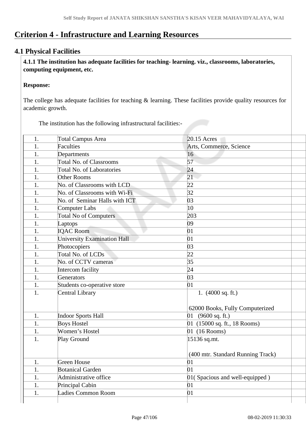# **Criterion 4 - Infrastructure and Learning Resources**

## **4.1 Physical Facilities**

 **4.1.1 The institution has adequate facilities for teaching- learning. viz., classrooms, laboratories, computing equipment, etc.**

#### **Response:**

The college has adequate facilities for teaching & learning. These facilities provide quality resources for academic growth.

The institution has the following infrastructural facilities:-

| 1. | <b>Total Campus Area</b>           | 20.15 Acres                       |  |
|----|------------------------------------|-----------------------------------|--|
| 1. | <b>Faculties</b>                   | Arts, Commerce, Science           |  |
| 1. | Departments                        | 16                                |  |
| 1. | <b>Total No. of Classrooms</b>     | 57                                |  |
| 1. | <b>Total No. of Laboratories</b>   | 24                                |  |
| 1. | <b>Other Rooms</b>                 | 21                                |  |
| 1. | No. of Classrooms with LCD         | 22                                |  |
| 1. | No. of Classrooms with Wi-Fi       | 32                                |  |
| 1. | No. of Seminar Halls with ICT      | 03                                |  |
| 1. | <b>Computer Labs</b>               | $ 10\rangle$                      |  |
| 1. | <b>Total No of Computers</b>       | 203                               |  |
| 1. | Laptops                            | 09                                |  |
| 1. | <b>IQAC Room</b>                   | 01                                |  |
| 1. | <b>University Examination Hall</b> | 01                                |  |
| 1. | Photocopiers                       | 03                                |  |
| 1. | Total No. of LCDs                  | 22                                |  |
| 1. | No. of CCTV cameras                | 35                                |  |
| 1. | Intercom facility                  | 24                                |  |
| 1. | Generators                         | 03                                |  |
| 1. | Students co-operative store        | 01                                |  |
| 1. | <b>Central Library</b>             | 1. $(4000 \text{ sq. ft.})$       |  |
|    |                                    | 62000 Books, Fully Computerized   |  |
| 1. | <b>Indoor Sports Hall</b>          | (9600 sq. ft.)<br>01              |  |
| 1. | <b>Boys Hostel</b>                 | 01 (15000 sq. ft., 18 Rooms)      |  |
| 1. | Women's Hostel                     | 01 (16 Rooms)                     |  |
| 1. | Play Ground                        | 15136 sq.mt.                      |  |
|    |                                    |                                   |  |
|    |                                    | (400 mtr. Standard Running Track) |  |
| 1. | <b>Green House</b>                 | 01                                |  |
| 1. | <b>Botanical Garden</b>            | 01                                |  |
| 1. | Administrative office              | 01 (Spacious and well-equipped)   |  |
| 1. | Principal Cabin                    | 01                                |  |
| 1. | Ladies Common Room                 | 01                                |  |
|    |                                    |                                   |  |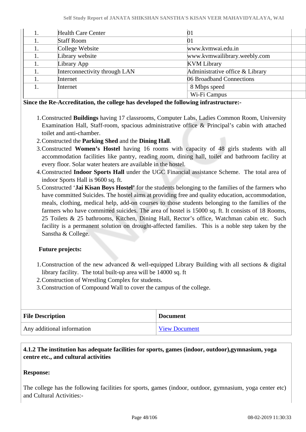|    | <b>Health Care Center</b>     | 01                              |  |
|----|-------------------------------|---------------------------------|--|
|    | <b>Staff Room</b>             | 01                              |  |
|    | College Website               | www.kvmwai.edu.in               |  |
|    | Library website               | www.kvmwailibrary.weebly.com    |  |
|    | Library App                   | <b>KVM Library</b>              |  |
| 1. | Interconnectivity through LAN | Administrative office & Library |  |
|    | Internet                      | 06 Broadband Connections        |  |
|    | Internet                      | 8 Mbps speed                    |  |
|    |                               | Wi-Fi Campus                    |  |

#### **Since the Re-Accreditation, the college has developed the following infrastructure:-**

- 1.Constructed **Buildings** having 17 classrooms, Computer Labs, Ladies Common Room, University Examination Hall, Staff-room, spacious administrative office & Principal's cabin with attached toilet and anti-chamber.
- 2.Constructed the **Parking Shed** and the **Dining Hall**.
- 3.Constructed **Women's Hostel** having 16 rooms with capacity of 48 girls students with all accommodation facilities like pantry, reading room, dining hall, toilet and bathroom facility at every floor. Solar water heaters are available in the hostel.
- 4.Constructed **Indoor Sports Hall** under the UGC Financial assistance Scheme. The total area of indoor Sports Hall is 9600 sq. ft.
- 5.Constructed '**Jai Kisan Boys Hostel'** for the students belonging to the families of the farmers who have committed Suicides. The hostel aims at providing free and quality education, accommodation, meals, clothing, medical help, add-on courses to those students belonging to the families of the farmers who have committed suicides. The area of hostel is 15000 sq. ft. It consists of 18 Rooms, 25 Toilets & 25 bathrooms, Kitchen, Dining Hall, Rector's office, Watchman cabin etc. Such facility is a permanent solution on drought-affected families. This is a noble step taken by the Sanstha & College.

## **Future projects:**

- 1.Construction of the new advanced & well-equipped Library Building with all sections & digital library facility. The total built-up area will be 14000 sq. ft
- 2.Construction of Wrestling Complex for students.
- 3.Construction of Compound Wall to cover the campus of the college.

| <b>File Description</b>    | <b>Document</b>      |
|----------------------------|----------------------|
| Any additional information | <b>View Document</b> |

## **4.1.2 The institution has adequate facilities for sports, games (indoor, outdoor),gymnasium, yoga centre etc., and cultural activities**

## **Response:**

The college has the following facilities for sports, games (indoor, outdoor, gymnasium, yoga center etc) and Cultural Activities:-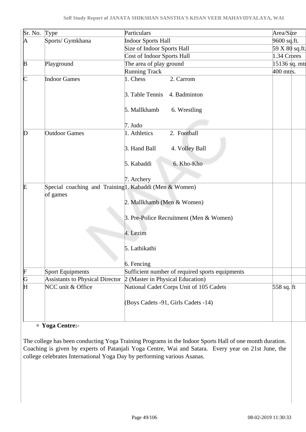| Sr. No.       | Type                                                  | Particulars                                     | Area/Size          |  |
|---------------|-------------------------------------------------------|-------------------------------------------------|--------------------|--|
| A             | Sports/ Gymkhana                                      | <b>Indoor Sports Hall</b>                       | 9600 sq.ft.        |  |
|               |                                                       | Size of Indoor Sports Hall                      | 59 X 80 sq.ft.     |  |
|               |                                                       | <b>Cost of Indoor Sports Hall</b>               | 1.34 Crores        |  |
| B             | Playground                                            | The area of play ground                         | 15136 sq. mtr      |  |
|               |                                                       | <b>Running Track</b>                            | 400 mtrs.          |  |
| $\sf{C}$      | <b>Indoor Games</b>                                   | 1. Chess<br>2. Carrom                           |                    |  |
|               |                                                       | 3. Table Tennis<br>4. Badminton                 |                    |  |
|               |                                                       | 5. Mallkhamb<br>6. Wrestling                    |                    |  |
|               |                                                       | 7. Judo                                         |                    |  |
| $\mathbb D$   | <b>Outdoor Games</b>                                  | 2. Football<br>1. Athletics                     |                    |  |
|               |                                                       | 3. Hand Ball<br>4. Volley Ball                  |                    |  |
|               |                                                       | 5. Kabaddi<br>6. Kho-Kho                        |                    |  |
|               |                                                       | 7. Archery                                      |                    |  |
| E             | Special coaching and Training1. Kabaddi (Men & Women) |                                                 |                    |  |
|               | of games                                              |                                                 |                    |  |
|               |                                                       | 2. Mallkhamb (Men & Women)                      |                    |  |
|               |                                                       | 3. Pre-Police Recruitment (Men & Women)         |                    |  |
|               |                                                       | 4. Lezim                                        |                    |  |
|               |                                                       | 5. Lathikathi                                   |                    |  |
|               |                                                       | 6. Fencing                                      |                    |  |
|               | <b>Sport Equipments</b>                               | Sufficient number of required sports equipments |                    |  |
| $\frac{F}{G}$ | Assistants to Physical Director                       | 2 (Master in Physical Education)                |                    |  |
|               | NCC unit & Office                                     | National Cadet Corps Unit of 105 Cadets         | 558 sq. $\vert$ ft |  |
|               |                                                       | (Boys Cadets -91, Girls Cadets -14)             |                    |  |
|               |                                                       |                                                 |                    |  |

## **Yoga Centre:-**

The college has been conducting Yoga Training Programs in the Indoor Sports Hall of one month duration. Coaching is given by experts of Patanjali Yoga Centre, Wai and Satara. Every year on 21st June, the college celebrates International Yoga Day by performing various Asanas.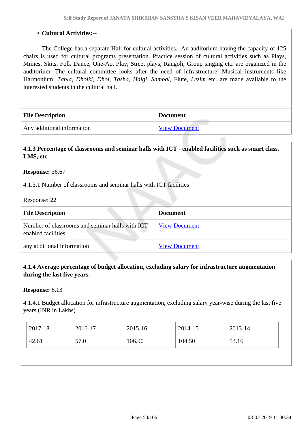#### **Cultural Activities:--**

 The College has a separate Hall for cultural activities. An auditorium having the capacity of 125 chairs is used for cultural programs presentation. Practice session of cultural activities such as Plays, Mimes, Skits, Folk Dance, One-Act Play, Street plays, Rangoli, Group singing etc. are organized in the auditorium. The cultural committee looks after the need of infrastructure. Musical instruments like Harmonium, *Tabla, Dholki, Dhol, Tasha, Halgi, Sambal,* Flute, *Lezim* etc. are made available to the interested students in the cultural hall.

| <b>File Description</b>    | <b>Document</b>      |
|----------------------------|----------------------|
| Any additional information | <b>View Document</b> |

## **4.1.3 Percentage of classrooms and seminar halls with ICT - enabled facilities such as smart class, LMS, etc**

#### **Response:** 36.67

4.1.3.1 Number of classrooms and seminar halls with ICT facilities

Response: 22

| <b>File Description</b>                                               | <b>Document</b>      |
|-----------------------------------------------------------------------|----------------------|
| Number of classrooms and seminar halls with ICT<br>enabled facilities | <b>View Document</b> |
| any additional information                                            | <b>View Document</b> |

## **4.1.4 Average percentage of budget allocation, excluding salary for infrastructure augmentation during the last five years.**

#### **Response:** 6.13

4.1.4.1 Budget allocation for infrastructure augmentation, excluding salary year-wise during the last five years (INR in Lakhs)

| 2017-18 | 2016-17 | 2015-16 | 2014-15 | 2013-14 |
|---------|---------|---------|---------|---------|
| 42.61   | 57.0    | 106.90  | 104.50  | 53.16   |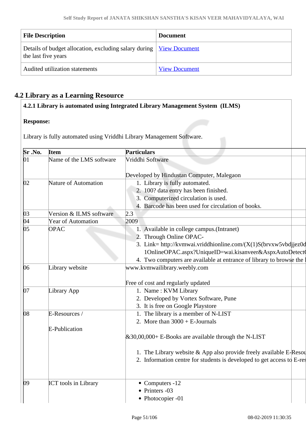| <b>File Description</b>                                                                      | <b>Document</b>      |
|----------------------------------------------------------------------------------------------|----------------------|
| Details of budget allocation, excluding salary during   View Document<br>the last five years |                      |
| Audited utilization statements                                                               | <b>View Document</b> |

## **4.2 Library as a Learning Resource**

## **4.2.1 Library is automated using Integrated Library Management System (ILMS)**

## **Response:**

Library is fully automated using Vriddhi Library Management Software.

| Sr.No.       | <b>Item</b>                 | <b>Particulars</b>                                                        |
|--------------|-----------------------------|---------------------------------------------------------------------------|
| 01           | Name of the LMS software    | Vriddhi Software                                                          |
|              |                             | Developed by Hindustan Computer, Malegaon                                 |
| $ 02\rangle$ | Nature of Automation        | 1. Library is fully automated.                                            |
|              |                             | 2. 100? data entry has been finished.                                     |
|              |                             | 3. Computerized circulation is used.                                      |
|              |                             | 4. Barcode has been used for circulation of books.                        |
| $ 03\rangle$ | Version & ILMS software     | 2.3                                                                       |
| 04           | <b>Year of Automation</b>   | 2009                                                                      |
| $ 05\rangle$ | <b>OPAC</b>                 | 1. Available in college campus. (Intranet)                                |
|              |                             | 2. Through Online OPAC-                                                   |
|              |                             | 3. Link= http://kvmwai.vriddhionline.com/(X(1)S(brvxw5vbd jez0d           |
|              |                             | 1OnlineOPAC.aspx?UniqueID=wai.kisanveer&AspxAutoDetect0                   |
|              |                             | 4. Two computers are available at entrance of library to browse the       |
| 06           | Library website             | www.kvmwailibrary.weebly.com                                              |
|              |                             | Free of cost and regularly updated                                        |
| 07           | Library App                 | 1. Name: KVM Library                                                      |
|              |                             | 2. Developed by Vortex Software, Pune                                     |
|              |                             | 3. It is free on Google Playstore                                         |
| $\log$       | E-Resources /               | 1. The library is a member of N-LIST                                      |
|              |                             | 2. More than $3000 + E$ -Journals                                         |
|              | <b>E-Publication</b>        |                                                                           |
|              |                             | $\&30,00,000 + E$ -Books are available through the N-LIST                 |
|              |                             | 1. The Library website & App also provide freely available E-Resou        |
|              |                             | 2. Information centre for students is developed to get access to $E$ -res |
| 09           | <b>ICT</b> tools in Library | $\bullet$ Computers -12                                                   |
|              |                             | • Printers -03                                                            |
|              |                             | • Photocopier -01                                                         |
|              |                             |                                                                           |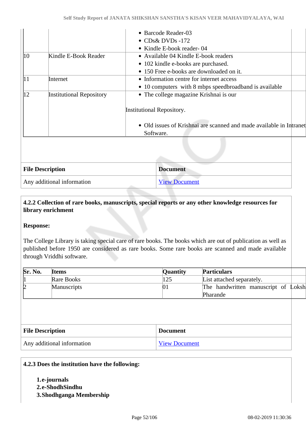|              |                                 | • Barcode Reader-03                                                 |
|--------------|---------------------------------|---------------------------------------------------------------------|
|              |                                 | $\bullet$ CDs& DVDs -172                                            |
|              |                                 | • Kindle E-book reader-04                                           |
| $ 10\rangle$ | Kindle E-Book Reader            | • Available 04 Kindle E-book readers                                |
|              |                                 | • 102 kindle e-books are purchased.                                 |
|              |                                 | • 150 Free e-books are downloaded on it.                            |
| 11           | Internet                        | • Information centre for internet access                            |
|              |                                 | • 10 computers with 8 mbps speedbroadband is available              |
| 12           | <b>Institutional Repository</b> | • The college magazine Krishnai is our                              |
|              |                                 |                                                                     |
|              |                                 | <b>Institutional Repository.</b>                                    |
|              |                                 |                                                                     |
|              |                                 | • Old issues of Krishnai are scanned and made available in Intranet |
|              |                                 | Software.                                                           |

| <b>File Description</b>    | <b>Document</b>      |
|----------------------------|----------------------|
| Any additional information | <b>View Document</b> |

## **4.2.2 Collection of rare books, manuscripts, special reports or any other knowledge resources for library enrichment**

## **Response:**

The College Library is taking special care of rare books. The books which are out of publication as well as published before 1950 are considered as rare books. Some rare books are scanned and made available through Vriddhi software.

| Sr. No.                 | <b>Items</b>               | Quantity             | <b>Particulars</b>                  |  |
|-------------------------|----------------------------|----------------------|-------------------------------------|--|
| $\left  \right $        | Rare Books                 | 125                  | List attached separately.           |  |
| $\overline{2}$          | Manuscripts                | 01                   | The handwritten manuscript of Loksh |  |
|                         |                            |                      | Pharande                            |  |
|                         |                            |                      |                                     |  |
|                         |                            |                      |                                     |  |
|                         |                            |                      |                                     |  |
|                         |                            |                      |                                     |  |
| <b>File Description</b> |                            | <b>Document</b>      |                                     |  |
|                         | Any additional information | <b>View Document</b> |                                     |  |
|                         |                            |                      |                                     |  |

#### **4.2.3 Does the institution have the following:**

- **1.e-journals**
- **2.e-ShodhSindhu**
- **3.Shodhganga Membership**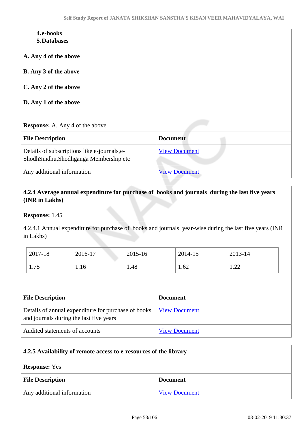# **4.e-books**

**5.Databases**

**A. Any 4 of the above**

**B. Any 3 of the above**

#### **C. Any 2 of the above**

**D. Any 1 of the above**

#### **Response:** A. Any 4 of the above

| <b>File Description</b>                                                               | <b>Document</b>      |
|---------------------------------------------------------------------------------------|----------------------|
| Details of subscriptions like e-journals, e-<br>ShodhSindhu,Shodhganga Membership etc | <b>View Document</b> |
| Any additional information                                                            | <b>View Document</b> |

## **4.2.4 Average annual expenditure for purchase of books and journals during the last five years (INR in Lakhs)**

**Response:** 1.45

4.2.4.1 Annual expenditure for purchase of books and journals year-wise during the last five years (INR in Lakhs)

| 2017-18    | 2016-17 | 2015-16 | 2014-15 | 2013-14                             |
|------------|---------|---------|---------|-------------------------------------|
| 75<br>1.1J | 1.16    | 1.48    | 1.62    | ററ<br>$\mathbf{1} \cdot \mathbf{2}$ |

| <b>File Description</b>                                                                        | <b>Document</b>      |
|------------------------------------------------------------------------------------------------|----------------------|
| Details of annual expenditure for purchase of books<br>and journals during the last five years | <u>View Document</u> |
| Audited statements of accounts                                                                 | <b>View Document</b> |

| 4.2.5 Availability of remote access to e-resources of the library |                      |
|-------------------------------------------------------------------|----------------------|
| <b>Response:</b> Yes                                              |                      |
| <b>File Description</b>                                           | <b>Document</b>      |
| Any additional information                                        | <b>View Document</b> |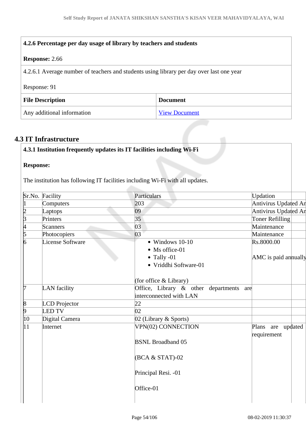| 4.2.6 Percentage per day usage of library by teachers and students                       |                 |
|------------------------------------------------------------------------------------------|-----------------|
| <b>Response: 2.66</b>                                                                    |                 |
| 4.2.6.1 Average number of teachers and students using library per day over last one year |                 |
| Response: 91                                                                             |                 |
| <b>File Description</b>                                                                  | <b>Document</b> |
|                                                                                          |                 |

## **4.3 IT Infrastructure**

## **4.3.1 Institution frequently updates its IT facilities including Wi-Fi**

## **Response:**

The institution has following IT facilities including Wi-Fi with all updates.

|                 | Sr.No. Facility         | Particulars                                                                                  | Updation                               |
|-----------------|-------------------------|----------------------------------------------------------------------------------------------|----------------------------------------|
| 1               | Computers               | 203                                                                                          | Antivirus Updated An                   |
|                 | Laptops                 | 09                                                                                           | Antivirus Updated An                   |
| $\frac{2}{3}$   | Printers                | 35                                                                                           | Toner Refilling                        |
| 4               | <b>Scanners</b>         | 03                                                                                           | Maintenance                            |
| $\overline{5}$  | Photocopiers            | 03                                                                                           | Maintenance                            |
| $\overline{6}$  | <b>License Software</b> | $\bullet$ Windows 10-10<br>• Ms office-01<br>$\bullet$ Tally -01<br>· Vriddhi Software-01    | Rs.8000.00<br>AMC is paid annually     |
| l7              | LAN facility            | (for office & Library)<br>Office, Library & other departments are<br>interconnected with LAN |                                        |
| $\vert 8 \vert$ | <b>LCD</b> Projector    | 22                                                                                           |                                        |
| þ.              | <b>LED TV</b>           | 02                                                                                           |                                        |
| 10              | Digital Camera          | 02 (Library & Sports)                                                                        |                                        |
| 11              | Internet                | VPN(02) CONNECTION<br><b>BSNL Broadband 05</b>                                               | Plans<br>updated<br>are<br>requirement |
|                 |                         | $(BCA & STAT)-02$                                                                            |                                        |
|                 |                         | Principal Resi. - 01                                                                         |                                        |
|                 |                         | Office-01                                                                                    |                                        |
|                 |                         |                                                                                              |                                        |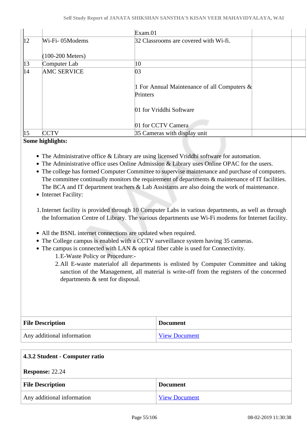|              |                    | Exam.01                                                    |  |
|--------------|--------------------|------------------------------------------------------------|--|
| $ 12\rangle$ | Wi-Fi-05Modems     | 32 Classrooms are covered with Wi-fi.                      |  |
|              | $(100-200$ Meters) |                                                            |  |
| $ 13\rangle$ | Computer Lab       | $ 10\>$                                                    |  |
| 14           | <b>AMC SERVICE</b> | 03                                                         |  |
|              |                    | 1 For Annual Maintenance of all Computers $\&$<br>Printers |  |
|              |                    | 01 for Vriddhi Software                                    |  |
|              |                    | 01 for CCTV Camera                                         |  |
| 15           | CCTV               | 35 Cameras with display unit                               |  |

## **Some highlights:**

- The Administrative office & Library are using licensed Vriddhi software for automation.
- The Administrative office uses Online Admission & Library uses Online OPAC for the users.
- The college has formed Computer Committee to supervise maintenance and purchase of computers. The committee continually monitors the requirement of departments  $\&$  maintenance of IT facilities. The BCA and IT department teachers & Lab Assistants are also doing the work of maintenance.
- Internet Facility:
- 1.Internet facility is provided through 10 Computer Labs in various departments, as well as through the Information Centre of Library. The various departments use Wi-Fi modems for Internet facility.
- All the BSNL internet connections are updated when required.
- The College campus is enabled with a CCTV surveillance system having 35 cameras.
- The campus is connected with LAN & optical fiber cable is used for Connectivity.
	- 1.E-Waste Policy or Procedure:-
	- 2.All E-waste materialof all departments is enlisted by Computer Committee and taking sanction of the Management, all material is write-off from the registers of the concerned departments & sent for disposal.

| <b>File Description</b>    | <b>Document</b>      |
|----------------------------|----------------------|
| Any additional information | <b>View Document</b> |

| 4.3.2 Student - Computer ratio |                      |
|--------------------------------|----------------------|
| <b>Response: 22.24</b>         |                      |
| <b>File Description</b>        | <b>Document</b>      |
| Any additional information     | <b>View Document</b> |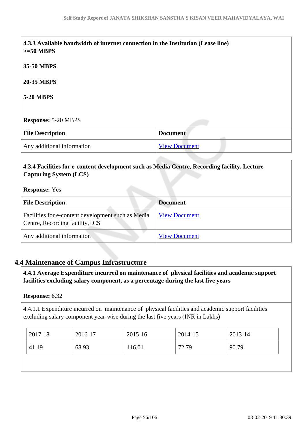| $>=50$ MBPS                | 4.3.3 Available bandwidth of internet connection in the Institution (Lease line) |  |
|----------------------------|----------------------------------------------------------------------------------|--|
| 35-50 MBPS                 |                                                                                  |  |
| <b>20-35 MBPS</b>          |                                                                                  |  |
| <b>5-20 MBPS</b>           |                                                                                  |  |
| <b>Response: 5-20 MBPS</b> |                                                                                  |  |
| <b>File Description</b>    | <b>Document</b>                                                                  |  |
|                            | <b>View Document</b>                                                             |  |

## **4.3.4 Facilities for e-content development such as Media Centre, Recording facility, Lecture Capturing System (LCS)**

#### **Response:** Yes

| <b>File Description</b>                                                               | <b>Document</b>      |
|---------------------------------------------------------------------------------------|----------------------|
| Facilities for e-content development such as Media<br>Centre, Recording facility, LCS | <b>View Document</b> |
| Any additional information                                                            | <b>View Document</b> |

## **4.4 Maintenance of Campus Infrastructure**

 **4.4.1 Average Expenditure incurred on maintenance of physical facilities and academic support facilities excluding salary component, as a percentage during the last five years**

## **Response:** 6.32

4.4.1.1 Expenditure incurred on maintenance of physical facilities and academic support facilities excluding salary component year-wise during the last five years (INR in Lakhs)

|                                   | 2013-14 |
|-----------------------------------|---------|
| 68.93<br>41.19<br>116.01<br>72.79 | 90.79   |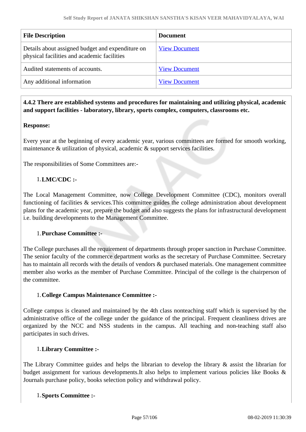| <b>File Description</b>                                                                         | <b>Document</b>      |
|-------------------------------------------------------------------------------------------------|----------------------|
| Details about assigned budget and expenditure on<br>physical facilities and academic facilities | <b>View Document</b> |
| Audited statements of accounts.                                                                 | <b>View Document</b> |
| Any additional information                                                                      | <b>View Document</b> |

 **4.4.2 There are established systems and procedures for maintaining and utilizing physical, academic and support facilities - laboratory, library, sports complex, computers, classrooms etc.**

## **Response:**

Every year at the beginning of every academic year, various committees are formed for smooth working, maintenance & utilization of physical, academic & support services facilities.

The responsibilities of Some Committees are:-

## 1.**LMC/CDC :-**

The Local Management Committee, now College Development Committee (CDC), monitors overall functioning of facilities & services. This committee guides the college administration about development plans for the academic year, prepare the budget and also suggests the plans for infrastructural development i.e. building developments to the Management Committee.

## 1.**Purchase Committee :-**

The College purchases all the requirement of departments through proper sanction in Purchase Committee. The senior faculty of the commerce department works as the secretary of Purchase Committee. Secretary has to maintain all records with the details of vendors & purchased materials. One management committee member also works as the member of Purchase Committee. Principal of the college is the chairperson of the committee.

## 1.**College Campus Maintenance Committee :-**

College campus is cleaned and maintained by the 4th class nonteaching staff which is supervised by the administrative office of the college under the guidance of the principal. Frequent cleanliness drives are organized by the NCC and NSS students in the campus. All teaching and non-teaching staff also participates in such drives.

## 1.**Library Committee :-**

The Library Committee guides and helps the librarian to develop the library & assist the librarian for budget assignment for various developments.It also helps to implement various policies like Books & Journals purchase policy, books selection policy and withdrawal policy.

#### 1.**Sports Committee :-**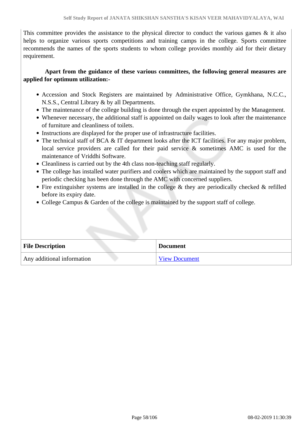This committee provides the assistance to the physical director to conduct the various games  $\&$  it also helps to organize various sports competitions and training camps in the college. Sports committee recommends the names of the sports students to whom college provides monthly aid for their dietary requirement.

 **Apart from the guidance of these various committees, the following general measures are applied for optimum utilization:-** 

- Accession and Stock Registers are maintained by Administrative Office, Gymkhana, N.C.C., N.S.S., Central Library & by all Departments.
- The maintenance of the college building is done through the expert appointed by the Management.
- Whenever necessary, the additional staff is appointed on daily wages to look after the maintenance of furniture and cleanliness of toilets.
- Instructions are displayed for the proper use of infrastructure facilities.
- The technical staff of BCA & IT department looks after the ICT facilities. For any major problem, local service providers are called for their paid service & sometimes AMC is used for the maintenance of Vriddhi Software.
- Cleanliness is carried out by the 4th class non-teaching staff regularly.
- The college has installed water purifiers and coolers which are maintained by the support staff and periodic checking has been done through the AMC with concerned suppliers.
- Fire extinguisher systems are installed in the college  $\&$  they are periodically checked  $\&$  refilled before its expiry date.
- College Campus & Garden of the college is maintained by the support staff of college.

| <b>File Description</b>    | <b>Document</b>      |
|----------------------------|----------------------|
| Any additional information | <b>View Document</b> |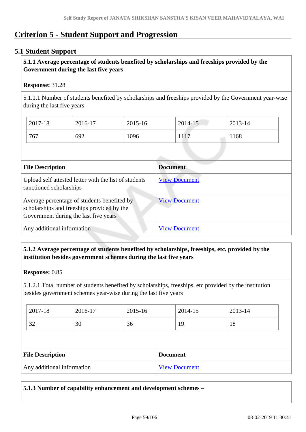## **Criterion 5 - Student Support and Progression**

## **5.1 Student Support**

## **5.1.1 Average percentage of students benefited by scholarships and freeships provided by the Government during the last five years**

## **Response:** 31.28

5.1.1.1 Number of students benefited by scholarships and freeships provided by the Government year-wise during the last five years

| 2017-18 | 2016-17 | 2015-16 | 2014-15     | 2013-14 |
|---------|---------|---------|-------------|---------|
| 767     | 692     | 1096    | 1117<br>111 | 1168    |

| <b>File Description</b>                                                                                                            | <b>Document</b>      |
|------------------------------------------------------------------------------------------------------------------------------------|----------------------|
| Upload self attested letter with the list of students<br>sanctioned scholarships                                                   | <b>View Document</b> |
| Average percentage of students benefited by<br>scholarships and freeships provided by the<br>Government during the last five years | <b>View Document</b> |
| Any additional information                                                                                                         | <b>View Document</b> |

## **5.1.2 Average percentage of students benefited by scholarships, freeships, etc. provided by the institution besides government schemes during the last five years**

#### **Response:** 0.85

5.1.2.1 Total number of students benefited by scholarships, freeships, etc provided by the institution besides government schemes year-wise during the last five years

| 2017-18  | 2016-17 | 2015-16 | 2014-15  | 2013-14 |
|----------|---------|---------|----------|---------|
| ົ<br>ے ر | 30      | 36      | 1 Q<br>ᅩ | 18      |

| <b>File Description</b>    | <b>Document</b>      |
|----------------------------|----------------------|
| Any additional information | <b>View Document</b> |

**5.1.3 Number of capability enhancement and development schemes –**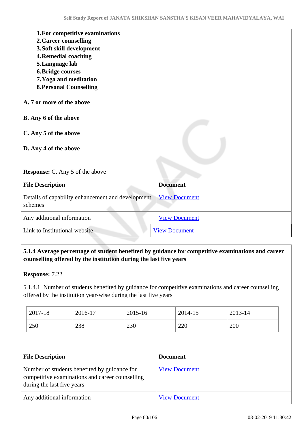| 1. For competitive examinations<br>2. Career counselling<br>3. Soft skill development<br><b>4. Remedial coaching</b><br>5. Language lab<br><b>6. Bridge courses</b><br>7. Yoga and meditation<br><b>8. Personal Counselling</b> |                      |
|---------------------------------------------------------------------------------------------------------------------------------------------------------------------------------------------------------------------------------|----------------------|
| A. 7 or more of the above                                                                                                                                                                                                       |                      |
| B. Any 6 of the above                                                                                                                                                                                                           |                      |
| C. Any 5 of the above<br>D. Any 4 of the above                                                                                                                                                                                  |                      |
| <b>Response:</b> C. Any 5 of the above                                                                                                                                                                                          |                      |
| <b>File Description</b>                                                                                                                                                                                                         | <b>Document</b>      |
| Details of capability enhancement and development<br>schemes                                                                                                                                                                    | <b>View Document</b> |
| Any additional information                                                                                                                                                                                                      | <b>View Document</b> |
| Link to Institutional website                                                                                                                                                                                                   | <b>View Document</b> |

## **5.1.4 Average percentage of student benefited by guidance for competitive examinations and career counselling offered by the institution during the last five years**

5.1.4.1 Number of students benefited by guidance for competitive examinations and career counselling offered by the institution year-wise during the last five years

| 2017-18 | 2016-17 | 2015-16 | 2014-15 | 2013-14 |
|---------|---------|---------|---------|---------|
| 250     | 238     | 230     | 220     | 200     |

| <b>File Description</b>                                                                                                       | <b>Document</b>      |
|-------------------------------------------------------------------------------------------------------------------------------|----------------------|
| Number of students benefited by guidance for<br>competitive examinations and career counselling<br>during the last five years | <b>View Document</b> |
| Any additional information                                                                                                    | <b>View Document</b> |

**Response:** 7.22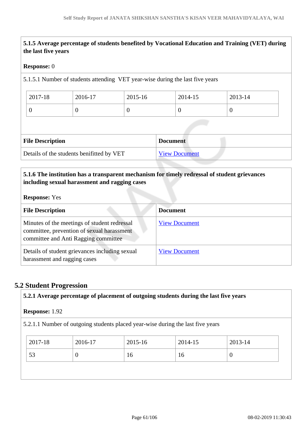# **5.1.5 Average percentage of students benefited by Vocational Education and Training (VET) during the last five years Response:** 0 5.1.5.1 Number of students attending VET year-wise during the last five years 2017-18 2016-17 2015-16 2014-15 2013-14  $\begin{array}{ccc|c} 0 & 0 & 0 \end{array}$ **File Description Document** Details of the students benifitted by VET [View Document](https://assessmentonline.naac.gov.in/storage/app/hei/SSR/102612/5.1.5_1549283762_2689.xlsx)

## **5.1.6 The institution has a transparent mechanism for timely redressal of student grievances including sexual harassment and ragging cases**

#### **Response:** Yes

| <b>File Description</b>                                                                                                            | <b>Document</b>      |
|------------------------------------------------------------------------------------------------------------------------------------|----------------------|
| Minutes of the meetings of student redressal<br>committee, prevention of sexual harassment<br>committee and Anti Ragging committee | <b>View Document</b> |
| Details of student grievances including sexual<br>harassment and ragging cases                                                     | <b>View Document</b> |

## **5.2 Student Progression**

# **5.2.1 Average percentage of placement of outgoing students during the last five years Response:** 1.92 5.2.1.1 Number of outgoing students placed year-wise during the last five years 2017-18 2016-17 2015-16 2014-15 2013-14 53  $\begin{array}{|c|c|c|c|c|c|c|c|} \hline 0 & 16 & 16 & 0 \\ \hline \end{array}$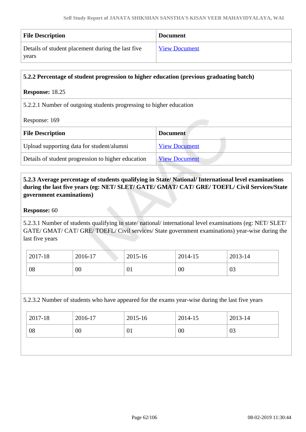| <b>File Description</b>                           | <b>Document</b>      |
|---------------------------------------------------|----------------------|
| Details of student placement during the last five | <b>View Document</b> |
| years                                             |                      |

| 5.2.2 Percentage of student progression to higher education (previous graduating batch) |                      |  |
|-----------------------------------------------------------------------------------------|----------------------|--|
| <b>Response: 18.25</b>                                                                  |                      |  |
| 5.2.2.1 Number of outgoing students progressing to higher education<br>Response: 169    |                      |  |
|                                                                                         |                      |  |
| <b>File Description</b>                                                                 | <b>Document</b>      |  |
| Upload supporting data for student/alumni                                               | <b>View Document</b> |  |
| Details of student progression to higher education                                      | <b>View Document</b> |  |

## **5.2.3 Average percentage of students qualifying in State/ National/ International level examinations during the last five years (eg: NET/ SLET/ GATE/ GMAT/ CAT/ GRE/ TOEFL/ Civil Services/State government examinations)**

## **Response:** 60

5.2.3.1 Number of students qualifying in state/ national/ international level examinations (eg: NET/ SLET/ GATE/ GMAT/ CAT/ GRE/ TOEFL/ Civil services/ State government examinations) year-wise during the last five years

| 2017-18 | 2016-17 | 2015-16 | 2014-15 | 2013-14 |
|---------|---------|---------|---------|---------|
| 08      | 00      | 01      | $00\,$  | 03      |

5.2.3.2 Number of students who have appeared for the exams year-wise during the last five years

| 2017-18 | 2016-17 | 2015-16 | 2014-15 | 2013-14 |
|---------|---------|---------|---------|---------|
| 08      | 00      | 01      | 00      | 03      |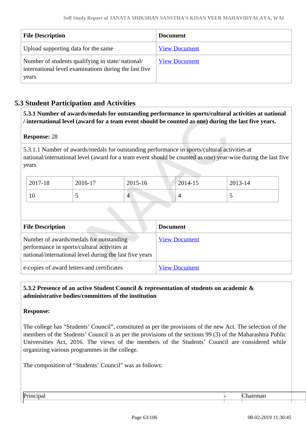| <b>File Description</b>                                                                                            | <b>Document</b>      |
|--------------------------------------------------------------------------------------------------------------------|----------------------|
| Upload supporting data for the same                                                                                | <b>View Document</b> |
| Number of students qualifying in state/national/<br>international level examinations during the last five<br>years | <b>View Document</b> |

## **5.3 Student Participation and Activities**

 **5.3.1 Number of awards/medals for outstanding performance in sports/cultural activities at national / international level (award for a team event should be counted as one) during the last five years.**

#### **Response:** 28

5.3.1.1 Number of awards/medals for outstanding performance in sports/cultural activities at national/international level (award for a team event should be counted as one) year-wise during the last five years

| 2017-18 | 2016-17 | 2015-16 | 2014-15 | 2013-14 |
|---------|---------|---------|---------|---------|
| 10      | ັ       | 4       |         | ັ       |

| <b>File Description</b>                                                                                                                            | <b>Document</b>      |
|----------------------------------------------------------------------------------------------------------------------------------------------------|----------------------|
| Number of awards/medals for outstanding<br>performance in sports/cultural activities at<br>national/international level during the last five years | <b>View Document</b> |
| e-copies of award letters and certificates                                                                                                         | <b>View Document</b> |

## **5.3.2 Presence of an active Student Council & representation of students on academic & administrative bodies/committees of the institution**

#### **Response:**

The college has "Students' Council", constituted as per the provisions of the new Act. The selection of the members of the Students' Council is as per the provisions of the sections 99 (3) of the Maharashtra Public Universities Act, 2016. The views of the members of the Students' Council are considered while organizing various programmes in the college.

The composition of "Students' Council" was as follows:

Principal Chairman  $\vdash$  Chairman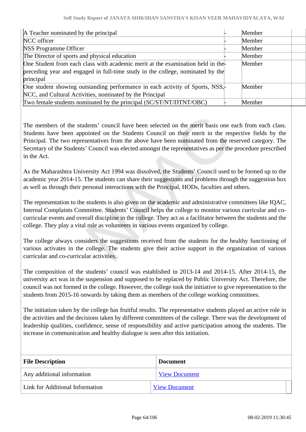| A Teacher nominated by the principal                                           | Member |  |
|--------------------------------------------------------------------------------|--------|--|
| NCC officer                                                                    | Member |  |
| <b>NSS Programme Officer</b>                                                   | Member |  |
| The Director of sports and physical education                                  | Member |  |
| One Student from each class with academic merit at the examination held in the | Member |  |
| preceding year and engaged in full-time study in the college, nominated by the |        |  |
| principal                                                                      |        |  |
| One student showing outstanding performance in each activity of Sports, NSS,   | Member |  |
| NCC, and Cultural Activities, nominated by the Principal                       |        |  |
| [Two female students nominated by the principal (SC/ST/NT/DTNT/OBC)            | Member |  |

The members of the students' council have been selected on the merit basis one each from each class. Students have been appointed on the Students Council on their merit in the respective fields by the Principal. The two representatives from the above have been nominated from the reserved category. The Secretary of the Students' Council was elected amongst the representatives as per the procedure prescribed in the Act.

As the Maharashtra University Act 1994 was dissolved, the Students' Council used to be formed up to the academic year 2014-15. The students can share their suggestions and problems through the suggestion box as well as through their personal interactions with the Principal, HODs, faculties and others.

The representation to the students is also given on the academic and administrative committees like IQAC, Internal Complaints Committee. Students' Council helps the college to monitor various curricular and cocurricular events and overall discipline in the college. They act as a facilitator between the students and the college. They play a vital role as volunteers in various events organized by college.

The college always considers the suggestions received from the students for the healthy functioning of various activates in the college. The students give their active support in the organization of various curricular and co-curricular activities.

The composition of the students' council was established in 2013-14 and 2014-15. After 2014-15, the university act was in the suspension and supposed to be replaced by Public University Act. Therefore, the council was not formed in the college. However, the college took the initiative to give representation to the students from 2015-16 onwards by taking them as members of the college working committees.

The initiation taken by the college has fruitful results. The representative students played an active role in the activities and the decisions taken by different committees of the college. There was the development of leadership qualities, confidence, sense of responsibility and active participation among the students. The increase in communication and healthy dialogue is seen after this initiation.

| <b>File Description</b>         | <b>Document</b>      |
|---------------------------------|----------------------|
| Any additional information      | <b>View Document</b> |
| Link for Additional Information | <b>View Document</b> |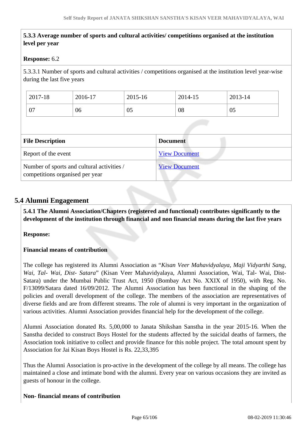## **5.3.3 Average number of sports and cultural activities/ competitions organised at the institution level per year**

#### **Response:** 6.2

5.3.3.1 Number of sports and cultural activities / competitions organised at the institution level year-wise during the last five years

| 2017-18 | 2016-17 | 2015-16 | 2014-15 | 2013-14 |
|---------|---------|---------|---------|---------|
| 07      | 06      | 05      | 08      | 05      |
|         |         |         |         |         |

| <b>File Description</b>                                                       | <b>Document</b>      |
|-------------------------------------------------------------------------------|----------------------|
| Report of the event                                                           | <b>View Document</b> |
| Number of sports and cultural activities /<br>competitions organised per year | <b>View Document</b> |

## **5.4 Alumni Engagement**

 **5.4.1 The Alumni Association/Chapters (registered and functional) contributes significantly to the development of the institution through financial and non financial means during the last five years**

#### **Response:**

#### **Financial means of contribution**

The college has registered its Alumni Association as "*Kisan Veer Mahavidyalaya, Maji Vidyarthi Sang, Wai, Tal- Wai, Dist- Satara*" (Kisan Veer Mahavidyalaya, Alumni Association, Wai, Tal- Wai, Dist-Satara) under the Mumbai Public Trust Act, 1950 (Bombay Act No. XXIX of 1950), with Reg. No. F/13099/Satara dated 16/09/2012. The Alumni Association has been functional in the shaping of the policies and overall development of the college. The members of the association are representatives of diverse fields and are from different streams. The role of alumni is very important in the organization of various activities. Alumni Association provides financial help for the development of the college.

Alumni Association donated Rs. 5,00,000 to Janata Shikshan Sanstha in the year 2015-16. When the Sanstha decided to construct Boys Hostel for the students affected by the suicidal deaths of farmers, the Association took initiative to collect and provide finance for this noble project. The total amount spent by Association for Jai Kisan Boys Hostel is Rs. 22,33,395

Thus the Alumni Association is pro-active in the development of the college by all means. The college has maintained a close and intimate bond with the alumni. Every year on various occasions they are invited as guests of honour in the college.

#### **Non- financial means of contribution**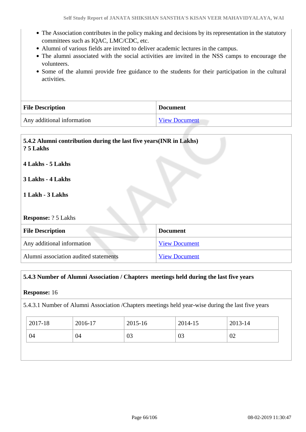- The Association contributes in the policy making and decisions by its representation in the statutory committees such as IQAC, LMC/CDC, etc.
- Alumni of various fields are invited to deliver academic lectures in the campus.
- The alumni associated with the social activities are invited in the NSS camps to encourage the volunteers.
- Some of the alumni provide free guidance to the students for their participation in the cultural activities.

| <b>File Description</b>    | <b>Document</b>      |
|----------------------------|----------------------|
| Any additional information | <b>View Document</b> |

| 5.4.2 Alumni contribution during the last five years (INR in Lakhs)<br>? 5 Lakhs |                      |  |
|----------------------------------------------------------------------------------|----------------------|--|
| 4 Lakhs - 5 Lakhs                                                                |                      |  |
| 3 Lakhs - 4 Lakhs                                                                |                      |  |
| 1 Lakh - 3 Lakhs                                                                 |                      |  |
|                                                                                  |                      |  |
| <b>Response:</b> ? 5 Lakhs                                                       |                      |  |
| <b>File Description</b>                                                          | <b>Document</b>      |  |
| Any additional information                                                       | <b>View Document</b> |  |
| Alumni association audited statements<br><b>View Document</b>                    |                      |  |

## **5.4.3 Number of Alumni Association / Chapters meetings held during the last five years**

## **Response:** 16

5.4.3.1 Number of Alumni Association /Chapters meetings held year-wise during the last five years

| 2017-18 | 2016-17 | 2015-16 | 2014-15 | $2013 - 14$ |
|---------|---------|---------|---------|-------------|
| 04      | 04      | 03      | 03      | 02          |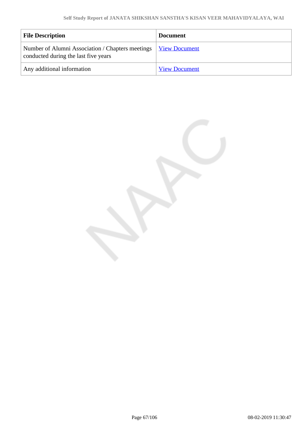| <b>File Description</b>                                                                  | <b>Document</b>      |
|------------------------------------------------------------------------------------------|----------------------|
| Number of Alumni Association / Chapters meetings<br>conducted during the last five years | <b>View Document</b> |
| Any additional information                                                               | <b>View Document</b> |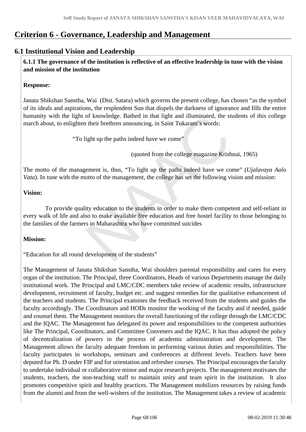# **Criterion 6 - Governance, Leadership and Management**

## **6.1 Institutional Vision and Leadership**

 **6.1.1 The governance of the institution is reflective of an effective leadership in tune with the vision and mission of the institution**

## **Response:**

Janata Shikshan Sanstha, Wai (Dist. Satara) which governs the present college, has chosen "as the symbol of its ideals and aspirations, the resplendent Sun that dispels the darkness of ignorance and fills the entire humanity with the light of knowledge. Bathed in that light and illuminated, the students of this college march about, to enlighten their brethren announcing, in Saint Tukaram's words:

"To light up the paths indeed have we come"

(quoted from the college magazine Krishnai, 1965)

The motto of the management is, thus, "To light up the paths indeed have we come" (*Ujalavaya Aalo Vata*). In tune with the motto of the management, the college has set the following vision and mission:

## **Vision:**

 To provide quality education to the students in order to make them competent and self-reliant in every walk of life and also to make available free education and free hostel facility to those belonging to the families of the farmers in Maharashtra who have committed suicides

## **Mission:**

"Education for all round development of the students"

The Management of Janata Shikshan Sanstha, Wai shoulders parental responsibility and cares for every organ of the institution. The Principal, three Coordinators, Heads of various Departments manage the daily institutional work. The Principal and LMC/CDC members take review of academic results, infrastructure development, recruitment of faculty, budget etc. and suggest remedies for the qualitative enhancement of the teachers and students. The Principal examines the feedback received from the students and guides the faculty accordingly. The Coordinators and HODs monitor the working of the faculty and if needed, guide and counsel them. The Management monitors the overall functioning of the college through the LMC/CDC and the IQAC. The Management has delegated its power and responsibilities to the competent authorities like The Principal, Coordinators, and Committee Conveners and the IQAC. It has thus adopted the policy of decentralization of powers in the process of academic administration and development. The Management allows the faculty adequate freedom in performing various duties and responsibilities. The faculty participates in workshops, seminars and conferences at different levels. Teachers have been deputed for Ph. D under FIP and for orientation and refresher courses. The Principal encourages the faculty to undertake individual or collaborative minor and major research projects. The management motivates the students, teachers, the non-teaching staff to maintain unity and team spirit in the institution. It also promotes competitive spirit and healthy practices. The Management mobilizes resources by raising funds from the alumni and from the well-wishers of the institution. The Management takes a review of academic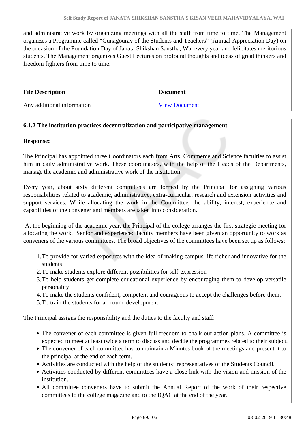and administrative work by organizing meetings with all the staff from time to time. The Management organizes a Programme called "Gunagourav of the Students and Teachers" (Annual Appreciation Day) on the occasion of the Foundation Day of Janata Shikshan Sanstha, Wai every year and felicitates meritorious students. The Management organizes Guest Lectures on profound thoughts and ideas of great thinkers and freedom fighters from time to time.

| <b>File Description</b>    | <b>Document</b>      |  |
|----------------------------|----------------------|--|
| Any additional information | <b>View Document</b> |  |

## **6.1.2 The institution practices decentralization and participative management**

**Response:** 

The Principal has appointed three Coordinators each from Arts, Commerce and Science faculties to assist him in daily administrative work. These coordinators, with the help of the Heads of the Departments, manage the academic and administrative work of the institution.

Every year, about sixty different committees are formed by the Principal for assigning various responsibilities related to academic, administrative, extra-curricular, research and extension activities and support services. While allocating the work in the Committee, the ability, interest, experience and capabilities of the convener and members are taken into consideration.

 At the beginning of the academic year, the Principal of the college arranges the first strategic meeting for allocating the work. Senior and experienced faculty members have been given an opportunity to work as conveners of the various committees. The broad objectives of the committees have been set up as follows:

- 1.To provide for varied exposures with the idea of making campus life richer and innovative for the students
- 2.To make students explore different possibilities for self-expression
- 3.To help students get complete educational experience by encouraging them to develop versatile personality.
- 4.To make the students confident, competent and courageous to accept the challenges before them.
- 5.To train the students for all round development.

The Principal assigns the responsibility and the duties to the faculty and staff:

- The convener of each committee is given full freedom to chalk out action plans. A committee is expected to meet at least twice a term to discuss and decide the programmes related to their subject.
- The convener of each committee has to maintain a Minutes book of the meetings and present it to the principal at the end of each term.
- Activities are conducted with the help of the students' representatives of the Students Council.
- Activities conducted by different committees have a close link with the vision and mission of the institution.
- All committee conveners have to submit the Annual Report of the work of their respective committees to the college magazine and to the IQAC at the end of the year.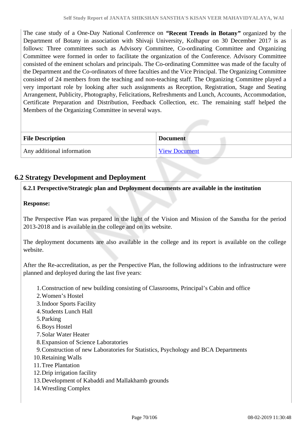The case study of a One-Day National Conference on *"***Recent Trends in Botany***"* organized by the Department of Botany in association with Shivaji University, Kolhapur on 30 December 2017 is as follows: Three committees such as Advisory Committee, Co-ordinating Committee and Organizing Committee were formed in order to facilitate the organization of the Conference. Advisory Committee consisted of the eminent scholars and principals. The Co-ordinating Committee was made of the faculty of the Department and the Co-ordinators of three faculties and the Vice Principal. The Organizing Committee consisted of 24 members from the teaching and non-teaching staff. The Organizing Committee played a very important role by looking after such assignments as Reception, Registration, Stage and Seating Arrangement, Publicity, Photography, Felicitations, Refreshments and Lunch, Accounts, Accommodation, Certificate Preparation and Distribution, Feedback Collection, etc. The remaining staff helped the Members of the Organizing Committee in several ways.

| <b>File Description</b>    | <b>Document</b>      |
|----------------------------|----------------------|
| Any additional information | <b>View Document</b> |

## **6.2 Strategy Development and Deployment**

## **6.2.1 Perspective/Strategic plan and Deployment documents are available in the institution**

## **Response:**

The Perspective Plan was prepared in the light of the Vision and Mission of the Sanstha for the period 2013-2018 and is available in the college and on its website.

The deployment documents are also available in the college and its report is available on the college website.

After the Re-accreditation, as per the Perspective Plan, the following additions to the infrastructure were planned and deployed during the last five years:

1.Construction of new building consisting of Classrooms, Principal's Cabin and office

- 2.Women's Hostel
- 3.Indoor Sports Facility
- 4.Students Lunch Hall
- 5.Parking
- 6.Boys Hostel
- 7.Solar Water Heater
- 8.Expansion of Science Laboratories
- 9.Construction of new Laboratories for Statistics, Psychology and BCA Departments
- 10.Retaining Walls
- 11.Tree Plantation
- 12.Drip irrigation facility
- 13.Development of Kabaddi and Mallakhamb grounds
- 14.Wrestling Complex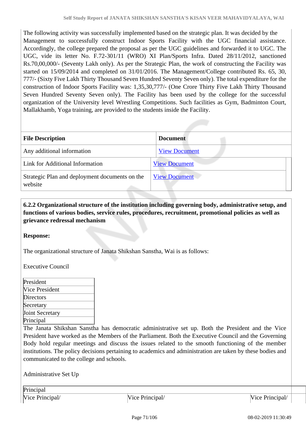The following activity was successfully implemented based on the strategic plan. It was decided by the Management to successfully construct Indoor Sports Facility with the UGC financial assistance. Accordingly, the college prepared the proposal as per the UGC guidelines and forwarded it to UGC. The UGC, vide its letter No. F.72-301/11 (WRO) XI Plan/Sports Infra. Dated 28/11/2012, sanctioned Rs.70,00,000/- (Seventy Lakh only). As per the Strategic Plan, the work of constructing the Facility was started on 15/09/2014 and completed on 31/01/2016. The Management/College contributed Rs. 65, 30, 777/- (Sixty Five Lakh Thirty Thousand Seven Hundred Seventy Seven only). The total expenditure for the construction of Indoor Sports Facility was: 1,35,30,777/- (One Crore Thirty Five Lakh Thirty Thousand Seven Hundred Seventy Seven only). The Facility has been used by the college for the successful organization of the University level Wrestling Competitions. Such facilities as Gym, Badminton Court, Mallakhamb, Yoga training, are provided to the students inside the Facility.

| <b>File Description</b>                                   | <b>Document</b>      |
|-----------------------------------------------------------|----------------------|
| Any additional information                                | <b>View Document</b> |
| Link for Additional Information                           | <b>View Document</b> |
| Strategic Plan and deployment documents on the<br>website | <b>View Document</b> |

## **6.2.2 Organizational structure of the institution including governing body, administrative setup, and functions of various bodies, service rules, procedures, recruitment, promotional policies as well as grievance redressal mechanism**

## **Response:**

The organizational structure of Janata Shikshan Sanstha, Wai is as follows:

Executive Council

| President              |  |
|------------------------|--|
| Vice President         |  |
| Directors              |  |
| Secretary              |  |
| <b>Joint Secretary</b> |  |
| Principal              |  |

The Janata Shikshan Sanstha has democratic administrative set up. Both the President and the Vice President have worked as the Members of the Parliament. Both the Executive Council and the Governing Body hold regular meetings and discuss the issues related to the smooth functioning of the member institutions. The policy decisions pertaining to academics and administration are taken by these bodies and communicated to the college and schools.

Administrative Set Up

Principal

Vice Principal/ Vice Principal/ Vice Principal/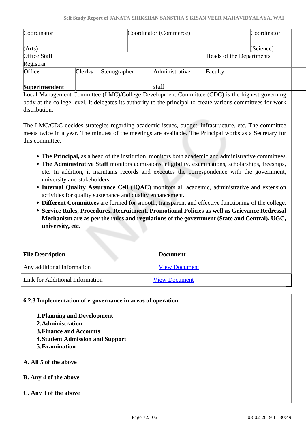| Coordinator         |               |              | Coordinator (Commerce) |                          |           |
|---------------------|---------------|--------------|------------------------|--------------------------|-----------|
| (Arts)              |               |              |                        |                          | (Science) |
| <b>Office Staff</b> |               |              |                        | Heads of the Departments |           |
| Registrar           |               |              |                        |                          |           |
| <b>Office</b>       | <b>Clerks</b> | Stenographer | Administrative         | Faculty                  |           |
| Superintendent      |               |              | staff                  |                          |           |

Local Management Committee (LMC)/College Development Committee (CDC) is the highest governing body at the college level. It delegates its authority to the principal to create various committees for work distribution.

The LMC/CDC decides strategies regarding academic issues, budget, infrastructure, etc. The committee meets twice in a year. The minutes of the meetings are available. The Principal works as a Secretary for this committee.

- **The Principal,** as a head of the institution, monitors both academic and administrative committees.
- **The Administrative Staff** monitors admissions, eligibility, examinations, scholarships, freeships, etc. In addition, it maintains records and executes the correspondence with the government, university and stakeholders.
- **Internal Quality Assurance Cell (IQAC)** monitors all academic, administrative and extension activities for quality sustenance and quality enhancement.
- **Different Committees** are formed for smooth, transparent and effective functioning of the college.
- **Service Rules, Procedures, Recruitment, Promotional Policies as well as Grievance Redressal Mechanism are as per the rules and regulations of the government (State and Central), UGC, university, etc.**

| <b>File Description</b>         | <b>Document</b>      |  |
|---------------------------------|----------------------|--|
| Any additional information      | <b>View Document</b> |  |
| Link for Additional Information | <b>View Document</b> |  |

**6.2.3 Implementation of e-governance in areas of operation**

- **1.Planning and Development**
- **2.Administration**
- **3.Finance and Accounts**
- **4.Student Admission and Support**
- **5.Examination**
- **A. All 5 of the above**
- **B. Any 4 of the above**
- **C. Any 3 of the above**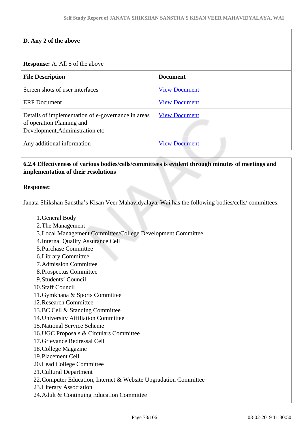# **D. Any 2 of the above**

#### **Response:** A. All 5 of the above

| <b>File Description</b>                                                                                            | <b>Document</b>      |
|--------------------------------------------------------------------------------------------------------------------|----------------------|
| Screen shots of user interfaces                                                                                    | <b>View Document</b> |
| <b>ERP</b> Document                                                                                                | <b>View Document</b> |
| Details of implementation of e-governance in areas<br>of operation Planning and<br>Development, Administration etc | <b>View Document</b> |
| Any additional information                                                                                         | <b>View Document</b> |

#### **6.2.4 Effectiveness of various bodies/cells/committees is evident through minutes of meetings and implementation of their resolutions**

#### **Response:**

Janata Shikshan Sanstha's Kisan Veer Mahavidyalaya, Wai has the following bodies/cells/ committees:

- 1.General Body
- 2.The Management
- 3.Local Management Committee/College Development Committee
- 4.Internal Quality Assurance Cell
- 5.Purchase Committee
- 6.Library Committee
- 7.Admission Committee
- 8.Prospectus Committee
- 9.Students' Council
- 10.Staff Council
- 11.Gymkhana & Sports Committee
- 12.Research Committee
- 13.BC Cell & Standing Committee
- 14.University Affiliation Committee
- 15.National Service Scheme
- 16.UGC Proposals & Circulars Committee
- 17.Grievance Redressal Cell
- 18.College Magazine
- 19.Placement Cell
- 20.Lead College Committee
- 21.Cultural Department
- 22.Computer Education, Internet & Website Upgradation Committee
- 23.Literary Association
- 24.Adult & Continuing Education Committee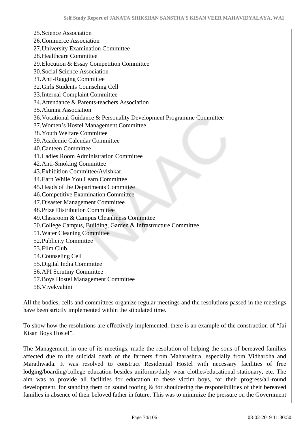25.Science Association 26.Commerce Association 27.University Examination Committee 28.Healthcare Committee 29.Elocution & Essay Competition Committee 30.Social Science Association 31.Anti-Ragging Committee 32.Girls Students Counseling Cell 33.Internal Complaint Committee 34.Attendance & Parents-teachers Association 35.Alumni Association 36.Vocational Guidance & Personality Development Programme Committee 37.Women's Hostel Management Committee 38.Youth Welfare Committee 39.Academic Calendar Committee 40.Canteen Committee 41.Ladies Room Administration Committee 42.Anti-Smoking Committee 43.Exhibition Committee/Avishkar 44.Earn While You Learn Committee 45.Heads of the Departments Committee 46.Competitive Examination Committee 47.Disaster Management Committee 48.Prize Distribution Committee 49.Classroom & Campus Cleanliness Committee 50.College Campus, Building, Garden & Infrastructure Committee 51.Water Cleaning Committee 52.Publicity Committee 53.Film Club 54.Counseling Cell 55.Digital India Committee 56.API Scrutiny Committee 57.Boys Hostel Management Committee 58.Vivekvahini

All the bodies, cells and committees organize regular meetings and the resolutions passed in the meetings have been strictly implemented within the stipulated time.

To show how the resolutions are effectively implemented, there is an example of the construction of "Jai Kisan Boys Hostel".

The Management, in one of its meetings, made the resolution of helping the sons of bereaved families affected due to the suicidal death of the farmers from Maharashtra, especially from Vidharbha and Marathwada. It was resolved to construct Residential Hostel with necessary facilities of free lodging/boarding/college education besides uniforms/daily wear clothes/educational stationary, etc. The aim was to provide all facilities for education to these victim boys, for their progress/all-round development, for standing them on sound footing  $\&$  for shouldering the responsibilities of their bereaved families in absence of their beloved father in future. This was to minimize the pressure on the Government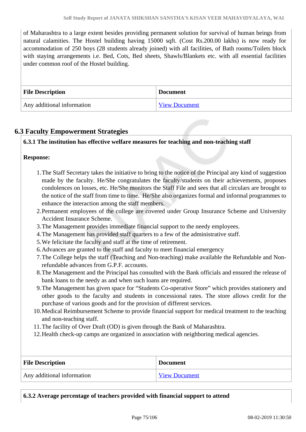of Maharashtra to a large extent besides providing permanent solution for survival of human beings from natural calamities. The Hostel building having 15000 sqft. (Cost Rs.200.00 lakhs) is now ready for accommodation of 250 boys (28 students already joined) with all facilities, of Bath rooms/Toilets block with staying arrangements i.e. Bed, Cots, Bed sheets, Shawls/Blankets etc. with all essential facilities under common roof of the Hostel building.

| <b>File Description</b>    | <b>Document</b>      |
|----------------------------|----------------------|
| Any additional information | <b>View Document</b> |

## **6.3 Faculty Empowerment Strategies**

#### **6.3.1 The institution has effective welfare measures for teaching and non-teaching staff**

#### **Response:**

- 1.The Staff Secretary takes the initiative to bring to the notice of the Principal any kind of suggestion made by the faculty. He/She congratulates the faculty/students on their achievements, proposes condolences on losses, etc. He/She monitors the Staff File and sees that all circulars are brought to the notice of the staff from time to time. He/She also organizes formal and informal programmes to enhance the interaction among the staff members.
- 2.Permanent employees of the college are covered under Group Insurance Scheme and University Accident Insurance Scheme.
- 3.The Management provides immediate financial support to the needy employees.
- 4.The Management has provided staff quarters to a few of the administrative staff.
- 5.We felicitate the faculty and staff at the time of retirement.
- 6.Advances are granted to the staff and faculty to meet financial emergency
- 7.The College helps the staff (Teaching and Non-teaching) make available the Refundable and Nonrefundable advances from G.P.F. accounts.
- 8.The Management and the Principal has consulted with the Bank officials and ensured the release of bank loans to the needy as and when such loans are required.
- 9.The Management has given space for "Students Co-operative Store" which provides stationery and other goods to the faculty and students in concessional rates. The store allows credit for the purchase of various goods and for the provision of different services.
- 10.Medical Reimbursement Scheme to provide financial support for medical treatment to the teaching and non-teaching staff.
- 11.The facility of Over Draft (OD) is given through the Bank of Maharashtra.
- 12.Health check-up camps are organized in association with neighboring medical agencies.

| <b>File Description</b>    | <b>Document</b>      |
|----------------------------|----------------------|
| Any additional information | <b>View Document</b> |

| 6.3.2 Average percentage of teachers provided with financial support to attend |
|--------------------------------------------------------------------------------|
|                                                                                |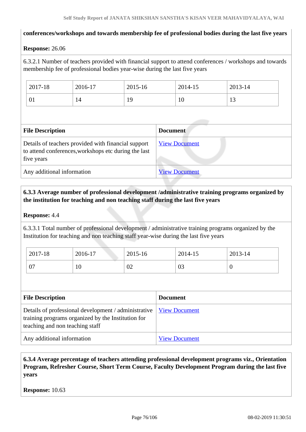#### **conferences/workshops and towards membership fee of professional bodies during the last five years**

#### **Response:** 26.06

6.3.2.1 Number of teachers provided with financial support to attend conferences / workshops and towards membership fee of professional bodies year-wise during the last five years

| 2017-18          | 2016-17 | 2015-16 | 2014-15 | 2013-14              |
|------------------|---------|---------|---------|----------------------|
| $^{\circ}$<br>UI | 14      | 19      | 1 V     | 1 <sub>2</sub><br>IJ |

| <b>File Description</b>                                                                                                   | <b>Document</b>      |
|---------------------------------------------------------------------------------------------------------------------------|----------------------|
| Details of teachers provided with financial support<br>to attend conferences, workshops etc during the last<br>five years | <b>View Document</b> |
| Any additional information                                                                                                | <b>View Document</b> |

#### **6.3.3 Average number of professional development /administrative training programs organized by the institution for teaching and non teaching staff during the last five years**

#### **Response:** 4.4

6.3.3.1 Total number of professional development / administrative training programs organized by the Institution for teaching and non teaching staff year-wise during the last five years

| 2017-18   | 2016-17 | 2015-16 | 2014-15 | 2013-14 |
|-----------|---------|---------|---------|---------|
| ∩⊓<br>V I | 1 V     | 02      | 03      | υ       |

| <b>File Description</b>                                                                                                                       | <b>Document</b>      |
|-----------------------------------------------------------------------------------------------------------------------------------------------|----------------------|
| Details of professional development / administrative<br>training programs organized by the Institution for<br>teaching and non teaching staff | <b>View Document</b> |
| Any additional information                                                                                                                    | <b>View Document</b> |

#### **6.3.4 Average percentage of teachers attending professional development programs viz., Orientation Program, Refresher Course, Short Term Course, Faculty Development Program during the last five years**

**Response:** 10.63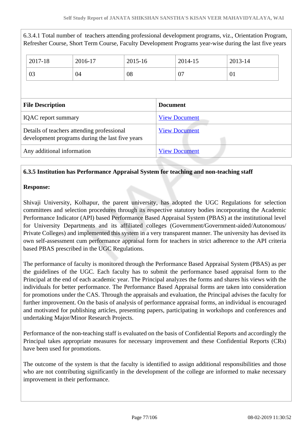| 6.3.4.1 Total number of teachers attending professional development programs, viz., Orientation Program,<br>Refresher Course, Short Term Course, Faculty Development Programs year-wise during the last five years |                                            |         |                      |                      |         |         |  |
|--------------------------------------------------------------------------------------------------------------------------------------------------------------------------------------------------------------------|--------------------------------------------|---------|----------------------|----------------------|---------|---------|--|
|                                                                                                                                                                                                                    | 2017-18                                    | 2016-17 | 2015-16              |                      | 2014-15 | 2013-14 |  |
|                                                                                                                                                                                                                    | 03                                         | 04      | 08                   |                      | 07      | 01      |  |
|                                                                                                                                                                                                                    | <b>Document</b><br><b>File Description</b> |         |                      |                      |         |         |  |
| <b>IQAC</b> report summary                                                                                                                                                                                         |                                            |         |                      | <b>View Document</b> |         |         |  |
| Details of teachers attending professional<br>development programs during the last five years                                                                                                                      |                                            |         | <b>View Document</b> |                      |         |         |  |
| Any additional information                                                                                                                                                                                         |                                            |         |                      | <b>View Document</b> |         |         |  |

#### **6.3.5 Institution has Performance Appraisal System for teaching and non-teaching staff**

#### **Response:**

Shivaji University, Kolhapur, the parent university, has adopted the UGC Regulations for selection committees and selection procedures through its respective statutory bodies incorporating the Academic Performance Indicator (API) based Performance Based Appraisal System (PBAS) at the institutional level for University Departments and its affiliated colleges (Government/Government-aided/Autonomous/ Private Colleges) and implemented this system in a very transparent manner. The university has devised its own self-assessment cum performance appraisal form for teachers in strict adherence to the API criteria based PBAS prescribed in the UGC Regulations.

The performance of faculty is monitored through the Performance Based Appraisal System (PBAS) as per the guidelines of the UGC. Each faculty has to submit the performance based appraisal form to the Principal at the end of each academic year. The Principal analyzes the forms and shares his views with the individuals for better performance. The Performance Based Appraisal forms are taken into consideration for promotions under the CAS. Through the appraisals and evaluation, the Principal advises the faculty for further improvement. On the basis of analysis of performance appraisal forms, an individual is encouraged and motivated for publishing articles, presenting papers, participating in workshops and conferences and undertaking Major/Minor Research Projects.

Performance of the non-teaching staff is evaluated on the basis of Confidential Reports and accordingly the Principal takes appropriate measures for necessary improvement and these Confidential Reports (CRs) have been used for promotions.

The outcome of the system is that the faculty is identified to assign additional responsibilities and those who are not contributing significantly in the development of the college are informed to make necessary improvement in their performance.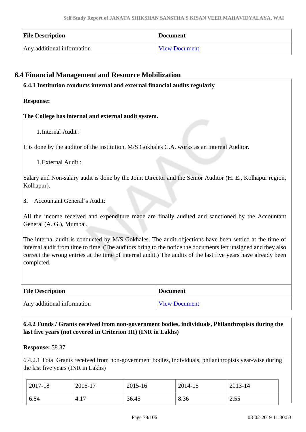| <b>File Description</b>    | <b>Document</b>      |
|----------------------------|----------------------|
| Any additional information | <b>View Document</b> |

#### **6.4 Financial Management and Resource Mobilization**

**6.4.1 Institution conducts internal and external financial audits regularly**

**Response:** 

**The College has internal and external audit system.** 

1.Internal Audit :

It is done by the auditor of the institution. M/S Gokhales C.A. works as an internal Auditor.

1.External Audit :

Salary and Non-salary audit is done by the Joint Director and the Senior Auditor (H. E., Kolhapur region, Kolhapur).

**3.** Accountant General's Audit:

All the income received and expenditure made are finally audited and sanctioned by the Accountant General (A. G.), Mumbai.

The internal audit is conducted by M/S Gokhales. The audit objections have been settled at the time of internal audit from time to time. (The auditors bring to the notice the documents left unsigned and they also correct the wrong entries at the time of internal audit.) The audits of the last five years have already been completed.

| <b>File Description</b>    | <b>Document</b>      |
|----------------------------|----------------------|
| Any additional information | <b>View Document</b> |

#### **6.4.2 Funds / Grants received from non-government bodies, individuals, Philanthropists during the last five years (not covered in Criterion III) (INR in Lakhs)**

**Response:** 58.37

6.4.2.1 Total Grants received from non-government bodies, individuals, philanthropists year-wise during the last five years (INR in Lakhs)

| 2017-18 | 2016-17     | 2015-16 | 2014-15 | 2013-14        |
|---------|-------------|---------|---------|----------------|
| 6.84    | 15<br>`4.1, | 36.45   | 8.36    | 255<br>ر ر. به |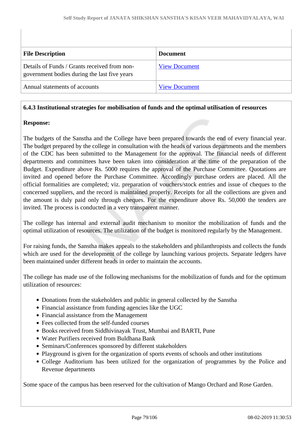| <b>File Description</b>                                                                      | <b>Document</b>      |
|----------------------------------------------------------------------------------------------|----------------------|
| Details of Funds / Grants received from non-<br>government bodies during the last five years | <b>View Document</b> |
| Annual statements of accounts                                                                | <b>View Document</b> |

#### **6.4.3 Institutional strategies for mobilisation of funds and the optimal utilisation of resources**

#### **Response:**

The budgets of the Sanstha and the College have been prepared towards the end of every financial year. The budget prepared by the college in consultation with the heads of various departments and the members of the CDC has been submitted to the Management for the approval. The financial needs of different departments and committees have been taken into consideration at the time of the preparation of the Budget. Expenditure above Rs. 5000 requires the approval of the Purchase Committee. Quotations are invited and opened before the Purchase Committee. Accordingly purchase orders are placed. All the official formalities are completed; viz. preparation of vouchers/stock entries and issue of cheques to the concerned suppliers, and the record is maintained properly. Receipts for all the collections are given and the amount is duly paid only through cheques. For the expenditure above Rs. 50,000 the tenders are invited. The process is conducted in a very transparent manner.

The college has internal and external audit mechanism to monitor the mobilization of funds and the optimal utilization of resources. The utilization of the budget is monitored regularly by the Management.

For raising funds, the Sanstha makes appeals to the stakeholders and philanthropists and collects the funds which are used for the development of the college by launching various projects. Separate ledgers have been maintained under different heads in order to maintain the accounts.

The college has made use of the following mechanisms for the mobilization of funds and for the optimum utilization of resources:

- Donations from the stakeholders and public in general collected by the Sanstha
- Financial assistance from funding agencies like the UGC
- Financial assistance from the Management
- Fees collected from the self-funded courses
- Books received from Siddhivinayak Trust, Mumbai and BARTI, Pune
- Water Purifiers received from Buldhana Bank
- Seminars/Conferences sponsored by different stakeholders
- Playground is given for the organization of sports events of schools and other institutions
- College Auditorium has been utilized for the organization of programmes by the Police and Revenue departments

Some space of the campus has been reserved for the cultivation of Mango Orchard and Rose Garden.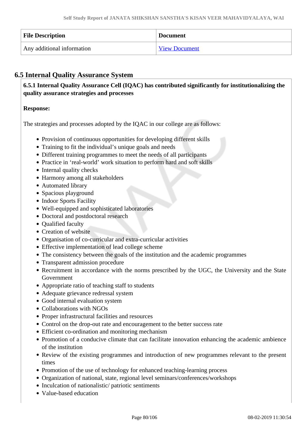| <b>File Description</b>    | <b>Document</b>      |
|----------------------------|----------------------|
| Any additional information | <b>View Document</b> |

## **6.5 Internal Quality Assurance System**

 **6.5.1 Internal Quality Assurance Cell (IQAC) has contributed significantly for institutionalizing the quality assurance strategies and processes**

#### **Response:**

The strategies and processes adopted by the IQAC in our college are as follows:

- Provision of continuous opportunities for developing different skills
- Training to fit the individual's unique goals and needs
- Different training programmes to meet the needs of all participants
- Practice in 'real-world' work situation to perform hard and soft skills
- Internal quality checks
- Harmony among all stakeholders
- Automated library
- Spacious playground
- Indoor Sports Facility
- Well-equipped and sophisticated laboratories
- Doctoral and postdoctoral research
- Oualified faculty
- Creation of website
- Organisation of co-curricular and extra-curricular activities
- Effective implementation of lead college scheme
- The consistency between the goals of the institution and the academic programmes
- Transparent admission procedure
- Recruitment in accordance with the norms prescribed by the UGC, the University and the State Government
- Appropriate ratio of teaching staff to students
- Adequate grievance redressal system
- Good internal evaluation system
- Collaborations with NGOs
- Proper infrastructural facilities and resources
- Control on the drop-out rate and encouragement to the better success rate
- Efficient co-ordination and monitoring mechanism
- Promotion of a conducive climate that can facilitate innovation enhancing the academic ambience of the institution
- Review of the existing programmes and introduction of new programmes relevant to the present times
- Promotion of the use of technology for enhanced teaching-learning process
- Organization of national, state, regional level seminars/conferences/workshops
- Inculcation of nationalistic/ patriotic sentiments
- Value-based education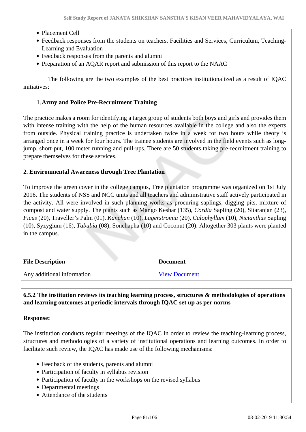- Placement Cell
- Feedback responses from the students on teachers, Facilities and Services, Curriculum, Teaching-Learning and Evaluation
- Feedback responses from the parents and alumni
- Preparation of an AQAR report and submission of this report to the NAAC

 The following are the two examples of the best practices institutionalized as a result of IQAC initiatives:

#### 1.**Army and Police Pre-Recruitment Training**

The practice makes a room for identifying a target group of students both boys and girls and provides them with intense training with the help of the human resources available in the college and also the experts from outside. Physical training practice is undertaken twice in a week for two hours while theory is arranged once in a week for four hours. The trainee students are involved in the field events such as longjump, short-put, 100 meter running and pull-ups. There are 50 students taking pre-recruitment training to prepare themselves for these services.

#### **2. Environmental Awareness through Tree Plantation**

To improve the green cover in the college campus, Tree plantation programme was organized on 1st July 2016. The students of NSS and NCC units and all teachers and administrative staff actively participated in the activity. All were involved in such planning works as procuring saplings, digging pits, mixture of compost and water supply. The plants such as Mango Keshar (135), *Cordia* Sapling (20), Sitaranjan (23), *Ficus* (20), Traveller's Palm (01), *Kanchan* (10), *Lagerstromia* (20), *Calophyllum* (10), *Nictanthus* Sapling (10), Syzygium (16), *Tabubia* (08), Sonchapha (10) and Coconut (20). Altogether 303 plants were planted in the campus.

| <b>File Description</b>    | <b>Document</b>      |
|----------------------------|----------------------|
| Any additional information | <b>View Document</b> |

#### **6.5.2 The institution reviews its teaching learning process, structures & methodologies of operations and learning outcomes at periodic intervals through IQAC set up as per norms**

#### **Response:**

The institution conducts regular meetings of the IQAC in order to review the teaching-learning process, structures and methodologies of a variety of institutional operations and learning outcomes. In order to facilitate such review, the IQAC has made use of the following mechanisms:

- Feedback of the students, parents and alumni
- Participation of faculty in syllabus revision
- Participation of faculty in the workshops on the revised syllabus
- Departmental meetings
- Attendance of the students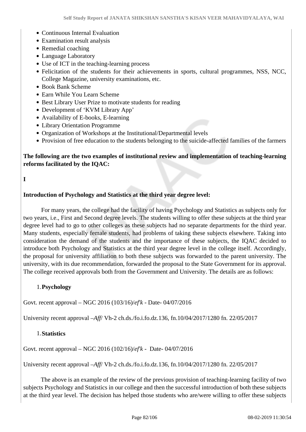- Continuous Internal Evaluation
- Examination result analysis
- Remedial coaching
- Language Laboratory
- Use of ICT in the teaching-learning process
- Felicitation of the students for their achievements in sports, cultural programmes, NSS, NCC, College Magazine, university examinations, etc.
- Book Bank Scheme
- Earn While You Learn Scheme
- Best Library User Prize to motivate students for reading
- Development of 'KVM Library App'
- Availability of E-books, E-learning
- Library Orientation Programme
- Organization of Workshops at the Institutional/Departmental levels
- Provision of free education to the students belonging to the suicide-affected families of the farmers

#### **The following are the two examples of institutional review and implementation of teaching-learning reforms facilitated by the IQAC:**

**I** 

#### **Introduction of Psychology and Statistics at the third year degree level:**

 For many years, the college had the facility of having Psychology and Statistics as subjects only for two years, i.e., First and Second degree levels. The students willing to offer these subjects at the third year degree level had to go to other colleges as these subjects had no separate departments for the third year. Many students, especially female students, had problems of taking these subjects elsewhere. Taking into consideration the demand of the students and the importance of these subjects, the IQAC decided to introduce both Psychology and Statistics at the third year degree level in the college itself. Accordingly, the proposal for university affiliation to both these subjects was forwarded to the parent university. The university, with its due recommendation, forwarded the proposal to the State Government for its approval. The college received approvals both from the Government and University. The details are as follows:

#### 1.**Psychology**

Govt. recent approval – NGC 2016 (103/16)/*ef'k -* Date- 04/07/2016

University recent approval –*Aff*/ Vh-2 ch.ds./fo.i.fo.dz.136, fn.10/04/2017/1280 fn. 22/05/2017

#### 1.**Statistics**

Govt. recent approval – NGC 2016 (102/16)/*ef'k -* Date- 04/07/2016

University recent approval –*Aff*/ Vh-2 ch.ds./fo.i.fo.dz.136, fn.10/04/2017/1280 fn. 22/05/2017

 The above is an example of the review of the previous provision of teaching-learning facility of two subjects Psychology and Statistics in our college and then the successful introduction of both these subjects at the third year level. The decision has helped those students who are/were willing to offer these subjects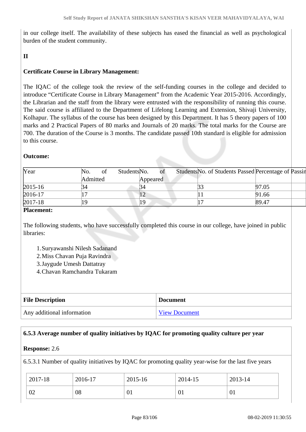in our college itself. The availability of these subjects has eased the financial as well as psychological burden of the student community.

#### **II**

#### **Certificate Course in Library Management:**

The IQAC of the college took the review of the self-funding courses in the college and decided to introduce "Certificate Course in Library Management" from the Academic Year 2015-2016. Accordingly, the Librarian and the staff from the library were entrusted with the responsibility of running this course. The said course is affiliated to the Department of Lifelong Learning and Extension, Shivaji University, Kolhapur. The syllabus of the course has been designed by this Department. It has 5 theory papers of 100 marks and 2 Practical Papers of 80 marks and Journals of 20 marks. The total marks for the Course are 700. The duration of the Course is 3 months. The candidate passed 10th standard is eligible for admission to this course.

#### **Outcome:**

| Year                                                                                                    | No.<br>οf | Students <sub>No.</sub><br>of | Students No. of Students Passed Percentage of Passin |
|---------------------------------------------------------------------------------------------------------|-----------|-------------------------------|------------------------------------------------------|
|                                                                                                         | Admitted  | Appeared                      |                                                      |
| $2015 - 16$                                                                                             | 34        | 34                            | 97.05                                                |
| 2016-17                                                                                                 |           | 12                            | 91.66                                                |
| $2017 - 18$                                                                                             |           | 19                            | 89.47                                                |
| $\mathbf{D}$ $\mathbf{L}$ $\mathbf{L}$ $\mathbf{L}$ $\mathbf{L}$ $\mathbf{L}$ $\mathbf{L}$ $\mathbf{L}$ |           |                               |                                                      |

#### **Placement:**

The following students, who have successfully completed this course in our college, have joined in public libraries:

- 1.Suryawanshi Nilesh Sadanand
- 2.Miss Chavan Puja Ravindra
- 3.Jaygude Umesh Dattatray
- 4.Chavan Ramchandra Tukaram

| <b>File Description</b>    | <b>Document</b>      |
|----------------------------|----------------------|
| Any additional information | <b>View Document</b> |

#### **6.5.3 Average number of quality initiatives by IQAC for promoting quality culture per year**

#### **Response:** 2.6

6.5.3.1 Number of quality initiatives by IQAC for promoting quality year-wise for the last five years

| 2017-18 | 2016-17 | 2015-16 | 2014-15 | 2013-14 |
|---------|---------|---------|---------|---------|
| 02      | 08      | 01      | VI.     | 01      |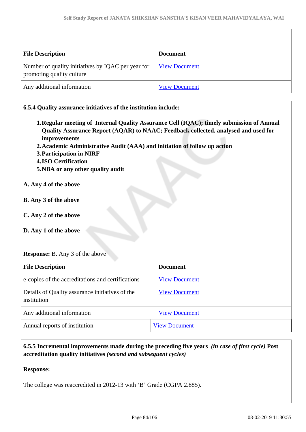| <b>File Description</b>                                                         | <b>Document</b>      |
|---------------------------------------------------------------------------------|----------------------|
| Number of quality initiatives by IQAC per year for<br>promoting quality culture | <b>View Document</b> |
| Any additional information                                                      | <b>View Document</b> |

| 6.5.4 Quality assurance initiatives of the institution include:                                                                                                                                                                                                                                                                               |                                                                                                                                                                                 |
|-----------------------------------------------------------------------------------------------------------------------------------------------------------------------------------------------------------------------------------------------------------------------------------------------------------------------------------------------|---------------------------------------------------------------------------------------------------------------------------------------------------------------------------------|
| improvements<br>2. Academic Administrative Audit (AAA) and initiation of follow up action<br><b>3. Participation in NIRF</b><br><b>4.ISO Certification</b><br>5. NBA or any other quality audit<br>A. Any 4 of the above<br>B. Any 3 of the above<br>C. Any 2 of the above<br>D. Any 1 of the above<br><b>Response:</b> B. Any 3 of the above | 1. Regular meeting of Internal Quality Assurance Cell (IQAC); timely submission of Annual<br>Quality Assurance Report (AQAR) to NAAC; Feedback collected, analysed and used for |
| <b>File Description</b>                                                                                                                                                                                                                                                                                                                       | <b>Document</b>                                                                                                                                                                 |
| e-copies of the accreditations and certifications                                                                                                                                                                                                                                                                                             | <b>View Document</b>                                                                                                                                                            |
| Details of Quality assurance initiatives of the<br>institution                                                                                                                                                                                                                                                                                | <b>View Document</b>                                                                                                                                                            |
| Any additional information                                                                                                                                                                                                                                                                                                                    | <b>View Document</b>                                                                                                                                                            |
| Annual reports of institution                                                                                                                                                                                                                                                                                                                 | <b>View Document</b>                                                                                                                                                            |

 **6.5.5 Incremental improvements made during the preceding five years** *(in case of first cycle)* **Post accreditation quality initiatives** *(second and subsequent cycles)*

**Response:** 

The college was reaccredited in 2012-13 with 'B' Grade (CGPA 2.885).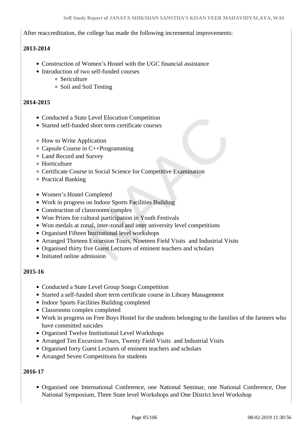After reaccreditation, the college has made the following incremental improvements:

#### **2013-2014**

- Construction of Women's Hostel with the UGC financial assistance
- Introduction of two self-funded courses
	- Sericulture
	- Soil and Soil Testing

#### **2014-2015**

- Conducted a State Level Elocution Competition
- Started self-funded short term certificate courses
- How to Write Application
- Capsule Course in C++Programming
- Land Record and Survey
- Horticulture
- Certificate Course in Social Science for Competitive Examination
- Practical Banking
- Women's Hostel Completed
- Work in progress on Indoor Sports Facilities Building
- Construction of classrooms complex
- Won Prizes for cultural participation in Youth Festivals
- Won medals at zonal, inter-zonal and inter university level competitions
- Organised Fifteen Institutional level workshops
- Arranged Thirteen Excursion Tours, Nineteen Field Visits and Industrial Visits
- Organised thirty five Guest Lectures of eminent teachers and scholars
- Initiated online admission

#### **2015-16**

- Conducted a State Level Group Songs Competition
- Started a self-funded short term certificate course in Library Management
- Indoor Sports Facilities Building completed
- Classrooms complex completed
- Work in progress on Free Boys Hostel for the students belonging to the families of the farmers who have committed suicides
- Organised Twelve Institutional Level Workshops
- Arranged Ten Excursion Tours, Twenty Field Visits and Industrial Visits
- Organised forty Guest Lectures of eminent teachers and scholars
- Arranged Seven Competitions for students

#### **2016-17**

Organised one International Conference, one National Seminar, one National Conference, One National Symposium, Three State level Workshops and One District level Workshop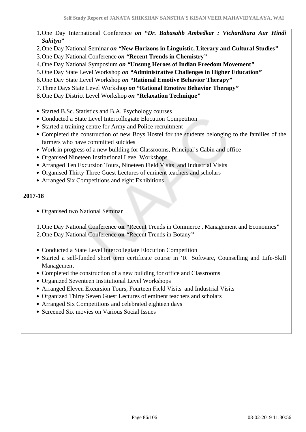- 1.One Day International Conference *on "Dr. Babasahb Ambedkar : Vichardhara Aur Hindi Sahitya"*
- 2.One Day National Seminar *on "***New Horizons in Linguistic, Literary and Cultural Studies***"*
- 3.One Day National Conference *on "***Recent Trends in Chemistry***"*
- 4.One Day National Symposium *on "***Unsung Heroes of Indian Freedom Movement***"*
- 5.One Day State Level Workshop *on "***Administrative Challenges in Higher Education***"*
- 6.One Day State Level Workshop *on "***Rational Emotive Behavior Therapy***"*
- 7.Three Days State Level Workshop *on "***Rational Emotive Behavior Therapy***"*
- 8.One Day District Level Workshop *on "***Relaxation Technique***"*
- Started B.Sc. Statistics and B.A. Psychology courses
- Conducted a State Level Intercollegiate Elocution Competition
- Started a training centre for Army and Police recruitment
- Completed the construction of new Boys Hostel for the students belonging to the families of the farmers who have committed suicides
- Work in progress of a new building for Classrooms, Principal's Cabin and office
- Organised Nineteen Institutional Level Workshops
- Arranged Ten Excursion Tours, Nineteen Field Visits and Industrial Visits
- Organised Thirty Three Guest Lectures of eminent teachers and scholars
- Arranged Six Competitions and eight Exhibitions

#### **2017-18**

Organised two National Seminar

1.One Day National Conference **on** *"*Recent Trends in Commerce , Management and Economics*"* 2.One Day National Conference **on** *"*Recent Trends in Botany*"*

- Conducted a State Level Intercollegiate Elocution Competition
- Started a self-funded short term certificate course in 'R' Software, Counselling and Life-Skill Management
- Completed the construction of a new building for office and Classrooms
- Organized Seventeen Institutional Level Workshops
- Arranged Eleven Excursion Tours, Fourteen Field Visits and Industrial Visits
- Organized Thirty Seven Guest Lectures of eminent teachers and scholars
- Arranged Six Competitions and celebrated eighteen days
- Screened Six movies on Various Social Issues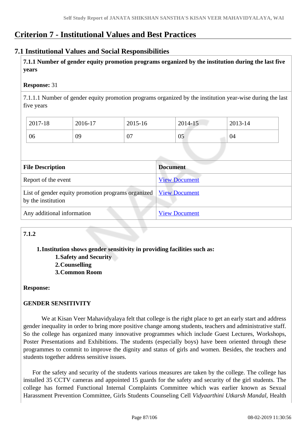# **Criterion 7 - Institutional Values and Best Practices**

#### **7.1 Institutional Values and Social Responsibilities**

 **7.1.1 Number of gender equity promotion programs organized by the institution during the last five years** 

#### **Response:** 31

7.1.1.1 Number of gender equity promotion programs organized by the institution year-wise during the last five years

| 2017-18 | 2016-17 | 2015-16 | 2014-15 | 2013-14 |
|---------|---------|---------|---------|---------|
| 06      | 09      | 07      | 05      | 04      |

| <b>File Description</b>                                                  | <b>Document</b>      |
|--------------------------------------------------------------------------|----------------------|
| Report of the event                                                      | <b>View Document</b> |
| List of gender equity promotion programs organized<br>by the institution | <b>View Document</b> |
| Any additional information                                               | <b>View Document</b> |

# **7.1.2**

**1.Institution shows gender sensitivity in providing facilities such as:**

- **1.Safety and Security**
- **2.Counselling**
- **3.Common Room**

#### **Response:**

#### **GENDER SENSITIVITY**

 We at Kisan Veer Mahavidyalaya felt that college is the right place to get an early start and address gender inequality in order to bring more positive change among students, teachers and administrative staff. So the college has organized many innovative programmes which include Guest Lectures, Workshops, Poster Presentations and Exhibitions. The students (especially boys) have been oriented through these programmes to commit to improve the dignity and status of girls and women. Besides, the teachers and students together address sensitive issues.

 For the safety and security of the students various measures are taken by the college. The college has installed 35 CCTV cameras and appointed 15 guards for the safety and security of the girl students. The college has formed Functional Internal Complaints Committee which was earlier known as Sexual Harassment Prevention Committee, Girls Students Counseling Cell *Vidyaarthini Utkarsh Mandal*, Health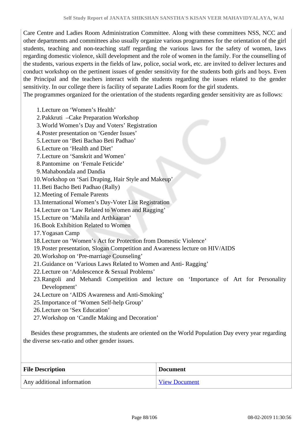Care Centre and Ladies Room Administration Committee. Along with these committees NSS, NCC and other departments and committees also usually organize various programmes for the orientation of the girl students, teaching and non-teaching staff regarding the various laws for the safety of women, laws regarding domestic violence, skill development and the role of women in the family. For the counselling of the students, various experts in the fields of law, police, social work, etc. are invited to deliver lectures and conduct workshop on the pertinent issues of gender sensitivity for the students both girls and boys. Even the Principal and the teachers interact with the students regarding the issues related to the gender sensitivity. In our college there is facility of separate Ladies Room for the girl students.

The programmes organized for the orientation of the students regarding gender sensitivity are as follows:

- 1.Lecture on 'Women's Health'
- 2.Pakkruti –Cake Preparation Workshop
- 3.World Women's Day and Voters' Registration
- 4.Poster presentation on 'Gender Issues'
- 5.Lecture on 'Beti Bachao Beti Padhao'
- 6.Lecture on 'Health and Diet'
- 7.Lecture on 'Sanskrit and Women'
- 8.Pantomime on 'Female Feticide'
- 9.Mahabondala and Dandia
- 10.Workshop on 'Sari Draping, Hair Style and Makeup'
- 11.Beti Bacho Beti Padhao (Rally)
- 12.Meeting of Female Parents
- 13.International Women's Day-Voter List Registration
- 14.Lecture on 'Law Related to Women and Ragging'
- 15.Lecture on 'Mahila and Arthkaaran'
- 16.Book Exhibition Related to Women
- 17.Yogasan Camp
- 18.Lecture on 'Women's Act for Protection from Domestic Violence'
- 19.Poster presentation, Slogan Competition and Awareness lecture on HIV/AIDS
- 20.Workshop on 'Pre-marriage Counseling'
- 21.Guidance on 'Various Laws Related to Women and Anti- Ragging'
- 22.Lecture on 'Adolescence & Sexual Problems'
- 23.Rangoli and Mehandi Competition and lecture on 'Importance of Art for Personality Development'
- 24.Lecture on 'AIDS Awareness and Anti-Smoking'
- 25.Importance of 'Women Self-help Group'
- 26.Lecture on 'Sex Education'
- 27.Workshop on 'Candle Making and Decoration'

 Besides these programmes, the students are oriented on the World Population Day every year regarding the diverse sex-ratio and other gender issues.

| <b>File Description</b>    | <b>Document</b>      |
|----------------------------|----------------------|
| Any additional information | <b>View Document</b> |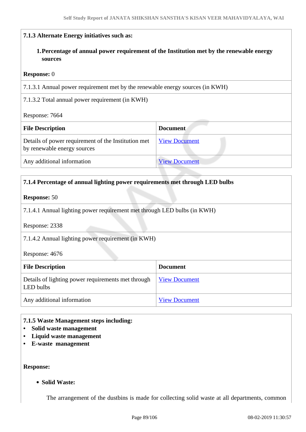#### **7.1.3 Alternate Energy initiatives such as:**

**1.Percentage of annual power requirement of the Institution met by the renewable energy sources**

#### **Response:** 0

7.1.3.1 Annual power requirement met by the renewable energy sources (in KWH)

7.1.3.2 Total annual power requirement (in KWH)

Response: 7664

| <b>File Description</b>                                                            | <b>Document</b>      |
|------------------------------------------------------------------------------------|----------------------|
| Details of power requirement of the Institution met<br>by renewable energy sources | <b>View Document</b> |
| Any additional information                                                         | <b>View Document</b> |

#### **7.1.4 Percentage of annual lighting power requirements met through LED bulbs**

#### **Response:** 50

7.1.4.1 Annual lighting power requirement met through LED bulbs (in KWH)

Response: 2338

7.1.4.2 Annual lighting power requirement (in KWH)

Response: 4676

| <b>File Description</b>                                         | <b>Document</b>      |
|-----------------------------------------------------------------|----------------------|
| Details of lighting power requirements met through<br>LED bulbs | <b>View Document</b> |
| Any additional information                                      | <b>View Document</b> |

#### **7.1.5 Waste Management steps including:**

- **Solid waste management**
- **Liquid waste management**
- **E-waste management**

**Response:** 

**Solid Waste:**

The arrangement of the dustbins is made for collecting solid waste at all departments, common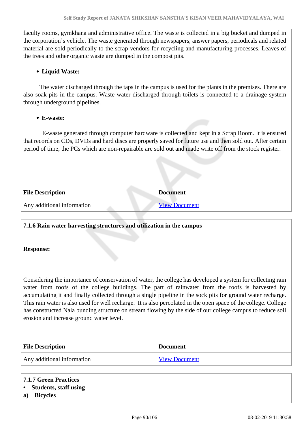faculty rooms, gymkhana and administrative office. The waste is collected in a big bucket and dumped in the corporation's vehicle. The waste generated through newspapers, answer papers, periodicals and related material are sold periodically to the scrap vendors for recycling and manufacturing processes. Leaves of the trees and other organic waste are dumped in the compost pits.

#### **Liquid Waste:**

 The water discharged through the taps in the campus is used for the plants in the premises. There are also soak-pits in the campus. Waste water discharged through toilets is connected to a drainage system through underground pipelines.

#### **E-waste:**

 E-waste generated through computer hardware is collected and kept in a Scrap Room. It is ensured that records on CDs, DVDs and hard discs are properly saved for future use and then sold out. After certain period of time, the PCs which are non-repairable are sold out and made write off from the stock register.

| <b>File Description</b>    | <b>Document</b>      |
|----------------------------|----------------------|
| Any additional information | <b>View Document</b> |

#### **7.1.6 Rain water harvesting structures and utilization in the campus**

#### **Response:**

Considering the importance of conservation of water, the college has developed a system for collecting rain water from roofs of the college buildings. The part of rainwater from the roofs is harvested by accumulating it and finally collected through a single pipeline in the sock pits for ground water recharge. This rain water is also used for well recharge. It is also percolated in the open space of the college. College has constructed Nala bunding structure on stream flowing by the side of our college campus to reduce soil erosion and increase ground water level.

| <b>File Description</b>    | <b>Document</b>      |
|----------------------------|----------------------|
| Any additional information | <b>View Document</b> |

#### **7.1.7 Green Practices**

#### **• Students, staff using**

**a) Bicycles**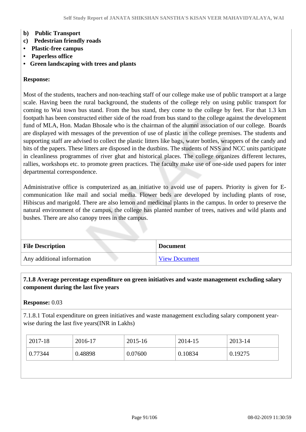#### **b) Public Transport**

- **c) Pedestrian friendly roads**
- **Plastic-free campus**
- **Paperless office**
- **Green landscaping with trees and plants**

#### **Response:**

Most of the students, teachers and non-teaching staff of our college make use of public transport at a large scale. Having been the rural background, the students of the college rely on using public transport for coming to Wai town bus stand. From the bus stand, they come to the college by feet. For that 1.3 km footpath has been constructed either side of the road from bus stand to the college against the development fund of MLA, Hon. Madan Bhosale who is the chairman of the alumni association of our college. Boards are displayed with messages of the prevention of use of plastic in the college premises. The students and supporting staff are advised to collect the plastic litters like bags, water bottles, wrappers of the candy and bits of the papers. These litters are disposed in the dustbins. The students of NSS and NCC units participate in cleanliness programmes of river ghat and historical places. The college organizes different lectures, rallies, workshops etc. to promote green practices. The faculty make use of one-side used papers for inter departmental correspondence.

Administrative office is computerized as an initiative to avoid use of papers. Priority is given for Ecommunication like mail and social media. Flower beds are developed by including plants of rose, Hibiscus and marigold. There are also lemon and medicinal plants in the campus. In order to preserve the natural environment of the campus, the college has planted number of trees, natives and wild plants and bushes. There are also canopy trees in the campus.

| <b>File Description</b>    | <b>Document</b> |
|----------------------------|-----------------|
| Any additional information | View Document   |

#### **7.1.8 Average percentage expenditure on green initiatives and waste management excluding salary component during the last five years**

#### **Response:** 0.03

7.1.8.1 Total expenditure on green initiatives and waste management excluding salary component yearwise during the last five years(INR in Lakhs)

| 2017-18 | 2016-17 | $2015 - 16$ | 2014-15 | 2013-14 |
|---------|---------|-------------|---------|---------|
| 0.77344 | 0.48898 | 0.07600     | 0.10834 | 0.19275 |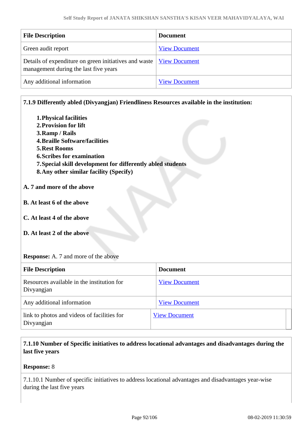| <b>File Description</b>                                                                                        | <b>Document</b>      |
|----------------------------------------------------------------------------------------------------------------|----------------------|
| Green audit report                                                                                             | <b>View Document</b> |
| Details of expenditure on green initiatives and waste   View Document<br>management during the last five years |                      |
| Any additional information                                                                                     | <b>View Document</b> |

#### **7.1.9 Differently abled (Divyangjan) Friendliness Resources available in the institution:**

- **1.Physical facilities 2.Provision for lift 3.Ramp / Rails 4.Braille Software/facilities 5.Rest Rooms 6.Scribes for examination 7.Special skill development for differently abled students 8.Any other similar facility (Specify) A. 7 and more of the above B. At least 6 of the above**
- **C. At least 4 of the above**
- **D. At least 2 of the above**

#### **Response:** A. 7 and more of the above

| <b>File Description</b>                                   | <b>Document</b>      |
|-----------------------------------------------------------|----------------------|
| Resources available in the institution for<br>Divyangjan  | <b>View Document</b> |
| Any additional information                                | <b>View Document</b> |
| link to photos and videos of facilities for<br>Divyangjan | <b>View Document</b> |

#### **7.1.10 Number of Specific initiatives to address locational advantages and disadvantages during the last five years**

#### **Response:** 8

7.1.10.1 Number of specific initiatives to address locational advantages and disadvantages year-wise during the last five years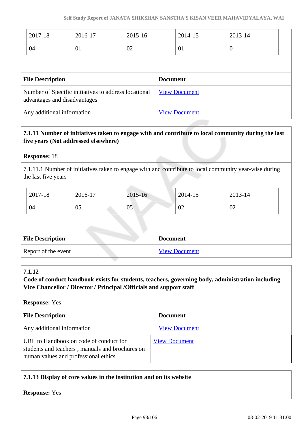| 2017-18                                                                              | 2016-17 | 2015-16              | 2014-15         | 2013-14  |
|--------------------------------------------------------------------------------------|---------|----------------------|-----------------|----------|
| 04                                                                                   | 01      | 02                   | 01              | $\theta$ |
|                                                                                      |         |                      |                 |          |
| <b>File Description</b>                                                              |         |                      | <b>Document</b> |          |
| Number of Specific initiatives to address locational<br>advantages and disadvantages |         | <b>View Document</b> |                 |          |
| Any additional information                                                           |         | <b>View Document</b> |                 |          |

#### **7.1.11 Number of initiatives taken to engage with and contribute to local community during the last five years (Not addressed elsewhere)**

#### **Response:** 18

7.1.11.1 Number of initiatives taken to engage with and contribute to local community year-wise during the last five years

| 2017-18 | 2016-17 | 2015-16 | 2014-15        | 2013-14 |
|---------|---------|---------|----------------|---------|
| 04      | 05      | 05      | $\Omega$<br>V4 | 02      |

| <b>File Description</b> | <b>Document</b> |
|-------------------------|-----------------|
| Report of the event     | View Document   |

#### **7.1.12**

**Code of conduct handbook exists for students, teachers, governing body, administration including Vice Chancellor / Director / Principal /Officials and support staff**

#### **Response:** Yes

| <b>File Description</b>                                                                                                           | <b>Document</b>      |
|-----------------------------------------------------------------------------------------------------------------------------------|----------------------|
| Any additional information                                                                                                        | <b>View Document</b> |
| URL to Handbook on code of conduct for<br>students and teachers, manuals and brochures on<br>human values and professional ethics | <b>View Document</b> |

#### **7.1.13 Display of core values in the institution and on its website**

**Response:** Yes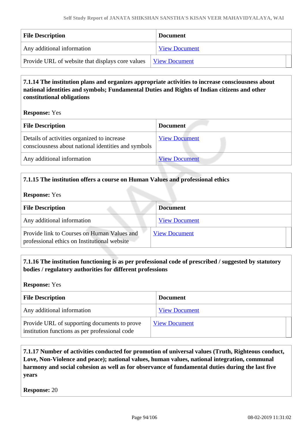| <b>File Description</b>                          | <b>Document</b>      |
|--------------------------------------------------|----------------------|
| Any additional information                       | <b>View Document</b> |
| Provide URL of website that displays core values | View Document        |

#### **7.1.14 The institution plans and organizes appropriate activities to increase consciousness about national identities and symbols; Fundamental Duties and Rights of Indian citizens and other constitutional obligations**

**Response:** Yes

| <b>File Description</b>                                                                            | <b>Document</b>      |
|----------------------------------------------------------------------------------------------------|----------------------|
| Details of activities organized to increase<br>consciousness about national identities and symbols | <b>View Document</b> |
| Any additional information                                                                         | <b>View Document</b> |
|                                                                                                    |                      |

#### **7.1.15 The institution offers a course on Human Values and professional ethics**

**Response:** Yes

| <b>File Description</b>                                                                     | <b>Document</b>      |
|---------------------------------------------------------------------------------------------|----------------------|
| Any additional information                                                                  | <b>View Document</b> |
| Provide link to Courses on Human Values and<br>professional ethics on Institutional website | <b>View Document</b> |

#### **7.1.16 The institution functioning is as per professional code of prescribed / suggested by statutory bodies / regulatory authorities for different professions**

**Response:** Yes

| <b>File Description</b>                                                                        | <b>Document</b>      |
|------------------------------------------------------------------------------------------------|----------------------|
| Any additional information                                                                     | <b>View Document</b> |
| Provide URL of supporting documents to prove<br>institution functions as per professional code | <b>View Document</b> |

#### **7.1.17 Number of activities conducted for promotion of universal values (Truth, Righteous conduct, Love, Non-Violence and peace); national values, human values, national integration, communal harmony and social cohesion as well as for observance of fundamental duties during the last five years**

**Response:** 20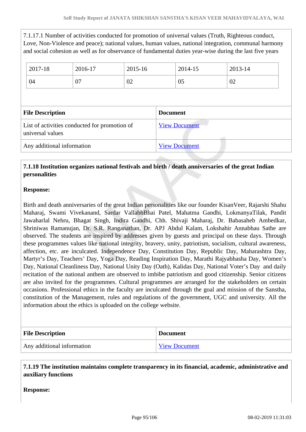7.1.17.1 Number of activities conducted for promotion of universal values (Truth, Righteous conduct, Love, Non-Violence and peace); national values, human values, national integration, communal harmony and social cohesion as well as for observance of fundamental duties year-wise during the last five years

| 2017-18                 | 2016-17                                       | 2015-16 | 2014-15              | 2013-14 |  |
|-------------------------|-----------------------------------------------|---------|----------------------|---------|--|
| 04                      | 07                                            | 02      | 05                   | 02      |  |
|                         |                                               |         |                      |         |  |
|                         |                                               |         |                      |         |  |
| <b>File Description</b> |                                               |         | <b>Document</b>      |         |  |
| universal values        | List of activities conducted for promotion of |         | <b>View Document</b> |         |  |

#### **7.1.18 Institution organizes national festivals and birth / death anniversaries of the great Indian personalities**

#### **Response:**

Birth and death anniversaries of the great Indian personalities like our founder KisanVeer, Rajarshi Shahu Maharaj, Swami Vivekanand, Sardar VallabhBhai Patel, Mahatma Gandhi, LokmanyaTilak, Pandit Jawaharlal Nehru, Bhagat Singh, Indira Gandhi, Chh. Shivaji Maharaj, Dr. Babasaheb Ambedkar, Shriniwas Ramanujan, Dr. S.R. Ranganathan, Dr. APJ Abdul Kalam, Lokshahir Annabhau Sathe are observed. The students are inspired by addresses given by guests and principal on these days. Through these programmes values like national integrity, bravery, unity, patriotism, socialism, cultural awareness, affection, etc. are inculcated. Independence Day, Constitution Day, Republic Day, Maharashtra Day, Martyr's Day, Teachers' Day, Yoga Day, Reading Inspiration Day, Marathi Rajyabhasha Day, Women's Day, National Cleanliness Day, National Unity Day (Oath), Kalidas Day, National Voter's Day and daily recitation of the national anthem are observed to imbibe patriotism and good citizenship. Senior citizens are also invited for the programmes. Cultural programmes are arranged for the stakeholders on certain occasions. Professional ethics in the faculty are inculcated through the goal and mission of the Sanstha, constitution of the Management, rules and regulations of the government, UGC and university. All the information about the ethics is uploaded on the college website.

| <b>File Description</b>    | <b>Document</b>      |
|----------------------------|----------------------|
| Any additional information | <b>View Document</b> |

 **7.1.19 The institution maintains complete transparency in its financial, academic, administrative and auxiliary functions**

**Response:**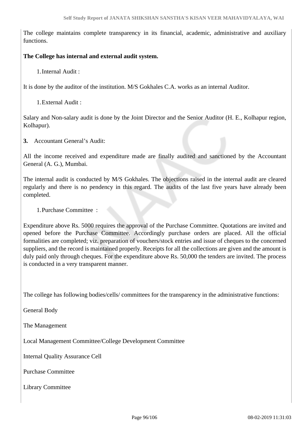The college maintains complete transparency in its financial, academic, administrative and auxiliary functions.

#### **The College has internal and external audit system.**

1.Internal Audit :

It is done by the auditor of the institution. M/S Gokhales C.A. works as an internal Auditor.

1.External Audit :

Salary and Non-salary audit is done by the Joint Director and the Senior Auditor (H. E., Kolhapur region, Kolhapur).

**3.** Accountant General's Audit:

All the income received and expenditure made are finally audited and sanctioned by the Accountant General (A. G.), Mumbai.

The internal audit is conducted by M/S Gokhales. The objections raised in the internal audit are cleared regularly and there is no pendency in this regard. The audits of the last five years have already been completed.

1.Purchase Committee :

Expenditure above Rs. 5000 requires the approval of the Purchase Committee. Quotations are invited and opened before the Purchase Committee. Accordingly purchase orders are placed. All the official formalities are completed; viz. preparation of vouchers/stock entries and issue of cheques to the concerned suppliers, and the record is maintained properly. Receipts for all the collections are given and the amount is duly paid only through cheques. For the expenditure above Rs. 50,000 the tenders are invited. The process is conducted in a very transparent manner.

The college has following bodies/cells/ committees for the transparency in the administrative functions:

General Body

The Management

Local Management Committee/College Development Committee

Internal Quality Assurance Cell

Purchase Committee

Library Committee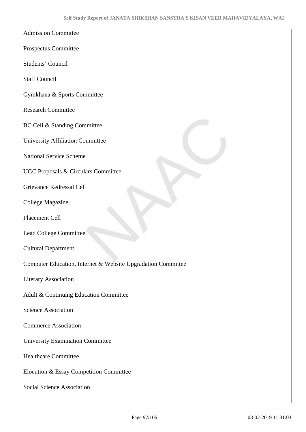- Admission Committee
- Prospectus Committee
- Students' Council
- Staff Council
- Gymkhana & Sports Committee
- Research Committee
- BC Cell & Standing Committee
- University Affiliation Committee
- National Service Scheme
- UGC Proposals & Circulars Committee
- Grievance Redressal Cell
- College Magazine
- Placement Cell
- Lead College Committee
- Cultural Department
- Computer Education, Internet & Website Upgradation Committee
- Literary Association
- Adult & Continuing Education Committee
- Science Association
- Commerce Association
- University Examination Committee
- Healthcare Committee
- Elocution & Essay Competition Committee
- Social Science Association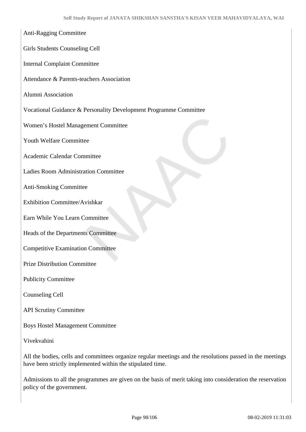# Anti-Ragging Committee Girls Students Counseling Cell Internal Complaint Committee Attendance & Parents-teachers Association Alumni Association Vocational Guidance & Personality Development Programme Committee Women's Hostel Management Committee Youth Welfare Committee Academic Calendar Committee Ladies Room Administration Committee Anti-Smoking Committee Exhibition Committee/Avishkar Earn While You Learn Committee Heads of the Departments Committee Competitive Examination Committee Prize Distribution Committee Publicity Committee Counseling Cell API Scrutiny Committee

Boys Hostel Management Committee

Vivekvahini

All the bodies, cells and committees organize regular meetings and the resolutions passed in the meetings have been strictly implemented within the stipulated time.

Admissions to all the programmes are given on the basis of merit taking into consideration the reservation policy of the government.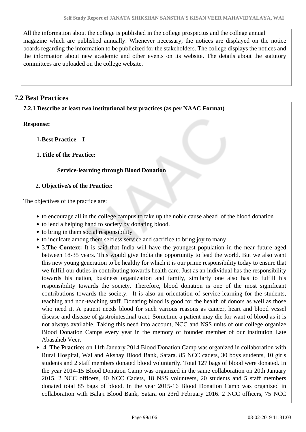All the information about the college is published in the college prospectus and the college annual magazine which are published annually. Whenever necessary, the notices are displayed on the notice boards regarding the information to be publicized for the stakeholders. The college displays the notices and the information about new academic and other events on its website. The details about the statutory committees are uploaded on the college website.

#### **7.2 Best Practices**

#### **7.2.1 Describe at least two institutional best practices (as per NAAC Format)**

#### **Response:**

1.**Best Practice – I**

#### 1.**Title of the Practice:**

#### **Service-learning through Blood Donation**

#### **2. Objective/s of the Practice:**

The objectives of the practice are:

- to encourage all in the college campus to take up the noble cause ahead of the blood donation
- to lend a helping hand to society by donating blood.
- to bring in them social responsibility
- to inculcate among them selfless service and sacrifice to bring joy to many
- 3.**The Context:** It is said that India will have the youngest population in the near future aged between 18-35 years. This would give India the opportunity to lead the world. But we also want this new young generation to be healthy for which it is our prime responsibility today to ensure that we fulfill our duties in contributing towards health care. Just as an individual has the responsibility towards his nation, business organization and family, similarly one also has to fulfill his responsibility towards the society. Therefore, blood donation is one of the most significant contributions towards the society. It is also an orientation of service-learning for the students, teaching and non-teaching staff. Donating blood is good for the health of donors as well as those who need it. A patient needs blood for such various reasons as cancer, heart and blood vessel disease and disease of gastrointestinal tract. Sometime a patient may die for want of blood as it is not always available. Taking this need into account, NCC and NSS units of our college organize Blood Donation Camps every year in the memory of founder member of our institution Late Abasaheb Veer.
- 4. **The Practice:** on 11th January 2014 Blood Donation Camp was organized in collaboration with Rural Hospital, Wai and Akshay Blood Bank, Satara. 85 NCC cadets, 30 boys students, 10 girls students and 2 staff members donated blood voluntarily. Total 127 bags of blood were donated. In the year 2014-15 Blood Donation Camp was organized in the same collaboration on 20th January 2015. 2 NCC officers, 40 NCC Cadets, 18 NSS volunteers, 20 students and 5 staff members donated total 85 bags of blood. In the year 2015-16 Blood Donation Camp was organized in collaboration with Balaji Blood Bank, Satara on 23rd February 2016. 2 NCC officers, 75 NCC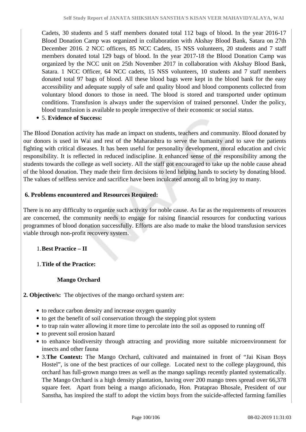Cadets, 30 students and 5 staff members donated total 112 bags of blood. In the year 2016-17 Blood Donation Camp was organized in collaboration with Akshay Blood Bank, Satara on 27th December 2016. 2 NCC officers, 85 NCC Cadets, 15 NSS volunteers, 20 students and 7 staff members donated total 129 bags of blood. In the year 2017-18 the Blood Donation Camp was organized by the NCC unit on 25th November 2017 in collaboration with Akshay Blood Bank, Satara. 1 NCC Officer, 64 NCC cadets, 15 NSS volunteers, 10 students and 7 staff members donated total 97 bags of blood. All these blood bags were kept in the blood bank for the easy accessibility and adequate supply of safe and quality blood and blood components collected from voluntary blood donors to those in need. The blood is stored and transported under optimum conditions. Transfusion is always under the supervision of trained personnel. Under the policy, blood transfusion is available to people irrespective of their economic or social status.

5. **Evidence of Success:**

The Blood Donation activity has made an impact on students, teachers and community. Blood donated by our donors is used in Wai and rest of the Maharashtra to serve the humanity and to save the patients fighting with critical diseases. It has been useful for personality development, moral education and civic responsibility. It is reflected in reduced indiscipline. It enhanced sense of the responsibility among the students towards the college as well society. All the staff got encouraged to take up the noble cause ahead of the blood donation. They made their firm decisions to lend helping hands to society by donating blood. The values of selfless service and sacrifice have been inculcated among all to bring joy to many.

#### **6. Problems encountered and Resources Required:**

There is no any difficulty to organize such activity for noble cause. As far as the requirements of resources are concerned, the community needs to engage for raising financial resources for conducting various programmes of blood donation successfully. Efforts are also made to make the blood transfusion services viable through non-profit recovery system.

#### 1.**Best Practice – II**

1.**Title of the Practice:** 

#### **Mango Orchard**

**2. Objective/s:** The objectives of the mango orchard system are:

- to reduce carbon density and increase oxygen quantity
- to get the benefit of soil conservation through the stepping plot system
- to trap rain water allowing it more time to percolate into the soil as opposed to running off
- to prevent soil erosion hazard
- to enhance biodiversity through attracting and providing more suitable microenvironment for insects and other fauna
- 3.**The Context:** The Mango Orchard, cultivated and maintained in front of "Jai Kisan Boys Hostel", is one of the best practices of our college. Located next to the college playground, this orchard has full-grown mango trees as well as the mango saplings recently planted systematically. The Mango Orchard is a high density plantation, having over 200 mango trees spread over 66,378 square feet. Apart from being a mango aficionado, Hon. Prataprao Bhosale, President of our Sanstha, has inspired the staff to adopt the victim boys from the suicide-affected farming families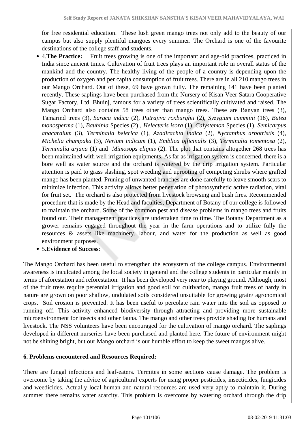for free residential education. These lush green mango trees not only add to the beauty of our campus but also supply plentiful mangoes every summer. The Orchard is one of the favourite destinations of the college staff and students.

- 4.**The Practice:** Fruit trees growing is one of the important and age-old practices, practiced in India since ancient times. Cultivation of fruit trees plays an important role in overall status of the mankind and the country. The healthy living of the people of a country is depending upon the production of oxygen and per capita consumption of fruit trees. There are in all 210 mango trees in our Mango Orchard. Out of these, 69 have grown fully. The remaining 141 have been planted recently. These saplings have been purchased from the Nursery of Kisan Veer Satara Cooperative Sugar Factory, Ltd. Bhuinj, famous for a variety of trees scientifically cultivated and raised. The Mango Orchard also contains 58 trees other than mango trees. These are Banyan trees (3), Tamarind trees (3), *Saraca indica* (2), *Putrajiva roxburghii* (2), *Syzygium cummini* (18), *Butea monosperma* (1), *Bauhinia* Species (2) , *Helecteris isora* (1), *Calystemon* Species (1), *Semicarpus anacardium* (3), *Terminalia belerica* (1), *Azadirachta indica* (2), *Nyctanthus arbotristis* (4), *Michelia champaka* (3), *Nerium indicum* (1), *Emblica officinalis* (3), *Terminalia tomentosa* (2), *Terminalia arjuna* (1) and *Mimosops elignis* (2). The plot that contains altogether 268 trees has been maintained with well irrigation equipments. As far as irrigation system is concerned, there is a bore well as water source and the orchard is watered by the drip irrigation system. Particular attention is paid to grass slashing, spot weeding and uprooting of competing shrubs where grafted mango has been planted. Pruning of unwanted branches are done carefully to leave smooth scars to minimize infection. This activity allows better penetration of photosynthetic active radiation, vital for fruit set. The orchard is also protected from livestock browsing and bush fires. Recommended procedure that is made by the Head and faculties, Department of Botany of our college is followed to maintain the orchard. Some of the common pest and disease problems in mango trees and fruits found out. Their management practices are undertaken time to time. The Botany Department as a grower remains engaged throughout the year in the farm operations and to utilize fully the resources & assets like machinery, labour, and water for the production as well as good environment purposes.
- 5.**Evidence of Success**:

The Mango Orchard has been useful to strengthen the ecosystem of the college campus. Environmental awareness is inculcated among the local society in general and the college students in particular mainly in terms of aforestation and reforestation. It has been developed very near to playing ground. Although, most of the fruit trees require perennial irrigation and good soil for cultivation, mango fruit trees of hardy in nature are grown on poor shallow, undulated soils considered unsuitable for growing grain/ agronomical crops. Soil erosion is prevented. It has been useful to percolate rain water into the soil as opposed to running off. This activity enhanced biodiversity through attracting and providing more sustainable microenvironment for insects and other fauna. The mango and other trees provide shading for humans and livestock. The NSS volunteers have been encouraged for the cultivation of mango orchard. The saplings developed in different nurseries have been purchased and planted here. The future of environment might not be shining bright, but our Mango orchard is our humble effort to keep the sweet mangos alive.

#### **6. Problems encountered and Resources Required:**

There are fungal infections and leaf-eaters. Termites in some sections cause damage. The problem is overcome by taking the advice of agricultural experts for using proper pesticides, insecticides, fungicides and weedicides. Actually local human and natural resources are used very aptly to maintain it. During summer there remains water scarcity. This problem is overcome by watering orchard through the drip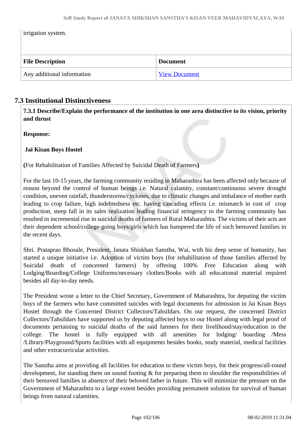irrigation system.

| <b>File Description</b>    | <b>Document</b>      |
|----------------------------|----------------------|
| Any additional information | <b>View Document</b> |

#### **7.3 Institutional Distinctiveness**

 **7.3.1 Describe/Explain the performance of the institution in one area distinctive to its vision, priority and thrust**

**Response:** 

#### **Jai Kisan Boys Hostel**

**(**For Rehabilitation of Families Affected by Suicidal Death of Farmers**)**

For the last 10-15 years, the farming community residing in Maharashtra has been affected only because of reason beyond the control of human beings i.e. Natural calamity, constant/continuous severe drought condition, uneven rainfall, thunderstorms/cyclones, due to climatic changes and imbalance of mother earth leading to crop failure, high indebtedness etc. having cascading effects i.e. mismatch in cost of crop production, steep fall in its sales realization leading financial stringency to the farming community has resulted in incremental rise in suicidal deaths of farmers of Rural Maharashtra. The victims of their acts are their dependent school/college-going boys/girls which has hampered the life of such bereaved families in the recent days.

Shri. Prataprao Bhosale, President, Janata Shiskhan Sanstha, Wai, with his deep sense of humanity, has started a unique initiative i.e. Adoption of victim boys (for rehabilitation of those families affected by Suicidal death of concerned farmers) by offering 100% Free Education along with Lodging/Boarding/College Uniforms/necessary clothes/Books with all educational material required besides all day-to-day needs.

The President wrote a letter to the Chief Secretary, Government of Maharashtra, for deputing the victim boys of the farmers who have committed suicides with legal documents for admission in Jai Kisan Boys Hostel through the Concerned District Collectors/Tahsildars. On our request, the concerned District Collectors/Tahsildars have supported us by deputing affected boys to our Hostel along with legal proof of documents pertaining to suicidal deaths of the said farmers for their livelihood/stay/education in the college. The hostel is fully equipped with all amenities for lodging/ boarding /Mess /Library/Playground/Sports facilities with all equipments besides books, study material, medical facilities and other extracurricular activities.

The Sanstha aims at providing all facilities for education to these victim boys, for their progress/all-round development, for standing them on sound footing & for preparing them to shoulder the responsibilities of their bereaved families in absence of their beloved father in future. This will minimize the pressure on the Government of Maharashtra to a large extent besides providing permanent solution for survival of human beings from natural calamities.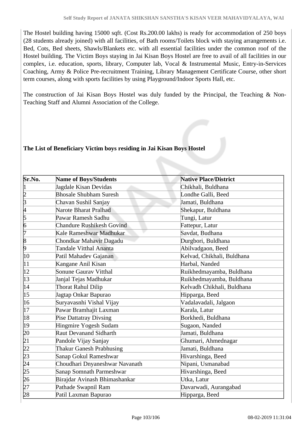The Hostel building having 15000 sqft. (Cost Rs.200.00 lakhs) is ready for accommodation of 250 boys (28 students already joined) with all facilities, of Bath rooms/Toilets block with staying arrangements i.e. Bed, Cots, Bed sheets, Shawls/Blankets etc. with all essential facilities under the common roof of the Hostel building. The Victim Boys staying in Jai Kisan Boys Hostel are free to avail of all facilities in our complex, i.e. education, sports, library, Computer lab, Vocal & Instrumental Music, Entry-in-Services Coaching, Army & Police Pre-recruitment Training, Library Management Certificate Course, other short term courses, along with sports facilities by using Playground/Indoor Sports Hall, etc.

The construction of Jai Kisan Boys Hostel was duly funded by the Principal, the Teaching & Non-Teaching Staff and Alumni Association of the College.

#### **The List of Beneficiary Victim boys residing in Jai Kisan Boys Hostel**

| Sr.No.                                             | <b>Name of Boys/Students</b>     | <b>Native Place/District</b> |
|----------------------------------------------------|----------------------------------|------------------------------|
| 1                                                  | Jagdale Kisan Devidas            | Chikhali, Buldhana           |
|                                                    | <b>Bhosale Shubham Suresh</b>    | Londhe Galli, Beed           |
| $\frac{2}{3}$                                      | Chavan Sushil Sanjay             | Jamati, Buldhana             |
| 4                                                  | Narote Bharat Pralhad            | Shekapur, Buldhana           |
| $\overline{5}$                                     | Pawar Ramesh Sadhu               | Tungi, Latur                 |
| 6                                                  | <b>Chandure Rushikesh Govind</b> | Fattepur, Latur              |
| l7                                                 | Kale Rameshwar Madhukar          | Savdat, Budhana              |
| $\overline{8}$                                     | Chondkar Mahavir Dagadu          | Durgbori, Buldhana           |
| þ                                                  | <b>Tandale Vitthal Ananta</b>    | Abilvadgaon, Beed            |
| 10                                                 | Patil Mahadev Gajanan            | Kelvad, Chikhali, Buldhana   |
| 11                                                 | Kangane Anil Kisan               | Harbal, Nanded               |
| $ 12\rangle$                                       | <b>Sonune Gaurav Vitthal</b>     | Ruikhedmayamba, Buldhana     |
| 13                                                 | Janjal Tejas Madhukar            | Ruikhedmayamba, Buldhana     |
| 14                                                 | <b>Thorat Rahul Dilip</b>        | Kelvadh Chikhali, Buldhana   |
| $ 15\rangle$                                       | Jagtap Onkar Bapurao             | Hipparga, Beed               |
| 16                                                 | Suryavasnhi Vishal Vijay         | Vadalavadali, Jalgaon        |
| 17                                                 | Pawar Bramhajit Laxman           | Karala, Latur                |
| 18                                                 | <b>Pise Dattatray Divsing</b>    | Borkhedi, Buldhana           |
| 19                                                 | Hingmire Yogesh Sudam            | Sugaon, Nanded               |
|                                                    | <b>Raut Devanand Sidharth</b>    | Jamati, Buldhana             |
|                                                    | Pandole Vijay Sanjay             | Ghumari, Ahmednagar          |
|                                                    | <b>Thakur Ganesh Prabhusing</b>  | Jamati, Buldhana             |
|                                                    | Sanap Gokul Rameshwar            | Hivarshinga, Beed            |
|                                                    | Choudhari Dnyaneshwar Navanath   | Nipani, Usmanabad            |
| 20<br>21<br>22<br>23<br>24<br>25<br>26<br>27<br>28 | Sanap Somnath Parmeshwar         | Hivarshinga, Beed            |
|                                                    | Birajdar Avinash Bhimashankar    | Utka, Latur                  |
|                                                    | Pathade Swapnil Ram              | Davarwadi, Aurangabad        |
|                                                    | Patil Laxman Bapurao             | Hipparga, Beed               |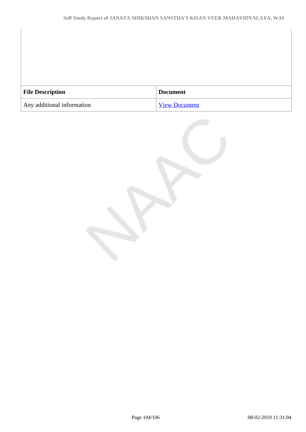| <b>File Description</b>    | <b>Document</b>      |
|----------------------------|----------------------|
| Any additional information | <b>View Document</b> |

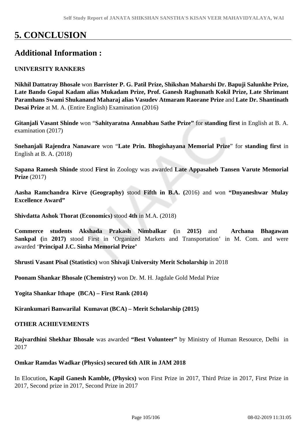# **5. CONCLUSION**

# **Additional Information :**

#### **UNIVERSITY RANKERS**

**Nikhil Dattatray Bhosale** won **Barrister P. G. Patil Prize, Shikshan Maharshi Dr. Bapuji Salunkhe Prize, Late Bando Gopal Kadam alias Mukadam Prize, Prof. Ganesh Raghunath Kokil Prize, Late Shrimant Paramhans Swami Shukanand Maharaj alias Vasudev Atmaram Raorane Prize** and **Late Dr. Shantinath Desai Prize** at M. A. (Entire English) Examination (2016)

**Gitanjali Vasant Shinde** won "**Sahityaratna Annabhau Sathe Prize"** for **standing first** in English at B. A. examination (2017)

**Snehanjali Rajendra Nanaware** won "**Late Prin. Bhogishayana Memorial Prize**" for **standing first** in English at B. A. (2018)

**Sapana Ramesh Shinde** stood **First i**n Zoology was awarded **Late Appasaheb Tansen Varute Memorial Prize** (2017)

**Aasha Ramchandra Kirve (Geography)** stood **Fifth in B.A. (**2016) and won **"Dnyaneshwar Mulay Excellence Award"**

**Shivdatta Ashok Thorat (Economics)** stood **4th** in M.A. (2018)

**Commerce students Akshada Prakash Nimbalkar (**in **2015)** and **Archana Bhagawan Sankpal (**in **2017)** stood First in 'Organized Markets and Transportation' in M. Com. and were awarded '**Principal J.C. Sinha Memorial Prize'**

**Shrusti Vasant Pisal (Statistics)** won **Shivaji University Merit Scholarship** in 2018

**Poonam Shankar Bhosale (Chemistry)** won Dr. M. H. Jagdale Gold Medal Prize

**Yogita Shankar Ithape (BCA) – First Rank (2014)** 

**Kirankumari Banwarilal Kumavat (BCA) – Merit Scholarship (2015)**

#### **OTHER ACHIEVEMENTS**

**Rajvardhini Shekhar Bhosale** was awarded **"Best Volunteer"** by Ministry of Human Resource, Delhi in 2017

#### **Omkar Ramdas Wadkar (Physics) secured 6th AIR in JAM 2018**

In Elocution**, Kapil Ganesh Kamble, (Physics)** won First Prize in 2017, Third Prize in 2017, First Prize in 2017, Second prize in 2017, Second Prize in 2017